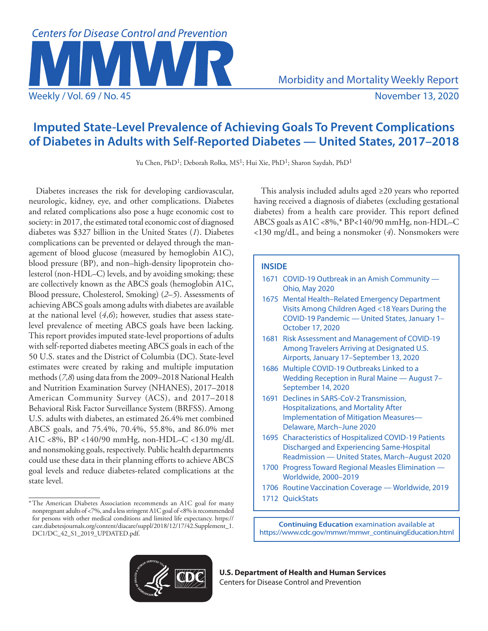

# **Imputed State-Level Prevalence of Achieving Goals To Prevent Complications of Diabetes in Adults with Self-Reported Diabetes — United States, 2017–2018**

Yu Chen, PhD<sup>1</sup>; Deborah Rolka, MS<sup>1</sup>; Hui Xie, PhD<sup>1</sup>; Sharon Saydah, PhD<sup>1</sup>

Diabetes increases the risk for developing cardiovascular, neurologic, kidney, eye, and other complications. Diabetes and related complications also pose a huge economic cost to society: in 2017, the estimated total economic cost of diagnosed diabetes was \$327 billion in the United States (*1*). Diabetes complications can be prevented or delayed through the management of blood glucose (measured by hemoglobin A1C), blood pressure (BP), and non–high-density lipoprotein cholesterol (non-HDL–C) levels, and by avoiding smoking; these are collectively known as the ABCS goals (hemoglobin A1C, Blood pressure, Cholesterol, Smoking) (*2*–*5*). Assessments of achieving ABCS goals among adults with diabetes are available at the national level (*4*,*6*); however, studies that assess statelevel prevalence of meeting ABCS goals have been lacking. This report provides imputed state-level proportions of adults with self-reported diabetes meeting ABCS goals in each of the 50 U.S. states and the District of Columbia (DC). State-level estimates were created by raking and multiple imputation methods (*7*,*8*) using data from the 2009–2018 National Health and Nutrition Examination Survey (NHANES), 2017–2018 American Community Survey (ACS), and 2017–2018 Behavioral Risk Factor Surveillance System (BRFSS). Among U.S. adults with diabetes, an estimated 26.4% met combined ABCS goals, and 75.4%, 70.4%, 55.8%, and 86.0% met A1C <8%, BP <140/90 mmHg, non-HDL–C <130 mg/dL and nonsmoking goals, respectively. Public health departments could use these data in their planning efforts to achieve ABCS goal levels and reduce diabetes-related complications at the state level.

This analysis included adults aged ≥20 years who reported having received a diagnosis of diabetes (excluding gestational diabetes) from a health care provider. This report defined ABCS goals as A1C <8%,\* BP<140/90 mmHg, non-HDL–C <130 mg/dL, and being a nonsmoker (*4*). Nonsmokers were

## **INSIDE**

- 1671 [COVID-19 Outbreak in an Amish Community](#page-6-0)  [Ohio, May 2020](#page-6-0)
- 1675 [Mental Health–Related Emergency Department](#page-10-0)  [Visits Among Children Aged <18 Years During the](#page-10-0)  [COVID-19 Pandemic — United States, January 1–](#page-10-0) [October 17, 2020](#page-10-0)
- 1681 [Risk Assessment and Management of COVID-19](#page-16-0)  [Among Travelers Arriving at Designated U.S.](#page-16-0)  [Airports, January 17–September 13, 2020](#page-16-0)
- 1686 [Multiple COVID-19 Outbreaks Linked to a](#page-21-0)  [Wedding Reception in Rural Maine — August 7–](#page-21-0) [September 14, 2020](#page-21-0)
- 1691 [Declines in SARS-CoV-2 Transmission,](#page-26-0)  [Hospitalizations, and Mortality After](#page-26-0)  [Implementation of Mitigation Measures—](#page-26-0)  [Delaware, March–June 2020](#page-26-0)
- 1695 [Characteristics of Hospitalized COVID-19 Patients](#page-30-0)  [Discharged and Experiencing Same-Hospital](#page-30-0)  [Readmission — United States, March–August 2020](#page-30-0)
- 1700 [Progress Toward Regional Measles Elimination](#page-35-0)  [Worldwide, 2000–2019](#page-35-0)
- 1706 [Routine Vaccination Coverage Worldwide, 2019](#page-41-0)
- 1712 [QuickStats](#page-47-0)

**Continuing Education** examination available at [https://www.cdc.gov/mmwr/mmwr\\_continuingEducation.html](https://www.cdc.gov/mmwr/mmwr_continuingEducation.html)



**U.S. Department of Health and Human Services** Centers for Disease Control and Prevention

<sup>\*</sup>The American Diabetes Association recommends an A1C goal for many nonpregnant adults of <7%, and a less stringent A1C goal of <8% is recommended for persons with other medical conditions and limited life expectancy. [https://](https://care.diabetesjournals.org/content/diacare/suppl/2018/12/17/42.Supplement_1.DC1/DC_42_S1_2019_UPDATED.pdf) [care.diabetesjournals.org/content/diacare/suppl/2018/12/17/42.Supplement\\_1.](https://care.diabetesjournals.org/content/diacare/suppl/2018/12/17/42.Supplement_1.DC1/DC_42_S1_2019_UPDATED.pdf) [DC1/DC\\_42\\_S1\\_2019\\_UPDATED.pdf.](https://care.diabetesjournals.org/content/diacare/suppl/2018/12/17/42.Supplement_1.DC1/DC_42_S1_2019_UPDATED.pdf)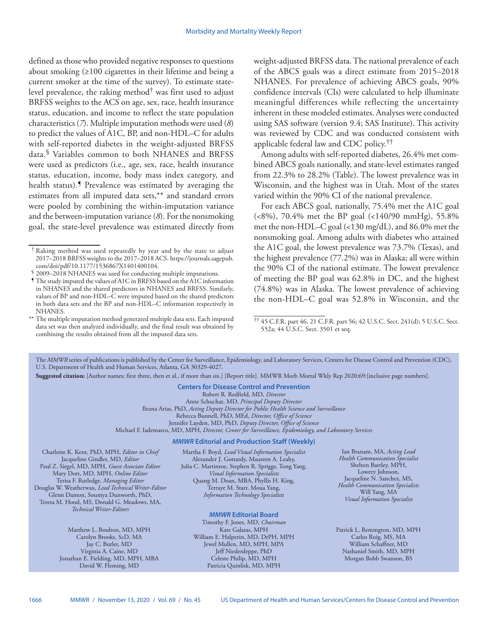defined as those who provided negative responses to questions about smoking (≥100 cigarettes in their lifetime and being a current smoker at the time of the survey). To estimate statelevel prevalence, the raking method† was first used to adjust BRFSS weights to the ACS on age, sex, race, health insurance status, education, and income to reflect the state population characteristics (*7*). Multiple imputation methods were used (*8*) to predict the values of A1C, BP, and non-HDL–C for adults with self-reported diabetes in the weight-adjusted BRFSS data.§ Variables common to both NHANES and BRFSS were used as predictors (i.e., age, sex, race, health insurance status, education, income, body mass index category, and health status).<sup>*S*</sup> Prevalence was estimated by averaging the estimates from all imputed data sets,\*\* and standard errors were pooled by combining the within-imputation variance and the between-imputation variance (*8*). For the nonsmoking goal, the state-level prevalence was estimated directly from

\*\* The multiple imputation method generated multiple data sets. Each imputed data set was then analyzed individually, and the final result was obtained by combining the results obtained from all the imputed data sets.

weight-adjusted BRFSS data. The national prevalence of each of the ABCS goals was a direct estimate from 2015–2018 NHANES. For prevalence of achieving ABCS goals, 90% confidence intervals (CIs) were calculated to help illuminate meaningful differences while reflecting the uncertainty inherent in these modeled estimates. Analyses were conducted using SAS software (version 9.4; SAS Institute). This activity was reviewed by CDC and was conducted consistent with applicable federal law and CDC policy.††

Among adults with self-reported diabetes, 26.4% met combined ABCS goals nationally, and state-level estimates ranged from 22.3% to 28.2% (Table). The lowest prevalence was in Wisconsin, and the highest was in Utah. Most of the states varied within the 90% CI of the national prevalence.

For each ABCS goal, nationally, 75.4% met the A1C goal (<8%), 70.4% met the BP goal (<140/90 mmHg), 55.8% met the non-HDL–C goal (<130 mg/dL), and 86.0% met the nonsmoking goal. Among adults with diabetes who attained the A1C goal, the lowest prevalence was 73.7% (Texas), and the highest prevalence (77.2%) was in Alaska; all were within the 90% CI of the national estimate. The lowest prevalence of meeting the BP goal was 62.8% in DC, and the highest (74.8%) was in Alaska. The lowest prevalence of achieving the non-HDL–C goal was 52.8% in Wisconsin, and the

The *MMWR* series of publications is published by the Center for Surveillance, Epidemiology, and Laboratory Services, Centers for Disease Control and Prevention (CDC), U.S. Department of Health and Human Services, Atlanta, GA 30329-4027.

**Suggested citation:** [Author names; first three, then et al., if more than six.] [Report title]. MMWR Morb Mortal Wkly Rep 2020;69:[inclusive page numbers].

### **Centers for Disease Control and Prevention** Robert R. Redfield, MD, *Director*

Anne Schuchat, MD, *Principal Deputy Director* Ileana Arias, PhD, *Acting Deputy Director for Public Health Science and Surveillance* Rebecca Bunnell, PhD, MEd, *Director, Office of Science* Jennifer Layden, MD, PhD, *Deputy Director, Office of Science* Michael F. Iademarco, MD, MPH, *Director, Center for Surveillance, Epidemiology, and Laboratory Services* 

#### *MMWR* **Editorial and Production Staff (Weekly)**

Charlotte K. Kent, PhD, MPH, *Editor in Chief*  Jacqueline Gindler, MD, *Editor* Paul Z. Siegel, MD, MPH, *Guest Associate Editor* Mary Dott, MD, MPH, *Online Editor* Terisa F. Rutledge, *Managing Editor*  Douglas W. Weatherwax, *Lead Technical Writer-Editor* Glenn Damon, Soumya Dunworth, PhD, Teresa M. Hood, MS, Donald G. Meadows, MA, *Technical Writer-Editors*

> Matthew L. Boulton, MD, MPH Carolyn Brooks, ScD, MA Jay C. Butler, MD Virginia A. Caine, MD Jonathan E. Fielding, MD, MPH, MBA David W. Fleming, MD

Martha F. Boyd, *Lead Visual Information Specialist* Alexander J. Gottardy, Maureen A. Leahy, Julia C. Martinroe, Stephen R. Spriggs, Tong Yang, *Visual Information Specialists* Quang M. Doan, MBA, Phyllis H. King, Terraye M. Starr, Moua Yang, *Information Technology Specialists*

#### *MMWR* **Editorial Board**

Timothy F. Jones, MD, *Chairman* Kate Galatas, MPH William E. Halperin, MD, DrPH, MPH Jewel Mullen, MD, MPH, MPA Jeff Niederdeppe, PhD Celeste Philip, MD, MPH Patricia Quinlisk, MD, MPH

Ian Branam, MA, *Acting Lead Health Communication Specialist* Shelton Bartley, MPH, Lowery Johnson, Jacqueline N. Sanchez, MS, *Health Communication Specialists* Will Yang, MA *Visual Information Specialist*

Patrick L. Remington, MD, MPH Carlos Roig, MS, MA William Schaffner, MD Nathaniel Smith, MD, MPH Morgan Bobb Swanson, BS

<sup>†</sup> Raking method was used repeatedly by year and by the state to adjust 2017–2018 BRFSS weights to the 2017–2018 ACS. [https://journals.sagepub.](https://journals.sagepub.com/doi/pdf/10.1177/1536867X1401400104)

<sup>&</sup>lt;sup>§</sup> 2009–2018 NHANES was used for conducting multiple imputations.

 $\P$  The study imputed the values of A1C in BRFSS based on the A1C information in NHANES and the shared predictors in NHANES and BRFSS. Similarly, values of BP and non-HDL–C were imputed based on the shared predictors in both data sets and the BP and non-HDL–C information respectively in NHANES.

<sup>††</sup> 45 C.F.R. part 46, 21 C.F.R. part 56; 42 U.S.C. Sect. 241(d); 5 U.S.C. Sect. 552a; 44 U.S.C. Sect. 3501 et seq.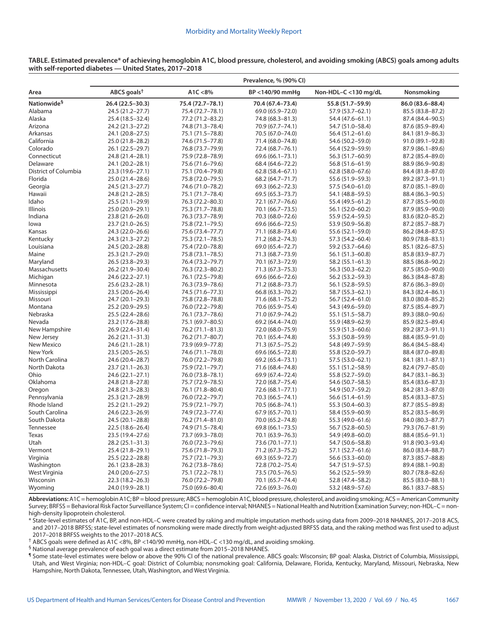**TABLE. Estimated prevalence\* of achieving hemoglobin A1C, blood pressure, cholesterol, and avoiding smoking (ABCS) goals among adults with self-reported diabetes — United States, 2017–2018** 

|                         | Prevalence, % (90% CI)  |                  |                     |                      |                  |  |
|-------------------------|-------------------------|------------------|---------------------|----------------------|------------------|--|
| Area                    | ABCS goals <sup>t</sup> | A1C < 8%         | BP <140/90 mmHa     | Non-HDL-C <130 mg/dL | Nonsmoking       |  |
| Nationwide <sup>§</sup> | 26.4 (22.5-30.3)        | 75.4 (72.7-78.1) | 70.4 (67.4-73.4)    | 55.8 (51.7-59.9)     | 86.0 (83.6-88.4) |  |
| Alabama                 | 24.5 (21.2-27.7)        | 75.4 (72.7-78.1) | 69.0 (65.9-72.0)    | 57.9 (53.7-62.1)     | 85.5 (83.8-87.2) |  |
| Alaska                  | 25.4 (18.5-32.4)        | 77.2 (71.2-83.2) | 74.8 (68.3-81.3)    | 54.4 (47.6-61.1)     | 87.4 (84.4-90.5) |  |
| Arizona                 | 24.2 (21.3-27.2)        | 74.8 (71.3-78.4) | 70.9 (67.7-74.1)    | 54.7 (51.0-58.4)     | 87.6 (85.9-89.4) |  |
| Arkansas                | 24.1 (20.8-27.5)        | 75.1 (71.5-78.8) | 70.5 (67.0-74.0)    | 56.4 (51.2-61.6)     | 84.1 (81.9-86.3) |  |
| California              | 25.0 (21.8-28.2)        | 74.6 (71.5-77.8) | 71.4 (68.0-74.8)    | 54.6 (50.2-59.0)     | 91.0 (89.1-92.8) |  |
| Colorado                | 26.1 (22.5-29.7)        | 76.8 (73.7-79.9) | 72.4 (68.7-76.1)    | 56.4 (52.9-59.9)     | 87.9 (86.1-89.6) |  |
| Connecticut             | 24.8 (21.4-28.1)        | 75.9 (72.8-78.9) | 69.6 (66.1-73.1)    | 56.3 (51.7-60.9)     | 87.2 (85.4-89.0) |  |
| Delaware                | 24.1 (20.2-28.1)        | 75.6 (71.6-79.6) | 68.4 (64.6-72.2)    | 56.8 (51.6-61.9)     | 88.9 (86.9-90.8) |  |
| District of Columbia    | 23.3 (19.6-27.1)        | 75.1 (70.4-79.8) | $62.8(58.4 - 67.1)$ | $62.8(58.0 - 67.6)$  | 84.4 (81.8-87.0) |  |
| Florida                 | 25.0 (21.4-28.6)        | 75.8 (72.0-79.5) | 68.2 (64.7-71.7)    | 55.6 (51.9 - 59.3)   | 89.2 (87.3-91.1) |  |
| Georgia                 | 24.5 (21.3-27.7)        | 74.6 (71.0-78.2) | 69.3 (66.2-72.3)    | 57.5 (54.0-61.0)     | 87.0 (85.1-89.0) |  |
| Hawaii                  | 24.8 (21.2-28.5)        | 75.1 (71.7-78.4) | 69.5 (65.3-73.7)    | 54.1 (48.8-59.5)     | 88.4 (86.3-90.5) |  |
| Idaho                   | 25.5 (21.1-29.9)        | 76.3 (72.2-80.3) | 72.1 (67.7-76.6)    | 55.4 (49.5 - 61.2)   | 87.7 (85.5-90.0) |  |
| <b>Illinois</b>         | 25.0 (20.9-29.1)        | 75.3 (71.7-78.8) | 70.1 (66.7-73.5)    | 56.1 (52.0-60.2)     | 87.9 (85.9-90.0) |  |
| Indiana                 | 23.8 (21.6-26.0)        | 76.3 (73.7-78.9) | 70.3 (68.0-72.6)    | 55.9 (52.4-59.5)     | 83.6 (82.0-85.2) |  |
| lowa                    | 23.7 (21.0-26.5)        | 75.8 (72.1-79.5) | 69.6 (66.6-72.5)    | 53.9 (50.9-56.8)     | 87.2 (85.7-88.7) |  |
| Kansas                  | 24.3 (22.0-26.6)        | 75.6 (73.4-77.7) | 71.1 (68.8-73.4)    | 55.6 (52.1-59.0)     | 86.2 (84.8-87.5) |  |
| Kentucky                | 24.3 (21.3-27.2)        | 75.3 (72.1-78.5) | 71.2 (68.2-74.3)    | 57.3 (54.2-60.4)     | 80.9 (78.8-83.1) |  |
| Louisiana               | 24.5 (20.2-28.8)        | 75.4 (72.0-78.8) | 69.0 (65.4-72.7)    | 59.2 (53.7-64.6)     | 85.1 (82.6-87.5) |  |
| Maine                   | 25.3 (21.7-29.0)        | 75.8 (73.1-78.5) | 71.3 (68.7-73.9)    | 56.1 (51.3–60.8)     | 85.8 (83.9-87.7) |  |
| Maryland                | 26.5 (23.8-29.3)        | 76.4 (73.2-79.7) | 70.1 (67.3-72.9)    | 58.2 (55.1-61.3)     | 88.5 (86.8-90.2) |  |
| Massachusetts           | 26.2 (21.9-30.4)        | 76.3 (72.3-80.2) | 71.3 (67.3 - 75.3)  | 56.3 (50.3-62.2)     | 87.5 (85.0-90.0) |  |
| Michigan                | 24.6 (22.2-27.1)        | 76.1 (72.5-79.8) | 69.6 (66.6-72.6)    | 56.2 (53.2-59.3)     | 86.3 (84.8-87.8) |  |
| Minnesota               | 25.6 (23.2-28.1)        | 76.3 (73.9-78.6) | 71.2 (68.8-73.7)    | 56.1 (52.8–59.5)     | 87.6 (86.3-89.0) |  |
| Mississippi             | 23.5 (20.6-26.4)        | 74.5 (71.6-77.3) | 66.8 (63.3 - 70.2)  | 58.7 (55.3-62.1)     | 84.3 (82.4-86.1) |  |
| Missouri                | 24.7 (20.1-29.3)        | 75.8 (72.8-78.8) | 71.6 (68.1-75.2)    | 56.7 (52.4-61.0)     | 83.0 (80.8-85.2) |  |
| Montana                 | 25.2 (20.9-29.5)        | 76.0 (72.2-79.8) | 70.6 (65.9-75.4)    | 54.3 (49.6-59.0)     | 87.5 (85.4-89.7) |  |
| Nebraska                | 25.5 (22.4-28.6)        | 76.1 (73.7-78.6) | 71.0 (67.9-74.2)    | 55.1 (51.5 - 58.7)   | 89.3 (88.0-90.6) |  |
| Nevada                  | 23.2 (17.6-28.8)        | 75.1 (69.7-80.5) | 69.2 (64.4-74.0)    | 55.9 (48.9-62.9)     | 85.9 (82.5-89.4) |  |
| New Hampshire           | 26.9 (22.4-31.4)        | 76.2 (71.1-81.3) | 72.0 (68.0-75.9)    | 55.9 (51.3-60.6)     | 89.2 (87.3-91.1) |  |
| New Jersey              | 26.2 (21.1-31.3)        | 76.2 (71.7-80.7) | 70.1 (65.4-74.8)    | 55.3 (50.8-59.9)     | 88.4 (85.9-91.0) |  |
| New Mexico              | 24.6 (21.1-28.1)        | 73.9 (69.9-77.8) | 71.3 (67.5 - 75.2)  | 54.8 (49.7-59.9)     | 86.4 (84.5-88.4) |  |
| New York                | 23.5 (20.5 - 26.5)      | 74.6 (71.1-78.0) | 69.6 (66.5 - 72.8)  | 55.8 (52.0-59.7)     | 88.4 (87.0-89.8) |  |
| North Carolina          | 24.6 (20.4-28.7)        | 76.0 (72.2-79.8) | 69.2 (65.4-73.1)    | 57.5 (53.0-62.1)     | 84.1 (81.1-87.1) |  |
| North Dakota            | 23.7 (21.1-26.3)        | 75.9 (72.1-79.7) | 71.6 (68.4 - 74.8)  | 55.1 (51.2-58.9)     | 82.4 (79.7-85.0) |  |
| Ohio                    | 24.6 (22.1-27.1)        | 76.0 (73.8-78.1) | 69.9 (67.4-72.4)    | 55.8 (52.7-59.0)     | 84.7 (83.1-86.3) |  |
| Oklahoma                | 24.8 (21.8-27.8)        | 75.7 (72.9-78.5) | 72.0 (68.7-75.4)    | 54.6 (50.7-58.5)     | 85.4 (83.6-87.3) |  |
| Oregon                  | 24.8 (21.3-28.3)        | 76.1 (71.8-80.4) | 72.6 (68.1-77.1)    | 54.9 (50.7-59.2)     | 84.2 (81.3-87.0) |  |
| Pennsylvania            | 25.3 (21.7-28.9)        | 76.0 (72.2-79.7) | 70.3 (66.5 - 74.1)  | 56.6 (51.4-61.9)     | 85.4 (83.3-87.5) |  |
| Rhode Island            | 25.2 (21.1-29.2)        | 75.9 (72.1-79.7) | 70.5 (66.8-74.1)    | 55.3 (50.4-60.3)     | 87.7 (85.5-89.8) |  |
| South Carolina          | 24.6 (22.3-26.9)        | 74.9 (72.3-77.4) | 67.9 (65.7-70.1)    | 58.4 (55.9-60.9)     | 85.2 (83.5-86.9) |  |
| South Dakota            | 24.5 (20.1-28.8)        | 76.2 (71.4-81.0) | 70.0 (65.2-74.8)    | 55.3 (49.0-61.6)     | 84.0 (80.3-87.7) |  |
| Tennessee               | 22.5 (18.6-26.4)        | 74.9 (71.5-78.4) | 69.8 (66.1-73.5)    | 56.7 (52.8-60.5)     | 79.3 (76.7-81.9) |  |
| Texas                   | 23.5 (19.4-27.6)        | 73.7 (69.3-78.0) | 70.1 (63.9 - 76.3)  | 54.9 (49.8-60.0)     | 88.4 (85.6-91.1) |  |
| Utah                    | 28.2 (25.1-31.3)        | 76.0 (72.3-79.6) | 73.6 (70.1-77.1)    | 54.7 (50.6-58.8)     | 91.8 (90.3-93.4) |  |
| Vermont                 | 25.4 (21.8-29.1)        | 75.6 (71.8-79.3) | 71.2 (67.3-75.2)    | 57.1 (52.7-61.6)     | 86.0 (83.4-88.7) |  |
| Virginia                | 25.5 (22.2-28.8)        | 75.7 (72.1-79.3) | 69.3 (65.9-72.7)    | 56.6 (53.3-60.0)     | 87.3 (85.7-88.8) |  |
| Washington              | 26.1 (23.8-28.3)        | 76.2 (73.8-78.6) | 72.8 (70.2-75.4)    | 54.7 (51.9 - 57.5)   | 89.4 (88.1-90.8) |  |
| West Virginia           | 24.0 (20.6–27.5)        | 75.1 (72.2–78.1) | 73.5 (70.5-76.5)    | 56.2 (52.5–59.9)     | 80.7 (78.8–82.6) |  |
| Wisconsin               | 22.3 (18.2-26.3)        | 76.0 (72.2-79.8) | 70.1 (65.7-74.4)    | 52.8 (47.4-58.2)     | 85.5 (83.0-88.1) |  |
| Wyoming                 | 24.0 (19.9-28.1)        | 75.0 (69.6-80.4) | 72.6 (69.3-76.0)    | 53.2 (48.9-57.6)     | 86.1 (83.7-88.5) |  |

**Abbreviations:** A1C = hemoglobin A1C; BP = blood pressure; ABCS = hemoglobin A1C, blood pressure, cholesterol, and avoiding smoking; ACS = American Community Survey; BRFSS = Behavioral Risk Factor Surveillance System; CI = confidence interval; NHANES = National Health and Nutrition Examination Survey; non-HDL–C = nonhigh-density lipoprotein cholesterol.

\* State-level estimates of A1C, BP, and non-HDL–C were created by raking and multiple imputation methods using data from 2009–2018 NHANES, 2017–2018 ACS, and 2017–2018 BRFSS; state-level estimates of nonsmoking were made directly from weight-adjusted BRFSS data, and the raking method was first used to adjust 2017–2018 BRFSS weights to the 2017–2018 ACS.

 $^{\dagger}$  ABCS goals were defined as A1C <8%, BP <140/90 mmHg, non-HDL–C <130 mg/dL, and avoiding smoking.

§ National average prevalence of each goal was a direct estimate from 2015–2018 NHANES.

¶ Some state-level estimates were below or above the 90% CI of the national prevalence. ABCS goals: Wisconsin; BP goal: Alaska, District of Columbia, Mississippi, Utah, and West Virginia; non-HDL–C goal: District of Columbia; nonsmoking goal: California, Delaware, Florida, Kentucky, Maryland, Missouri, Nebraska, New Hampshire, North Dakota, Tennessee, Utah, Washington, and West Virginia.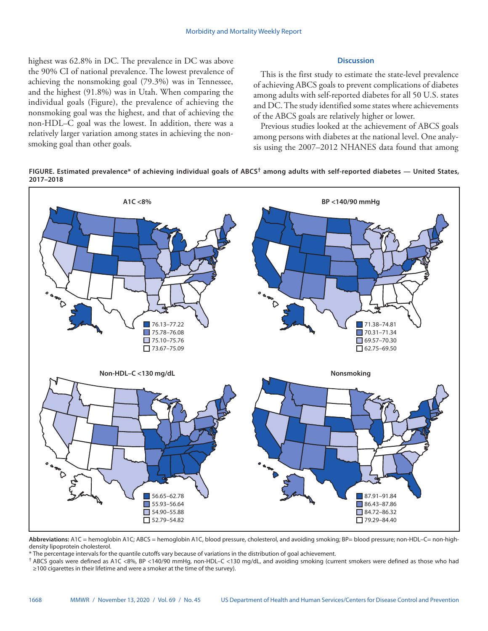highest was 62.8% in DC. The prevalence in DC was above the 90% CI of national prevalence. The lowest prevalence of achieving the nonsmoking goal (79.3%) was in Tennessee, and the highest (91.8%) was in Utah. When comparing the individual goals (Figure), the prevalence of achieving the nonsmoking goal was the highest, and that of achieving the non-HDL–C goal was the lowest. In addition, there was a relatively larger variation among states in achieving the nonsmoking goal than other goals.

## **Discussion**

This is the first study to estimate the state-level prevalence of achieving ABCS goals to prevent complications of diabetes among adults with self-reported diabetes for all 50 U.S. states and DC. The study identified some states where achievements of the ABCS goals are relatively higher or lower.

Previous studies looked at the achievement of ABCS goals among persons with diabetes at the national level. One analysis using the 2007–2012 NHANES data found that among





**Abbreviations:** A1C = hemoglobin A1C; ABCS = hemoglobin A1C, blood pressure, cholesterol, and avoiding smoking; BP= blood pressure; non-HDL–C= non-highdensity lipoprotein cholesterol.

\* The percentage intervals for the quantile cutoffs vary because of variations in the distribution of goal achievement.

† ABCS goals were defined as A1C <8%, BP <140/90 mmHg, non-HDL–C <130 mg/dL, and avoiding smoking (current smokers were defined as those who had ≥100 cigarettes in their lifetime and were a smoker at the time of the survey).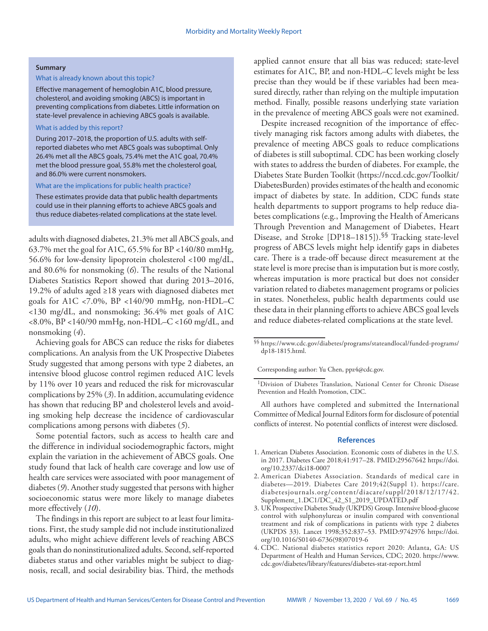#### **Summary**

## What is already known about this topic?

Effective management of hemoglobin A1C, blood pressure, cholesterol, and avoiding smoking (ABCS) is important in preventing complications from diabetes. Little information on state-level prevalence in achieving ABCS goals is available.

## What is added by this report?

During 2017–2018, the proportion of U.S. adults with selfreported diabetes who met ABCS goals was suboptimal. Only 26.4% met all the ABCS goals, 75.4% met the A1C goal, 70.4% met the blood pressure goal, 55.8% met the cholesterol goal, and 86.0% were current nonsmokers.

#### What are the implications for public health practice?

These estimates provide data that public health departments could use in their planning efforts to achieve ABCS goals and thus reduce diabetes-related complications at the state level.

adults with diagnosed diabetes, 21.3% met all ABCS goals, and 63.7% met the goal for A1C, 65.5% for BP <140/80 mmHg, 56.6% for low-density lipoprotein cholesterol <100 mg/dL, and 80.6% for nonsmoking (*6*). The results of the National Diabetes Statistics Report showed that during 2013–2016, 19.2% of adults aged ≥18 years with diagnosed diabetes met goals for A1C <7.0%, BP <140/90 mmHg, non-HDL–C <130 mg/dL, and nonsmoking; 36.4% met goals of A1C <8.0%, BP <140/90 mmHg, non-HDL–C <160 mg/dL, and nonsmoking (*4*).

Achieving goals for ABCS can reduce the risks for diabetes complications. An analysis from the UK Prospective Diabetes Study suggested that among persons with type 2 diabetes, an intensive blood glucose control regimen reduced A1C levels by 11% over 10 years and reduced the risk for microvascular complications by 25% (*3*). In addition, accumulating evidence has shown that reducing BP and cholesterol levels and avoiding smoking help decrease the incidence of cardiovascular complications among persons with diabetes (*5*).

Some potential factors, such as access to health care and the difference in individual sociodemographic factors, might explain the variation in the achievement of ABCS goals. One study found that lack of health care coverage and low use of health care services were associated with poor management of diabetes (*9*). Another study suggested that persons with higher socioeconomic status were more likely to manage diabetes more effectively (*10*).

The findings in this report are subject to at least four limitations. First, the study sample did not include institutionalized adults, who might achieve different levels of reaching ABCS goals than do noninstitutionalized adults. Second, self-reported diabetes status and other variables might be subject to diagnosis, recall, and social desirability bias. Third, the methods applied cannot ensure that all bias was reduced; state-level estimates for A1C, BP, and non-HDL–C levels might be less precise than they would be if these variables had been measured directly, rather than relying on the multiple imputation method. Finally, possible reasons underlying state variation in the prevalence of meeting ABCS goals were not examined.

Despite increased recognition of the importance of effectively managing risk factors among adults with diabetes, the prevalence of meeting ABCS goals to reduce complications of diabetes is still suboptimal. CDC has been working closely with states to address the burden of diabetes. For example, the Diabetes State Burden Toolkit ([https://nccd.cdc.gov/Toolkit/](https://nccd.cdc.gov/Toolkit/DiabetesBurden) [DiabetesBurden](https://nccd.cdc.gov/Toolkit/DiabetesBurden)) provides estimates of the health and economic impact of diabetes by state. In addition, CDC funds state health departments to support programs to help reduce diabetes complications (e.g., Improving the Health of Americans Through Prevention and Management of Diabetes, Heart Disease, and Stroke [DP18–1815]).<sup>§§</sup> Tracking state-level progress of ABCS levels might help identify gaps in diabetes care. There is a trade-off because direct measurement at the state level is more precise than is imputation but is more costly, whereas imputation is more practical but does not consider variation related to diabetes management programs or policies in states. Nonetheless, public health departments could use these data in their planning efforts to achieve ABCS goal levels and reduce diabetes-related complications at the state level.

Corresponding author: Yu Chen, [ppz4@cdc.gov](mailto:ppz4@cdc.gov).

1Division of Diabetes Translation, National Center for Chronic Disease Prevention and Health Promotion, CDC.

All authors have completed and submitted the International Committee of Medical Journal Editors form for disclosure of potential conflicts of interest. No potential conflicts of interest were disclosed.

#### **References**

- 1. American Diabetes Association. Economic costs of diabetes in the U.S. in 2017. Diabetes Care 2018;41:917–28. [PMID:29567642](https://www.ncbi.nlm.nih.gov/entrez/query.fcgi?cmd=Retrieve&db=PubMed&list_uids=29567642&dopt=Abstract) [https://doi.](https://doi.org/10.2337/dci18-0007) [org/10.2337/dci18-0007](https://doi.org/10.2337/dci18-0007)
- 2. American Diabetes Association. Standards of medical care in diabetes—2019. Diabetes Care 2019;42(Suppl 1). [https://care.](https://care.diabetesjournals.org/content/diacare/suppl/2018/12/17/42.Supplement_1.DC1/DC_42_S1_2019_UPDATED.pdf) [diabetesjournals.org/content/diacare/suppl/2018/12/17/42.](https://care.diabetesjournals.org/content/diacare/suppl/2018/12/17/42.Supplement_1.DC1/DC_42_S1_2019_UPDATED.pdf) [Supplement\\_1.DC1/DC\\_42\\_S1\\_2019\\_UPDATED.pdf](https://care.diabetesjournals.org/content/diacare/suppl/2018/12/17/42.Supplement_1.DC1/DC_42_S1_2019_UPDATED.pdf)
- 3. UK Prospective Diabetes Study (UKPDS) Group. Intensive blood-glucose control with sulphonylureas or insulin compared with conventional treatment and risk of complications in patients with type 2 diabetes (UKPDS 33). Lancet 1998;352:837–53. [PMID:9742976](https://www.ncbi.nlm.nih.gov/entrez/query.fcgi?cmd=Retrieve&db=PubMed&list_uids=9742976&dopt=Abstract) [https://doi.](https://doi.org/10.1016/S0140-6736(98)07019-6) [org/10.1016/S0140-6736\(98\)07019-6](https://doi.org/10.1016/S0140-6736(98)07019-6)
- 4. CDC. National diabetes statistics report 2020: Atlanta, GA: US Department of Health and Human Services, CDC; 2020. [https://www.](https://www.cdc.gov/diabetes/library/features/diabetes-stat-report.html) [cdc.gov/diabetes/library/features/diabetes-stat-report.html](https://www.cdc.gov/diabetes/library/features/diabetes-stat-report.html)

<sup>§§</sup> [https://www.cdc.gov/diabetes/programs/stateandlocal/funded-programs/](https://www.cdc.gov/diabetes/programs/stateandlocal/funded-programs/dp18-1815.html) [dp18-1815.html](https://www.cdc.gov/diabetes/programs/stateandlocal/funded-programs/dp18-1815.html).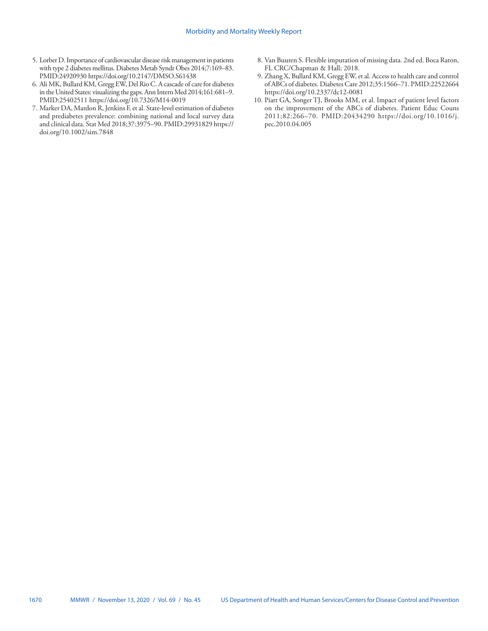- 5. Lorber D. Importance of cardiovascular disease risk management in patients with type 2 diabetes mellitus. Diabetes Metab Syndr Obes 2014;7:169–83. [PMID:24920930](https://www.ncbi.nlm.nih.gov/entrez/query.fcgi?cmd=Retrieve&db=PubMed&list_uids=24920930&dopt=Abstract) <https://doi.org/10.2147/DMSO.S61438>
- 6. Ali MK, Bullard KM, Gregg EW, Del Rio C. A cascade of care for diabetes in the United States: visualizing the gaps. Ann Intern Med 2014;161:681–9. [PMID:25402511](https://www.ncbi.nlm.nih.gov/entrez/query.fcgi?cmd=Retrieve&db=PubMed&list_uids=25402511&dopt=Abstract) <https://doi.org/10.7326/M14-0019>
- 7. Marker DA, Mardon R, Jenkins F, et al. State-level estimation of diabetes and prediabetes prevalence: combining national and local survey data and clinical data. Stat Med 2018;37:3975–90[. PMID:29931829](https://www.ncbi.nlm.nih.gov/entrez/query.fcgi?cmd=Retrieve&db=PubMed&list_uids=29931829&dopt=Abstract) [https://](https://doi.org/10.1002/sim.7848) [doi.org/10.1002/sim.7848](https://doi.org/10.1002/sim.7848)
- 8. Van Buuren S. Flexible imputation of missing data. 2nd ed. Boca Raton, FL CRC/Chapman & Hall; 2018.
- 9. Zhang X, Bullard KM, Gregg EW, et al. Access to health care and control of ABCs of diabetes. Diabetes Care 2012;35:1566–71[. PMID:22522664](https://www.ncbi.nlm.nih.gov/entrez/query.fcgi?cmd=Retrieve&db=PubMed&list_uids=22522664&dopt=Abstract) <https://doi.org/10.2337/dc12-0081>
- 10. Piatt GA, Songer TJ, Brooks MM, et al. Impact of patient level factors on the improvement of the ABCs of diabetes. Patient Educ Couns 2011;82:266–70. [PMID:20434290](https://www.ncbi.nlm.nih.gov/entrez/query.fcgi?cmd=Retrieve&db=PubMed&list_uids=20434290&dopt=Abstract) [https://doi.org/10.1016/j.](https://doi.org/10.1016/j.pec.2010.04.005) [pec.2010.04.005](https://doi.org/10.1016/j.pec.2010.04.005)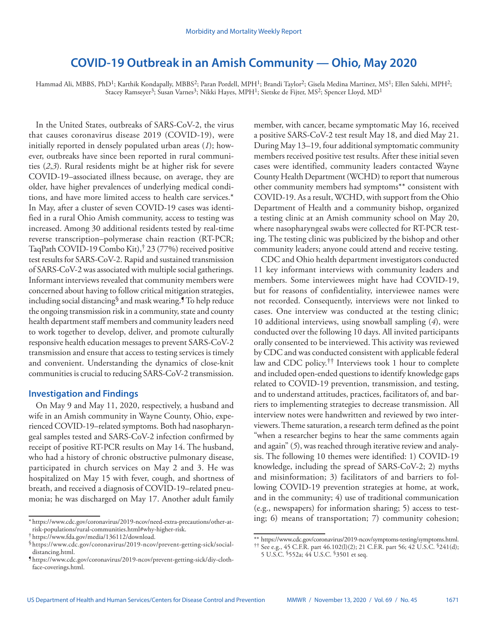# **COVID-19 Outbreak in an Amish Community — Ohio, May 2020**

<span id="page-6-0"></span>Hammad Ali, MBBS, PhD<sup>1</sup>; Karthik Kondapally, MBBS<sup>2</sup>; Paran Pordell, MPH<sup>1</sup>; Brandi Taylor<sup>2</sup>; Gisela Medina Martinez, MS<sup>1</sup>; Ellen Salehi, MPH<sup>2</sup>; Stacey Ramseyer<sup>3</sup>; Susan Varnes<sup>3</sup>; Nikki Hayes, MPH<sup>1</sup>; Sietske de Fijter, MS<sup>2</sup>; Spencer Lloyd, MD<sup>1</sup>

In the United States, outbreaks of SARS-CoV-2, the virus that causes coronavirus disease 2019 (COVID-19), were initially reported in densely populated urban areas (*1*); however, outbreaks have since been reported in rural communities (*2*,*3*). Rural residents might be at higher risk for severe COVID-19–associated illness because, on average, they are older, have higher prevalences of underlying medical conditions, and have more limited access to health care services.\* In May, after a cluster of seven COVID-19 cases was identified in a rural Ohio Amish community, access to testing was increased. Among 30 additional residents tested by real-time reverse transcription–polymerase chain reaction (RT-PCR; TaqPath COVID-19 Combo Kit),† 23 (77%) received positive test results for SARS-CoV-2. Rapid and sustained transmission of SARS-CoV-2 was associated with multiple social gatherings. Informant interviews revealed that community members were concerned about having to follow critical mitigation strategies, including social distancing§ and mask wearing.¶ To help reduce the ongoing transmission risk in a community, state and county health department staff members and community leaders need to work together to develop, deliver, and promote culturally responsive health education messages to prevent SARS-CoV-2 transmission and ensure that access to testing services is timely and convenient. Understanding the dynamics of close-knit communities is crucial to reducing SARS-CoV-2 transmission.

## **Investigation and Findings**

On May 9 and May 11, 2020, respectively, a husband and wife in an Amish community in Wayne County, Ohio, experienced COVID-19–related symptoms. Both had nasopharyngeal samples tested and SARS-CoV-2 infection confirmed by receipt of positive RT-PCR results on May 14. The husband, who had a history of chronic obstructive pulmonary disease, participated in church services on May 2 and 3. He was hospitalized on May 15 with fever, cough, and shortness of breath, and received a diagnosis of COVID-19–related pneumonia; he was discharged on May 17. Another adult family

member, with cancer, became symptomatic May 16, received a positive SARS-CoV-2 test result May 18, and died May 21. During May 13–19, four additional symptomatic community members received positive test results. After these initial seven cases were identified, community leaders contacted Wayne County Health Department (WCHD) to report that numerous other community members had symptoms\*\* consistent with COVID-19. As a result, WCHD, with support from the Ohio Department of Health and a community bishop, organized a testing clinic at an Amish community school on May 20, where nasopharyngeal swabs were collected for RT-PCR testing. The testing clinic was publicized by the bishop and other community leaders; anyone could attend and receive testing.

CDC and Ohio health department investigators conducted 11 key informant interviews with community leaders and members. Some interviewees might have had COVID-19, but for reasons of confidentiality, interviewee names were not recorded. Consequently, interviews were not linked to cases. One interview was conducted at the testing clinic; 10 additional interviews, using snowball sampling (*4*), were conducted over the following 10 days. All invited participants orally consented to be interviewed. This activity was reviewed by CDC and was conducted consistent with applicable federal law and CDC policy.<sup>††</sup> Interviews took 1 hour to complete and included open-ended questions to identify knowledge gaps related to COVID-19 prevention, transmission, and testing, and to understand attitudes, practices, facilitators of, and barriers to implementing strategies to decrease transmission. All interview notes were handwritten and reviewed by two interviewers. Theme saturation, a research term defined as the point "when a researcher begins to hear the same comments again and again" (*5*), was reached through iterative review and analysis. The following 10 themes were identified: 1) COVID-19 knowledge, including the spread of SARS-CoV-2; 2) myths and misinformation; 3) facilitators of and barriers to following COVID-19 prevention strategies at home, at work, and in the community; 4) use of traditional communication (e.g., newspapers) for information sharing; 5) access to testing; 6) means of transportation; 7) community cohesion;

<sup>\*</sup> [https://www.cdc.gov/coronavirus/2019-ncov/need-extra-precautions/other-at-](https://www.cdc.gov/coronavirus/2019-ncov/need-extra-precautions/other-at-risk-populations/rural-communities.html#why-higher-risk)

tittps://www.fda.gov/media/136112/download. §<br>§https://www.fda.gov/coronavirus/2019-ncov/prevent-getting-sick/social[distancing.html](https://www.cdc.gov/coronavirus/2019-ncov/prevent-getting-sick/social-distancing.html). ¶ [https://www.cdc.gov/coronavirus/2019-ncov/prevent-getting-sick/diy-cloth-](https://www.cdc.gov/coronavirus/2019-ncov/prevent-getting-sick/diy-cloth-face-coverings.html)

[face-coverings.html](https://www.cdc.gov/coronavirus/2019-ncov/prevent-getting-sick/diy-cloth-face-coverings.html).

<sup>\*\*</sup> [https://www.cdc.gov/coronavirus/2019-ncov/symptoms-testing/symptoms.html.](https://www.cdc.gov/coronavirus/2019-ncov/symptoms-testing/symptoms.html)  $\uparrow\uparrow$  See e.g., 45 C.F.R. part 46.102(l)(2); 21 C.F.R. part 56; 42 U.S.C. §241(d);

<sup>5</sup> U.S.C. §552a; 44 U.S.C. §3501 et seq.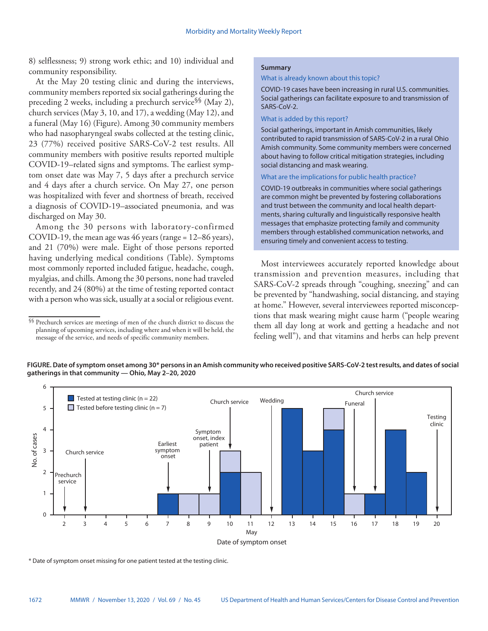8) selflessness; 9) strong work ethic; and 10) individual and community responsibility.

At the May 20 testing clinic and during the interviews, community members reported six social gatherings during the preceding 2 weeks, including a prechurch service§§ (May 2), church services (May 3, 10, and 17), a wedding (May 12), and a funeral (May 16) (Figure). Among 30 community members who had nasopharyngeal swabs collected at the testing clinic, 23 (77%) received positive SARS-CoV-2 test results. All community members with positive results reported multiple COVID-19–related signs and symptoms. The earliest symptom onset date was May 7, 5 days after a prechurch service and 4 days after a church service. On May 27, one person was hospitalized with fever and shortness of breath, received a diagnosis of COVID-19–associated pneumonia, and was discharged on May 30.

Among the 30 persons with laboratory-confirmed COVID-19, the mean age was 46 years (range = 12–86 years), and 21 (70%) were male. Eight of those persons reported having underlying medical conditions (Table). Symptoms most commonly reported included fatigue, headache, cough, myalgias, and chills. Among the 30 persons, none had traveled recently, and 24 (80%) at the time of testing reported contact with a person who was sick, usually at a social or religious event.

## **Summary**

What is already known about this topic?

COVID-19 cases have been increasing in rural U.S. communities. Social gatherings can facilitate exposure to and transmission of SARS-CoV-2.

#### What is added by this report?

Social gatherings, important in Amish communities, likely contributed to rapid transmission of SARS-CoV-2 in a rural Ohio Amish community. Some community members were concerned about having to follow critical mitigation strategies, including social distancing and mask wearing.

## What are the implications for public health practice?

COVID-19 outbreaks in communities where social gatherings are common might be prevented by fostering collaborations and trust between the community and local health departments, sharing culturally and linguistically responsive health messages that emphasize protecting family and community members through established communication networks, and ensuring timely and convenient access to testing.

Most interviewees accurately reported knowledge about transmission and prevention measures, including that SARS-CoV-2 spreads through "coughing, sneezing" and can be prevented by "handwashing, social distancing, and staying at home." However, several interviewees reported misconceptions that mask wearing might cause harm ("people wearing them all day long at work and getting a headache and not feeling well"), and that vitamins and herbs can help prevent

**FIGURE. Date of symptom onset among 30\* persons in an Amish community who received positive SARS-CoV-2 test results, and dates of social gatherings in that community — Ohio, May 2–20, 2020**



\* Date of symptom onset missing for one patient tested at the testing clinic.

<sup>§§</sup> Prechurch services are meetings of men of the church district to discuss the planning of upcoming services, including where and when it will be held, the message of the service, and needs of specific community members.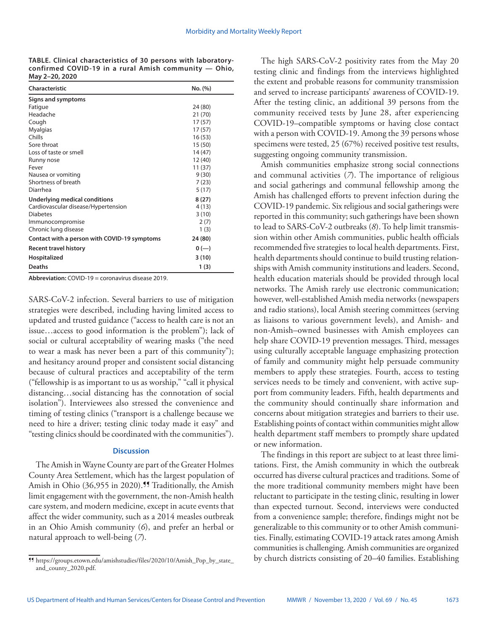**TABLE. Clinical characteristics of 30 persons with laboratoryconfirmed COVID-19 in a rural Amish community — Ohio, May 2–20, 2020**

| Characteristic                               | No. (%) |
|----------------------------------------------|---------|
| Signs and symptoms                           |         |
| Fatigue                                      | 24 (80) |
| Headache                                     | 21 (70) |
| Cough                                        | 17 (57) |
| <b>Myalgias</b>                              | 17 (57) |
| Chills                                       | 16 (53) |
| Sore throat                                  | 15 (50) |
| Loss of taste or smell                       | 14 (47) |
| Runny nose                                   | 12 (40) |
| Fever                                        | 11 (37) |
| Nausea or vomiting                           | 9(30)   |
| Shortness of breath                          | 7(23)   |
| Diarrhea                                     | 5(17)   |
| Underlying medical conditions                | 8(27)   |
| Cardiovascular disease/Hypertension          | 4(13)   |
| <b>Diabetes</b>                              | 3(10)   |
| Immunocompromise                             | 2(7)    |
| Chronic lung disease                         | 1(3)    |
| Contact with a person with COVID-19 symptoms | 24 (80) |
| Recent travel history                        | $0 (-)$ |
| Hospitalized                                 | 3(10)   |
| Deaths                                       | 1(3)    |

**Abbreviation:** COVID-19 = coronavirus disease 2019.

SARS-CoV-2 infection. Several barriers to use of mitigation strategies were described, including having limited access to updated and trusted guidance ("access to health care is not an issue…access to good information is the problem"); lack of social or cultural acceptability of wearing masks ("the need to wear a mask has never been a part of this community"); and hesitancy around proper and consistent social distancing because of cultural practices and acceptability of the term ("fellowship is as important to us as worship," "call it physical distancing…social distancing has the connotation of social isolation"). Interviewees also stressed the convenience and timing of testing clinics ("transport is a challenge because we need to hire a driver; testing clinic today made it easy" and "testing clinics should be coordinated with the communities").

## **Discussion**

The Amish in Wayne County are part of the Greater Holmes County Area Settlement, which has the largest population of Amish in Ohio (36,955 in 2020).<sup>11</sup> Traditionally, the Amish limit engagement with the government, the non-Amish health care system, and modern medicine, except in acute events that affect the wider community, such as a 2014 measles outbreak in an Ohio Amish community (*6*), and prefer an herbal or natural approach to well-being (*7*).

The high SARS-CoV-2 positivity rates from the May 20 testing clinic and findings from the interviews highlighted the extent and probable reasons for community transmission and served to increase participants' awareness of COVID-19. After the testing clinic, an additional 39 persons from the community received tests by June 28, after experiencing COVID-19–compatible symptoms or having close contact with a person with COVID-19. Among the 39 persons whose specimens were tested, 25 (67%) received positive test results, suggesting ongoing community transmission.

Amish communities emphasize strong social connections and communal activities (*7*). The importance of religious and social gatherings and communal fellowship among the Amish has challenged efforts to prevent infection during the COVID-19 pandemic. Six religious and social gatherings were reported in this community; such gatherings have been shown to lead to SARS-CoV-2 outbreaks (*8*). To help limit transmission within other Amish communities, public health officials recommended five strategies to local health departments. First, health departments should continue to build trusting relationships with Amish community institutions and leaders. Second, health education materials should be provided through local networks. The Amish rarely use electronic communication; however, well-established Amish media networks (newspapers and radio stations), local Amish steering committees (serving as liaisons to various government levels), and Amish- and non-Amish–owned businesses with Amish employees can help share COVID-19 prevention messages. Third, messages using culturally acceptable language emphasizing protection of family and community might help persuade community members to apply these strategies. Fourth, access to testing services needs to be timely and convenient, with active support from community leaders. Fifth, health departments and the community should continually share information and concerns about mitigation strategies and barriers to their use. Establishing points of contact within communities might allow health department staff members to promptly share updated or new information.

The findings in this report are subject to at least three limitations. First, the Amish community in which the outbreak occurred has diverse cultural practices and traditions. Some of the more traditional community members might have been reluctant to participate in the testing clinic, resulting in lower than expected turnout. Second, interviews were conducted from a convenience sample; therefore, findings might not be generalizable to this community or to other Amish communities. Finally, estimating COVID-19 attack rates among Amish communities is challenging. Amish communities are organized by church districts consisting of 20–40 families. Establishing

<sup>¶¶</sup> [https://groups.etown.edu/amishstudies/files/2020/10/Amish\\_Pop\\_by\\_state\\_](https://groups.etown.edu/amishstudies/files/2020/10/Amish_Pop_by_state_and_county_2020.pdf) [and\\_county\\_2020.pdf](https://groups.etown.edu/amishstudies/files/2020/10/Amish_Pop_by_state_and_county_2020.pdf).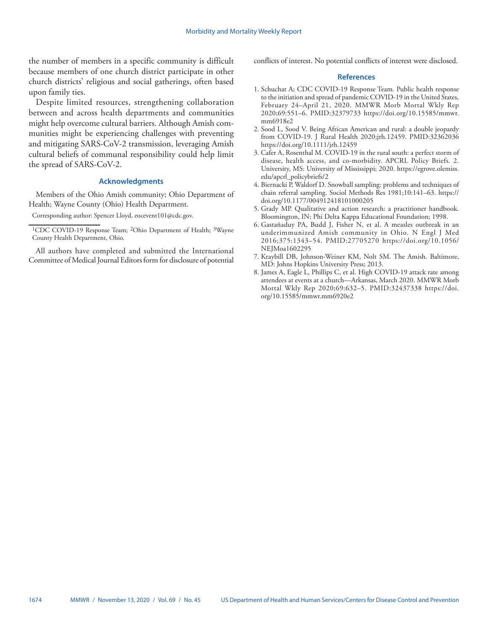the number of members in a specific community is difficult because members of one church district participate in other church districts' religious and social gatherings, often based upon family ties.

Despite limited resources, strengthening collaboration between and across health departments and communities might help overcome cultural barriers. Although Amish communities might be experiencing challenges with preventing and mitigating SARS-CoV-2 transmission, leveraging Amish cultural beliefs of communal responsibility could help limit the spread of SARS-CoV-2.

## **Acknowledgments**

Members of the Ohio Amish community; Ohio Department of Health; Wayne County (Ohio) Health Department.

Corresponding author: Spencer Lloyd, [eocevent101@cdc.gov.](mailto:eocevent101@cdc.gov)

All authors have completed and submitted the International Committee of Medical Journal Editors form for disclosure of potential conflicts of interest. No potential conflicts of interest were disclosed.

#### **References**

- 1. Schuchat A; CDC COVID-19 Response Team. Public health response to the initiation and spread of pandemic COVID-19 in the United States, February 24–April 21, 2020. MMWR Morb Mortal Wkly Rep 2020;69:551–6. [PMID:32379733](https://www.ncbi.nlm.nih.gov/entrez/query.fcgi?cmd=Retrieve&db=PubMed&list_uids=32379733&dopt=Abstract) [https://doi.org/10.15585/mmwr.](https://doi.org/10.15585/mmwr.mm6918e2) [mm6918e2](https://doi.org/10.15585/mmwr.mm6918e2)
- 2. Sood L, Sood V. Being African American and rural: a double jeopardy from COVID‐19. J Rural Health 2020;jrh.12459. [PMID:32362036](https://www.ncbi.nlm.nih.gov/entrez/query.fcgi?cmd=Retrieve&db=PubMed&list_uids=32362036&dopt=Abstract) <https://doi.org/10.1111/jrh.12459>
- 3. Cafer A, Rosenthal M. COVID-19 in the rural south: a perfect storm of disease, health access, and co-morbidity. APCRL Policy Briefs. 2. University, MS: University of Mississippi; 2020. [https://egrove.olemiss.](https://egrove.olemiss.edu/apcrl_policybriefs/2) [edu/apcrl\\_policybriefs/2](https://egrove.olemiss.edu/apcrl_policybriefs/2)
- 4. Biernacki P, Waldorf D. Snowball sampling: problems and techniques of chain referral sampling. Sociol Methods Res 1981;10:141–63. [https://](https://doi.org/10.1177/004912418101000205) [doi.org/10.1177/004912418101000205](https://doi.org/10.1177/004912418101000205)
- 5. Grady MP. Qualitative and action research: a practitioner handbook. Bloomington, IN: Phi Delta Kappa Educational Foundation; 1998.
- 6. Gastañaduy PA, Budd J, Fisher N, et al. A measles outbreak in an underimmunized Amish community in Ohio. N Engl J Med 2016;375:1343–54. [PMID:27705270](https://www.ncbi.nlm.nih.gov/entrez/query.fcgi?cmd=Retrieve&db=PubMed&list_uids=27705270&dopt=Abstract) [https://doi.org/10.1056/](https://doi.org/10.1056/NEJMoa1602295) [NEJMoa1602295](https://doi.org/10.1056/NEJMoa1602295)
- 7. Kraybill DB, Johnson-Weiner KM, Nolt SM. The Amish. Baltimore, MD: Johns Hopkins University Press; 2013.
- 8. James A, Eagle L, Phillips C, et al. High COVID-19 attack rate among attendees at events at a church—Arkansas, March 2020. MMWR Morb Mortal Wkly Rep 2020;69:632–5. [PMID:32437338](https://www.ncbi.nlm.nih.gov/entrez/query.fcgi?cmd=Retrieve&db=PubMed&list_uids=32437338&dopt=Abstract) [https://doi.](https://doi.org/10.15585/mmwr.mm6920e2) [org/10.15585/mmwr.mm6920e2](https://doi.org/10.15585/mmwr.mm6920e2)

<sup>&</sup>lt;sup>1</sup>CDC COVID-19 Response Team; <sup>2</sup>Ohio Department of Health; <sup>3</sup>Wayne County Health Department, Ohio.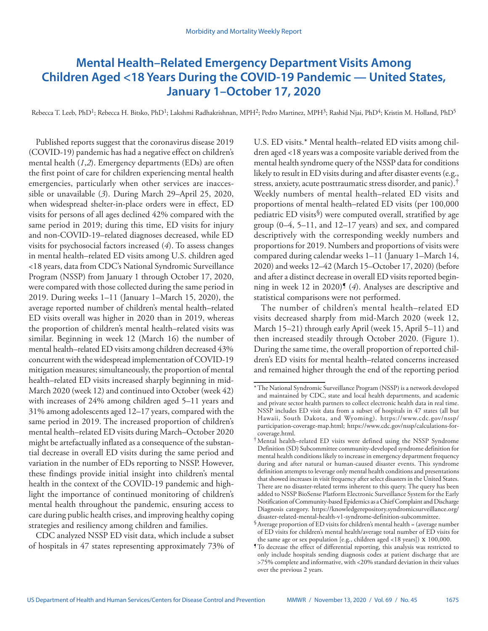# <span id="page-10-0"></span>**Mental Health–Related Emergency Department Visits Among Children Aged <18 Years During the COVID-19 Pandemic — United States, January 1–October 17, 2020**

Rebecca T. Leeb, PhD<sup>1</sup>; Rebecca H. Bitsko, PhD<sup>1</sup>; Lakshmi Radhakrishnan, MPH<sup>2</sup>; Pedro Martinez, MPH<sup>3</sup>; Rashid Njai, PhD<sup>4</sup>; Kristin M. Holland, PhD<sup>5</sup>

Published reports suggest that the coronavirus disease 2019 (COVID-19) pandemic has had a negative effect on children's mental health (*1*,*2*). Emergency departments (EDs) are often the first point of care for children experiencing mental health emergencies, particularly when other services are inaccessible or unavailable (*3*). During March 29–April 25, 2020, when widespread shelter-in-place orders were in effect, ED visits for persons of all ages declined 42% compared with the same period in 2019; during this time, ED visits for injury and non-COVID-19–related diagnoses decreased, while ED visits for psychosocial factors increased (*4*). To assess changes in mental health–related ED visits among U.S. children aged <18 years, data from CDC's National Syndromic Surveillance Program (NSSP) from January 1 through October 17, 2020, were compared with those collected during the same period in 2019. During weeks 1–11 (January 1–March 15, 2020), the average reported number of children's mental health–related ED visits overall was higher in 2020 than in 2019, whereas the proportion of children's mental health–related visits was similar. Beginning in week 12 (March 16) the number of mental health–related ED visits among children decreased 43% concurrent with the widespread implementation of COVID-19 mitigation measures; simultaneously, the proportion of mental health–related ED visits increased sharply beginning in mid-March 2020 (week 12) and continued into October (week 42) with increases of 24% among children aged 5–11 years and 31% among adolescents aged 12–17 years, compared with the same period in 2019. The increased proportion of children's mental health–related ED visits during March–October 2020 might be artefactually inflated as a consequence of the substantial decrease in overall ED visits during the same period and variation in the number of EDs reporting to NSSP. However, these findings provide initial insight into children's mental health in the context of the COVID-19 pandemic and highlight the importance of continued monitoring of children's mental health throughout the pandemic, ensuring access to care during public health crises, and improving healthy coping strategies and resiliency among children and families.

CDC analyzed NSSP ED visit data, which include a subset of hospitals in 47 states representing approximately 73% of U.S. ED visits.\* Mental health–related ED visits among children aged <18 years was a composite variable derived from the mental health syndrome query of the NSSP data for conditions likely to result in ED visits during and after disaster events (e.g., stress, anxiety, acute posttraumatic stress disorder, and panic).† Weekly numbers of mental health–related ED visits and proportions of mental health–related ED visits (per 100,000 pediatric ED visits§) were computed overall, stratified by age group (0–4, 5–11, and 12–17 years) and sex, and compared descriptively with the corresponding weekly numbers and proportions for 2019. Numbers and proportions of visits were compared during calendar weeks 1–11 (January 1–March 14, 2020) and weeks 12–42 (March 15–October 17, 2020) (before and after a distinct decrease in overall ED visits reported beginning in week 12 in 2020)<sup>§</sup> (4). Analyses are descriptive and statistical comparisons were not performed.

The number of children's mental health–related ED visits decreased sharply from mid-March 2020 (week 12, March 15–21) through early April (week 15, April 5–11) and then increased steadily through October 2020. (Figure 1). During the same time, the overall proportion of reported children's ED visits for mental health–related concerns increased and remained higher through the end of the reporting period

<sup>\*</sup>The National Syndromic Surveillance Program (NSSP) is a network developed and maintained by CDC, state and local health departments, and academic and private sector health partners to collect electronic health data in real time. NSSP includes ED visit data from a subset of hospitals in 47 states (all but Hawaii, South Dakota, and Wyoming). [https://www.cdc.gov/nssp/](https://www.cdc.gov/nssp/participation-coverage-map.html) [participation-coverage-map.html;](https://www.cdc.gov/nssp/participation-coverage-map.html) [https://www.cdc.gov/nssp/calculations-for-](https://www.cdc.gov/nssp/calculations-for-coverage.html)

<sup>&</sup>lt;sup>†</sup>Mental health–related ED visits were defined using the NSSP Syndrome Definition (SD) Subcommittee community-developed syndrome definition for mental health conditions likely to increase in emergency department frequency during and after natural or human-caused disaster events. This syndrome definition attempts to leverage only mental health conditions and presentations that showed increases in visit frequency after select disasters in the United States. There are no disaster-related terms inherent to this query. The query has been added to NSSP BioSense Platform Electronic Surveillance System for the Early Notification of Community-based Epidemics as a Chief Complaint and Discharge Diagnosis category. [https://knowledgerepository.syndromicsurveillance.org/](https://knowledgerepository.syndromicsurveillance.org/disaster-related-mental-health-v1-syndrome-definition-subcommittee)

 $\delta$  Average proportion of ED visits for children's mental health = (average number of ED visits for children's mental health/average total number of ED visits for the same age or sex population [e.g., children aged <18 years]) x 100,000.

<sup>¶</sup>To decrease the effect of differential reporting, this analysis was restricted to only include hospitals sending diagnosis codes at patient discharge that are >75% complete and informative, with <20% standard deviation in their values over the previous 2 years.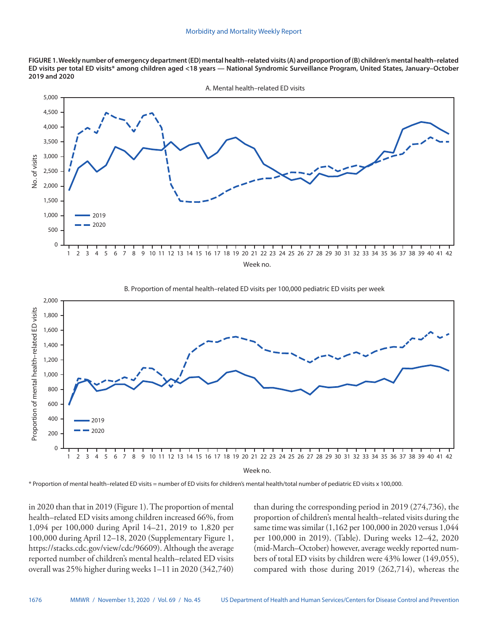**FIGURE 1. Weekly number of emergency department (ED) mental health–related visits (A) and proportion of (B) children's mental health–related ED visits per total ED visits\* among children aged <18 years — National Syndromic Surveillance Program, United States, January–October 2019 and 2020**





Week no.

\* Proportion of mental health–related ED visits = number of ED visits for children's mental health/total number of pediatric ED visits x 100,000.

in 2020 than that in 2019 (Figure 1). The proportion of mental health–related ED visits among children increased 66%, from 1,094 per 100,000 during April 14–21, 2019 to 1,820 per 100,000 during April 12–18, 2020 (Supplementary Figure 1, <https://stacks.cdc.gov/view/cdc/96609>). Although the average reported number of children's mental health–related ED visits overall was 25% higher during weeks 1–11 in 2020 (342,740) than during the corresponding period in 2019 (274,736), the proportion of children's mental health–related visits during the same time was similar (1,162 per 100,000 in 2020 versus 1,044 per 100,000 in 2019). (Table). During weeks 12–42, 2020 (mid-March–October) however, average weekly reported numbers of total ED visits by children were 43% lower (149,055), compared with those during 2019 (262,714), whereas the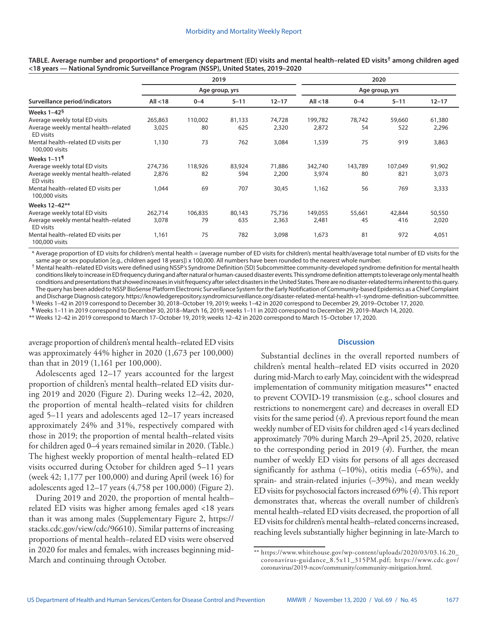|                                                          |            |                | 2019     |           |            |                | 2020     |           |
|----------------------------------------------------------|------------|----------------|----------|-----------|------------|----------------|----------|-----------|
|                                                          |            | Age group, yrs |          |           |            | Age group, yrs |          |           |
| Surveillance period/indicators                           | All $<$ 18 | $0 - 4$        | $5 - 11$ | $12 - 17$ | All $<$ 18 | $0 - 4$        | $5 - 11$ | $12 - 17$ |
| Weeks 1–42 $^{\S}$                                       |            |                |          |           |            |                |          |           |
| Average weekly total ED visits                           | 265,863    | 110,002        | 81,133   | 74,728    | 199,782    | 78,742         | 59,660   | 61,380    |
| Average weekly mental health-related<br>ED visits        | 3,025      | 80             | 625      | 2,320     | 2,872      | 54             | 522      | 2,296     |
| Mental health-related ED visits per<br>100,000 visits    | 1,130      | 73             | 762      | 3,084     | 1,539      | 75             | 919      | 3,863     |
| Weeks 1–11 $\P$                                          |            |                |          |           |            |                |          |           |
| Average weekly total ED visits                           | 274,736    | 118,926        | 83,924   | 71,886    | 342,740    | 143,789        | 107,049  | 91,902    |
| Average weekly mental health-related<br>ED visits        | 2,876      | 82             | 594      | 2,200     | 3,974      | 80             | 821      | 3,073     |
| Mental health-related ED visits per<br>100,000 visits    | 1,044      | 69             | 707      | 30,45     | 1,162      | 56             | 769      | 3,333     |
| Weeks 12-42**                                            |            |                |          |           |            |                |          |           |
| Average weekly total ED visits                           | 262,714    | 106,835        | 80,143   | 75,736    | 149,055    | 55,661         | 42,844   | 50,550    |
| Average weekly mental health-related<br><b>ED</b> visits | 3,078      | 79             | 635      | 2,363     | 2,481      | 45             | 416      | 2,020     |
| Mental health-related ED visits per<br>100,000 visits    | 1,161      | 75             | 782      | 3,098     | 1,673      | 81             | 972      | 4,051     |

**TABLE. Average number and proportions\* of emergency department (ED) visits and mental health–related ED visits† among children aged <18 years — National Syndromic Surveillance Program (NSSP), United States, 2019–2020**

\* Average proportion of ED visits for children's mental health = (average number of ED visits for children's mental health/average total number of ED visits for the same age or sex population [e.g., children aged 18 years]) x 100,000. All numbers have been rounded to the nearest whole number.

† Mental health–related ED visits were defined using NSSP's Syndrome Definition (SD) Subcommittee community-developed syndrome definition for mental health conditions likely to increase in ED frequency during and after natural or human-caused disaster events. This syndrome definition attempts to leverage only mental health conditions and presentations that showed increases in visit frequency after select disasters in the United States. There are no disaster-related terms inherent to this query. The query has been added to NSSP BioSense Platform Electronic Surveillance System for the Early Notification of Community-based Epidemics as a Chief Complaint and Discharge Diagnosis category.<https://knowledgerepository.syndromicsurveillance.org/disaster-related-mental-health-v1-syndrome-definition-subcommittee>.<br><sup>§</sup> Weeks 1–42 in 2019 correspond to December 30, 2018–October 19,

¶ Weeks 1–11 in 2019 correspond to December 30, 2018–March 16, 2019; weeks 1–11 in 2020 correspond to December 29, 2019–March 14, 2020.

\*\* Weeks 12–42 in 2019 correspond to March 17–October 19, 2019; weeks 12–42 in 2020 correspond to March 15–October 17, 2020.

average proportion of children's mental health–related ED visits was approximately 44% higher in 2020 (1,673 per 100,000) than that in 2019 (1,161 per 100,000).

Adolescents aged 12–17 years accounted for the largest proportion of children's mental health–related ED visits during 2019 and 2020 (Figure 2). During weeks 12–42, 2020, the proportion of mental health–related visits for children aged 5–11 years and adolescents aged 12–17 years increased approximately 24% and 31%, respectively compared with those in 2019; the proportion of mental health–related visits for children aged 0–4 years remained similar in 2020. (Table.) The highest weekly proportion of mental health–related ED visits occurred during October for children aged 5–11 years (week 42; 1,177 per 100,000) and during April (week 16) for adolescents aged 12–17 years (4,758 per 100,000) (Figure 2).

During 2019 and 2020, the proportion of mental health– related ED visits was higher among females aged <18 years than it was among males (Supplementary Figure 2, [https://](https://stacks.cdc.gov/view/cdc/96610) [stacks.cdc.gov/view/cdc/96610](https://stacks.cdc.gov/view/cdc/96610)). Similar patterns of increasing proportions of mental health–related ED visits were observed in 2020 for males and females, with increases beginning mid-March and continuing through October.

## **Discussion**

Substantial declines in the overall reported numbers of children's mental health–related ED visits occurred in 2020 during mid-March to early May, coincident with the widespread implementation of community mitigation measures\*\* enacted to prevent COVID-19 transmission (e.g., school closures and restrictions to nonemergent care) and decreases in overall ED visits for the same period (*4*). A previous report found the mean weekly number of ED visits for children aged <14 years declined approximately 70% during March 29–April 25, 2020, relative to the corresponding period in 2019 (*4*). Further, the mean number of weekly ED visits for persons of all ages decreased significantly for asthma  $(-10\%)$ , otitis media  $(-65\%)$ , and sprain- and strain-related injuries (–39%), and mean weekly ED visits for psychosocial factors increased 69% (*4*). This report demonstrates that, whereas the overall number of children's mental health–related ED visits decreased, the proportion of all ED visits for children's mental health–related concerns increased, reaching levels substantially higher beginning in late-March to

<sup>\*\*</sup> [https://www.whitehouse.gov/wp-content/uploads/2020/03/03.16.20\\_](https://www.whitehouse.gov/wp-content/uploads/2020/03/03.16.20_coronavirus-guidance_8.5x11_315PM.pdf) [coronavirus-guidance\\_8.5x11\\_315PM.pdf;](https://www.whitehouse.gov/wp-content/uploads/2020/03/03.16.20_coronavirus-guidance_8.5x11_315PM.pdf) [https://www.cdc.gov/](https://www.cdc.gov/coronavirus/2019-ncov/community/community-mitigation.html) [coronavirus/2019-ncov/community/community-mitigation.html.](https://www.cdc.gov/coronavirus/2019-ncov/community/community-mitigation.html)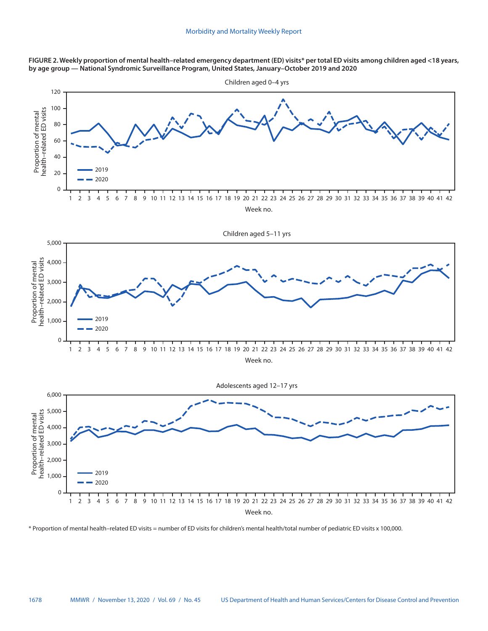**FIGURE 2. Weekly proportion of mental health–related emergency department (ED) visits\* per total ED visits among children aged <18 years, by age group — National Syndromic Surveillance Program, United States, January–October 2019 and 2020**



Week no.

\* Proportion of mental health–related ED visits = number of ED visits for children's mental health/total number of pediatric ED visits x 100,000.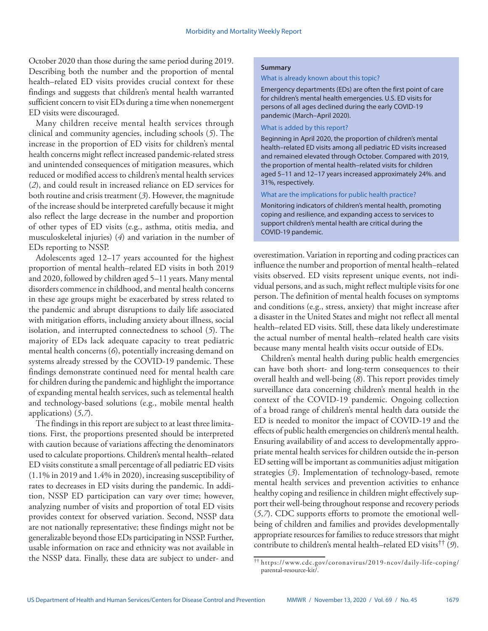October 2020 than those during the same period during 2019. Describing both the number and the proportion of mental health–related ED visits provides crucial context for these findings and suggests that children's mental health warranted sufficient concern to visit EDs during a time when nonemergent ED visits were discouraged.

Many children receive mental health services through clinical and community agencies, including schools (*5*). The increase in the proportion of ED visits for children's mental health concerns might reflect increased pandemic-related stress and unintended consequences of mitigation measures, which reduced or modified access to children's mental health services (*2*), and could result in increased reliance on ED services for both routine and crisis treatment (*3*). However, the magnitude of the increase should be interpreted carefully because it might also reflect the large decrease in the number and proportion of other types of ED visits (e.g., asthma, otitis media, and musculoskeletal injuries) (*4*) and variation in the number of EDs reporting to NSSP.

Adolescents aged 12–17 years accounted for the highest proportion of mental health–related ED visits in both 2019 and 2020, followed by children aged 5–11 years. Many mental disorders commence in childhood, and mental health concerns in these age groups might be exacerbated by stress related to the pandemic and abrupt disruptions to daily life associated with mitigation efforts, including anxiety about illness, social isolation, and interrupted connectedness to school (*5*). The majority of EDs lack adequate capacity to treat pediatric mental health concerns (*6*), potentially increasing demand on systems already stressed by the COVID-19 pandemic. These findings demonstrate continued need for mental health care for children during the pandemic and highlight the importance of expanding mental health services, such as telemental health and technology-based solutions (e.g., mobile mental health applications) (*5*,*7*).

The findings in this report are subject to at least three limitations. First, the proportions presented should be interpreted with caution because of variations affecting the denominators used to calculate proportions. Children's mental health–related ED visits constitute a small percentage of all pediatric ED visits (1.1% in 2019 and 1.4% in 2020), increasing susceptibility of rates to decreases in ED visits during the pandemic. In addition, NSSP ED participation can vary over time; however, analyzing number of visits and proportion of total ED visits provides context for observed variation. Second, NSSP data are not nationally representative; these findings might not be generalizable beyond those EDs participating in NSSP. Further, usable information on race and ethnicity was not available in the NSSP data. Finally, these data are subject to under- and

### **Summary**

#### What is already known about this topic?

Emergency departments (EDs) are often the first point of care for children's mental health emergencies. U.S. ED visits for persons of all ages declined during the early COVID-19 pandemic (March–April 2020).

## What is added by this report?

Beginning in April 2020, the proportion of children's mental health–related ED visits among all pediatric ED visits increased and remained elevated through October. Compared with 2019, the proportion of mental health–related visits for children aged 5–11 and 12–17 years increased approximately 24%. and 31%, respectively.

## What are the implications for public health practice?

Monitoring indicators of children's mental health, promoting coping and resilience, and expanding access to services to support children's mental health are critical during the COVID-19 pandemic.

overestimation. Variation in reporting and coding practices can influence the number and proportion of mental health–related visits observed. ED visits represent unique events, not individual persons, and as such, might reflect multiple visits for one person. The definition of mental health focuses on symptoms and conditions (e.g., stress, anxiety) that might increase after a disaster in the United States and might not reflect all mental health–related ED visits. Still, these data likely underestimate the actual number of mental health–related health care visits because many mental health visits occur outside of EDs.

Children's mental health during public health emergencies can have both short- and long-term consequences to their overall health and well-being (*8*). This report provides timely surveillance data concerning children's mental health in the context of the COVID-19 pandemic. Ongoing collection of a broad range of children's mental health data outside the ED is needed to monitor the impact of COVID-19 and the effects of public health emergencies on children's mental health. Ensuring availability of and access to developmentally appropriate mental health services for children outside the in-person ED setting will be important as communities adjust mitigation strategies (*3*). Implementation of technology-based, remote mental health services and prevention activities to enhance healthy coping and resilience in children might effectively support their well-being throughout response and recovery periods (*5*,*7*). CDC supports efforts to promote the emotional wellbeing of children and families and provides developmentally appropriate resources for families to reduce stressors that might contribute to children's mental health–related ED visits†† (*9*).

<sup>††</sup> [https://www.cdc.gov/coronavirus/2019-ncov/daily-life-coping/](https://www.cdc.gov/coronavirus/2019-ncov/daily-life-coping/parental-resource-kit/) [parental-resource-kit/](https://www.cdc.gov/coronavirus/2019-ncov/daily-life-coping/parental-resource-kit/).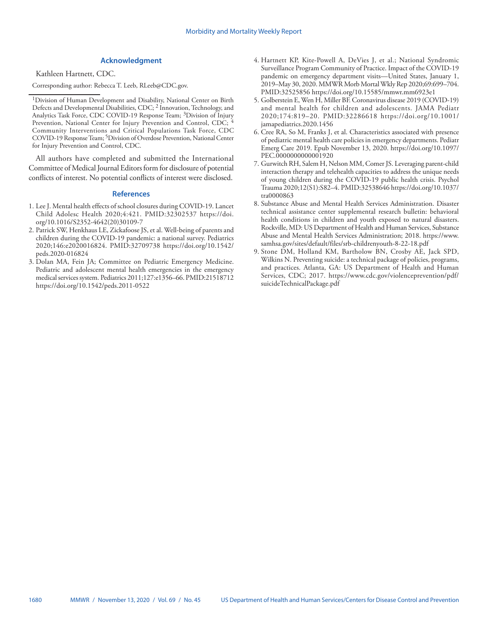## **Acknowledgment**

Kathleen Hartnett, CDC.

Corresponding author: Rebecca T. Leeb, [RLeeb@CDC.gov](mailto:RLeeb@CDC.gov).

All authors have completed and submitted the International Committee of Medical Journal Editors form for disclosure of potential conflicts of interest. No potential conflicts of interest were disclosed.

#### **References**

- 1. Lee J. Mental health effects of school closures during COVID-19. Lancet Child Adolesc Health 2020;4:421. [PMID:32302537](https://www.ncbi.nlm.nih.gov/entrez/query.fcgi?cmd=Retrieve&db=PubMed&list_uids=32302537&dopt=Abstract) [https://doi.](https://doi.org/10.1016/S2352-4642(20)30109-7) [org/10.1016/S2352-4642\(20\)30109-7](https://doi.org/10.1016/S2352-4642(20)30109-7)
- 2. Patrick SW, Henkhaus LE, Zickafoose JS, et al. Well-being of parents and children during the COVID-19 pandemic: a national survey. Pediatrics 2020;146:e2020016824. [PMID:32709738](https://www.ncbi.nlm.nih.gov/entrez/query.fcgi?cmd=Retrieve&db=PubMed&list_uids=32709738&dopt=Abstract) [https://doi.org/10.1542/](https://doi.org/10.1542/peds.2020-016824) [peds.2020-016824](https://doi.org/10.1542/peds.2020-016824)
- 3. Dolan MA, Fein JA; Committee on Pediatric Emergency Medicine. Pediatric and adolescent mental health emergencies in the emergency medical services system. Pediatrics 2011;127:e1356–66[. PMID:21518712](https://www.ncbi.nlm.nih.gov/entrez/query.fcgi?cmd=Retrieve&db=PubMed&list_uids=21518712&dopt=Abstract) <https://doi.org/10.1542/peds.2011-0522>
- 4. Hartnett KP, Kite-Powell A, DeVies J, et al.; National Syndromic Surveillance Program Community of Practice. Impact of the COVID-19 pandemic on emergency department visits—United States, January 1, 2019–May 30, 2020. MMWR Morb Mortal Wkly Rep 2020;69:699–704. [PMID:32525856](https://www.ncbi.nlm.nih.gov/entrez/query.fcgi?cmd=Retrieve&db=PubMed&list_uids=32525856&dopt=Abstract) <https://doi.org/10.15585/mmwr.mm6923e1>
- 5. Golberstein E, Wen H, Miller BF. Coronavirus disease 2019 (COVID-19) and mental health for children and adolescents. JAMA Pediatr 2020;174:819–20. [PMID:32286618](https://www.ncbi.nlm.nih.gov/entrez/query.fcgi?cmd=Retrieve&db=PubMed&list_uids=32286618&dopt=Abstract) [https://doi.org/10.1001/](https://doi.org/10.1001/jamapediatrics.2020.1456) [jamapediatrics.2020.1456](https://doi.org/10.1001/jamapediatrics.2020.1456)
- 6. Cree RA, So M, Franks J, et al. Characteristics associated with presence of pediatric mental health care policies in emergency departments. Pediatr Emerg Care 2019. Epub November 13, 2020. [https://doi.org/10.1097/](https://doi.org/10.1097/PEC.0000000000001920) [PEC.0000000000001920](https://doi.org/10.1097/PEC.0000000000001920)
- 7. Gurwitch RH, Salem H, Nelson MM, Comer JS. Leveraging parent-child interaction therapy and telehealth capacities to address the unique needs of young children during the COVID-19 public health crisis. Psychol Trauma 2020;12(S1):S82–4[. PMID:32538646](https://www.ncbi.nlm.nih.gov/entrez/query.fcgi?cmd=Retrieve&db=PubMed&list_uids=32538646&dopt=Abstract) [https://doi.org/10.1037/](https://doi.org/10.1037/tra0000863) [tra0000863](https://doi.org/10.1037/tra0000863)
- 8. Substance Abuse and Mental Health Services Administration. Disaster technical assistance center supplemental research bulletin: behavioral health conditions in children and youth exposed to natural disasters. Rockville, MD: US Department of Health and Human Services, Substance Abuse and Mental Health Services Administration; 2018. [https://www.](https://www.samhsa.gov/sites/default/files/srb-childrenyouth-8-22-18.pdf) [samhsa.gov/sites/default/files/srb-childrenyouth-8-22-18.pdf](https://www.samhsa.gov/sites/default/files/srb-childrenyouth-8-22-18.pdf)
- 9. Stone DM, Holland KM, Bartholow BN, Crosby AE, Jack SPD, Wilkins N. Preventing suicide: a technical package of policies, programs, and practices. Atlanta, GA: US Department of Health and Human Services, CDC; 2017. [https://www.cdc.gov/violenceprevention/pdf/](https://www.cdc.gov/violenceprevention/pdf/suicideTechnicalPackage.pdf) [suicideTechnicalPackage.pdf](https://www.cdc.gov/violenceprevention/pdf/suicideTechnicalPackage.pdf)

<sup>&</sup>lt;sup>1</sup>Division of Human Development and Disability, National Center on Birth Defects and Developmental Disabilities, CDC; 2 Innovation, Technology, and Analytics Task Force, CDC COVID-19 Response Team; <sup>3</sup>Division of Injury Prevention, National Center for Injury Prevention and Control, CDC; 4 Community Interventions and Critical Populations Task Force, CDC COVID-19 Response Team; 5Division of Overdose Prevention, National Center for Injury Prevention and Control, CDC.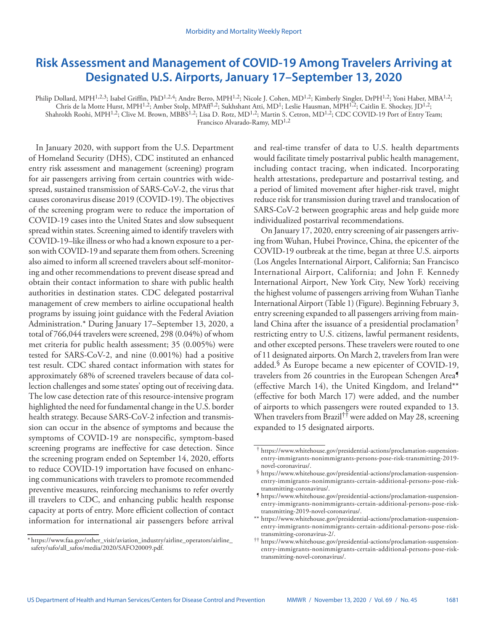# <span id="page-16-0"></span>**Risk Assessment and Management of COVID-19 Among Travelers Arriving at Designated U.S. Airports, January 17–September 13, 2020**

Philip Dollard, MPH<sup>1,2,3</sup>; Isabel Griffin, PhD<sup>1,2,4</sup>; Andre Berro, MPH<sup>1,2</sup>; Nicole J. Cohen, MD<sup>1,2</sup>; Kimberly Singler, DrPH<sup>1,2</sup>; Yoni Haber, MBA<sup>1,2</sup>; Chris de la Motte Hurst, MPH<sup>1,2</sup>; Amber Stolp, MPAff<sup>1,2</sup>; Sukhshant Atti, MD<sup>1</sup>; Leslie Hausman, MPH<sup>1,2</sup>; Caitlin E. Shockey, JD<sup>1,2</sup>; Shahrokh Roohi, MPH<sup>1,2</sup>; Clive M. Brown, MBBS<sup>1,2</sup>; Lisa D. Rotz, MD<sup>1,2</sup>; Martin S. Cetron, MD<sup>1,2</sup>; CDC COVID-19 Port of Entry Team;

Francisco Alvarado-Ramy, MD<sup>1,2</sup>

In January 2020, with support from the U.S. Department of Homeland Security (DHS), CDC instituted an enhanced entry risk assessment and management (screening) program for air passengers arriving from certain countries with widespread, sustained transmission of SARS-CoV-2, the virus that causes coronavirus disease 2019 (COVID-19). The objectives of the screening program were to reduce the importation of COVID-19 cases into the United States and slow subsequent spread within states. Screening aimed to identify travelers with COVID-19–like illness or who had a known exposure to a person with COVID-19 and separate them from others. Screening also aimed to inform all screened travelers about self-monitoring and other recommendations to prevent disease spread and obtain their contact information to share with public health authorities in destination states. CDC delegated postarrival management of crew members to airline occupational health programs by issuing joint guidance with the Federal Aviation Administration.\* During January 17–September 13, 2020, a total of 766,044 travelers were screened, 298 (0.04%) of whom met criteria for public health assessment; 35 (0.005%) were tested for SARS-CoV-2, and nine (0.001%) had a positive test result. CDC shared contact information with states for approximately 68% of screened travelers because of data collection challenges and some states' opting out of receiving data. The low case detection rate of this resource-intensive program highlighted the need for fundamental change in the U.S. border health strategy. Because SARS-CoV-2 infection and transmission can occur in the absence of symptoms and because the symptoms of COVID-19 are nonspecific, symptom-based screening programs are ineffective for case detection. Since the screening program ended on September 14, 2020, efforts to reduce COVID-19 importation have focused on enhancing communications with travelers to promote recommended preventive measures, reinforcing mechanisms to refer overtly ill travelers to CDC, and enhancing public health response capacity at ports of entry. More efficient collection of contact information for international air passengers before arrival

and real-time transfer of data to U.S. health departments would facilitate timely postarrival public health management, including contact tracing, when indicated. Incorporating health attestations, predeparture and postarrival testing, and a period of limited movement after higher-risk travel, might reduce risk for transmission during travel and translocation of SARS-CoV-2 between geographic areas and help guide more individualized postarrival recommendations.

On January 17, 2020, entry screening of air passengers arriving from Wuhan, Hubei Province, China, the epicenter of the COVID-19 outbreak at the time, began at three U.S. airports (Los Angeles International Airport, California; San Francisco International Airport, California; and John F. Kennedy International Airport, New York City, New York) receiving the highest volume of passengers arriving from Wuhan Tianhe International Airport (Table 1) (Figure). Beginning February 3, entry screening expanded to all passengers arriving from mainland China after the issuance of a presidential proclamation† restricting entry to U.S. citizens, lawful permanent residents, and other excepted persons. These travelers were routed to one of 11 designated airports. On March 2, travelers from Iran were added.§ As Europe became a new epicenter of COVID-19, travelers from 26 countries in the European Schengen Area¶ (effective March 14), the United Kingdom, and Ireland\*\* (effective for both March 17) were added, and the number of airports to which passengers were routed expanded to 13. When travelers from Brazil†† were added on May 28, screening expanded to 15 designated airports.

<sup>\*</sup> [https://www.faa.gov/other\\_visit/aviation\\_industry/airline\\_operators/airline\\_](https://www.faa.gov/other_visit/aviation_industry/airline_operators/airline_safety/safo/all_safos/media/2020/SAFO20009.pdf) [safety/safo/all\\_safos/media/2020/SAFO20009.pdf.](https://www.faa.gov/other_visit/aviation_industry/airline_operators/airline_safety/safo/all_safos/media/2020/SAFO20009.pdf)

<sup>†</sup> [https://www.whitehouse.gov/presidential-actions/proclamation-suspension](https://www.whitehouse.gov/presidential-actions/proclamation-suspension-entry-immigrants-nonimmigrants-persons-pose-risk-transmitting-2019-novel-coronavirus/)[entry-immigrants-nonimmigrants-persons-pose-risk-transmitting-2019](https://www.whitehouse.gov/presidential-actions/proclamation-suspension-entry-immigrants-nonimmigrants-persons-pose-risk-transmitting-2019-novel-coronavirus/) [novel-coronavirus/.](https://www.whitehouse.gov/presidential-actions/proclamation-suspension-entry-immigrants-nonimmigrants-persons-pose-risk-transmitting-2019-novel-coronavirus/) § [https://www.whitehouse.gov/presidential-actions/proclamation-suspension-](https://www.whitehouse.gov/presidential-actions/proclamation-suspension-entry-immigrants-nonimmigrants-certain-additional-persons-pose-risk-transmitting-coronavirus/)

[entry-immigrants-nonimmigrants-certain-additional-persons-pose-risk](https://www.whitehouse.gov/presidential-actions/proclamation-suspension-entry-immigrants-nonimmigrants-certain-additional-persons-pose-risk-transmitting-coronavirus/)[transmitting-coronavirus/.](https://www.whitehouse.gov/presidential-actions/proclamation-suspension-entry-immigrants-nonimmigrants-certain-additional-persons-pose-risk-transmitting-coronavirus/) ¶ [https://www.whitehouse.gov/presidential-actions/proclamation-suspension-](https://www.whitehouse.gov/presidential-actions/proclamation-suspension-entry-immigrants-nonimmigrants-certain-additional-persons-pose-risk-transmitting-2019-novel-coronavirus/)

[entry-immigrants-nonimmigrants-certain-additional-persons-pose-risk](https://www.whitehouse.gov/presidential-actions/proclamation-suspension-entry-immigrants-nonimmigrants-certain-additional-persons-pose-risk-transmitting-2019-novel-coronavirus/)[transmitting-2019-novel-coronavirus/.](https://www.whitehouse.gov/presidential-actions/proclamation-suspension-entry-immigrants-nonimmigrants-certain-additional-persons-pose-risk-transmitting-2019-novel-coronavirus/)

<sup>\*\*</sup> [https://www.whitehouse.gov/presidential-actions/proclamation-suspension](https://www.whitehouse.gov/presidential-actions/proclamation-suspension-entry-immigrants-nonimmigrants-certain-additional-persons-pose-risk-transmitting-coronavirus-2/)[entry-immigrants-nonimmigrants-certain-additional-persons-pose-risk](https://www.whitehouse.gov/presidential-actions/proclamation-suspension-entry-immigrants-nonimmigrants-certain-additional-persons-pose-risk-transmitting-coronavirus-2/)[transmitting-coronavirus-2/.](https://www.whitehouse.gov/presidential-actions/proclamation-suspension-entry-immigrants-nonimmigrants-certain-additional-persons-pose-risk-transmitting-coronavirus-2/) †† [https://www.whitehouse.gov/presidential-actions/proclamation-suspension-](https://www.whitehouse.gov/presidential-actions/proclamation-suspension-entry-immigrants-nonimmigrants-certain-additional-persons-pose-risk-transmitting-novel-coronavirus/)

[entry-immigrants-nonimmigrants-certain-additional-persons-pose-risk](https://www.whitehouse.gov/presidential-actions/proclamation-suspension-entry-immigrants-nonimmigrants-certain-additional-persons-pose-risk-transmitting-novel-coronavirus/)[transmitting-novel-coronavirus/](https://www.whitehouse.gov/presidential-actions/proclamation-suspension-entry-immigrants-nonimmigrants-certain-additional-persons-pose-risk-transmitting-novel-coronavirus/).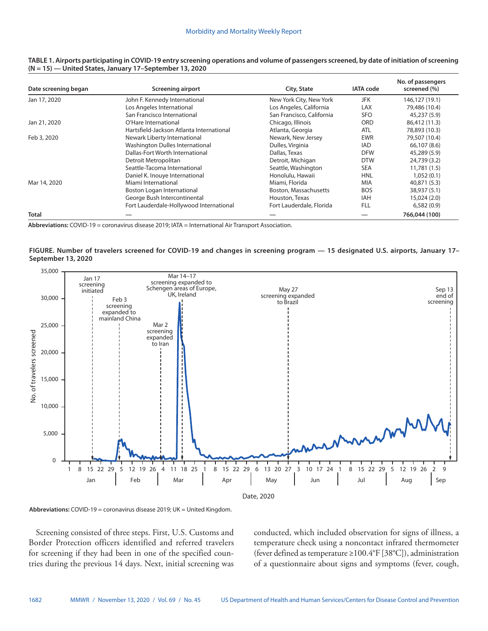| Date screening began | <b>Screening airport</b>                 | City, State               | <b>IATA</b> code | No. of passengers<br>screened (%) |
|----------------------|------------------------------------------|---------------------------|------------------|-----------------------------------|
| Jan 17, 2020         | John F. Kennedy International            | New York City, New York   | <b>JFK</b>       | 146,127 (19.1)                    |
|                      | Los Angeles International                | Los Angeles, California   | <b>LAX</b>       | 79,486 (10.4)                     |
|                      | San Francisco International              | San Francisco, California | <b>SFO</b>       | 45,237 (5.9)                      |
| Jan 21, 2020         | O'Hare International                     | Chicago, Illinois         | <b>ORD</b>       | 86,412 (11.3)                     |
|                      | Hartsfield-Jackson Atlanta International | Atlanta, Georgia          | <b>ATL</b>       | 78,893 (10.3)                     |
| Feb 3, 2020          | Newark Liberty International             | Newark, New Jersey        | <b>EWR</b>       | 79,507 (10.4)                     |
|                      | Washington Dulles International          | Dulles, Virginia          | <b>IAD</b>       | 66,107 (8.6)                      |
|                      | Dallas-Fort Worth International          | Dallas, Texas             | <b>DFW</b>       | 45,289 (5.9)                      |
|                      | Detroit Metropolitan                     | Detroit, Michigan         | <b>DTW</b>       | 24,739 (3.2)                      |
|                      | Seattle-Tacoma International             | Seattle, Washington       | <b>SEA</b>       | 11,781 (1.5)                      |
|                      | Daniel K. Inouye International           | Honolulu, Hawaii          | <b>HNL</b>       | 1,052(0.1)                        |
| Mar 14, 2020         | Miami International                      | Miami, Florida            | <b>MIA</b>       | 40,871 (5.3)                      |
|                      | Boston Logan International               | Boston, Massachusetts     | <b>BOS</b>       | 38,937 (5.1)                      |
|                      | George Bush Intercontinental             | Houston, Texas            | IAH              | 15,024 (2.0)                      |
|                      | Fort Lauderdale-Hollywood International  | Fort Lauderdale, Florida  | <b>FLL</b>       | 6,582(0.9)                        |
| <b>Total</b>         |                                          |                           |                  | 766,044 (100)                     |

#### **TABLE 1. Airports participating in COVID-19 entry screening operations and volume of passengers screened, by date of initiation of screening (N = 15) — United States, January 17–September 13, 2020**

**Abbreviations:** COVID-19 = coronavirus disease 2019; IATA = International Air Transport Association.

## **FIGURE. Number of travelers screened for COVID-19 and changes in screening program — 15 designated U.S. airports, January 17– September 13, 2020**



**Abbreviations:** COVID-19 = coronavirus disease 2019; UK = United Kingdom.

Screening consisted of three steps. First, U.S. Customs and Border Protection officers identified and referred travelers for screening if they had been in one of the specified countries during the previous 14 days. Next, initial screening was conducted, which included observation for signs of illness, a temperature check using a noncontact infrared thermometer (fever defined as temperature ≥100.4°F [38°C]), administration of a questionnaire about signs and symptoms (fever, cough,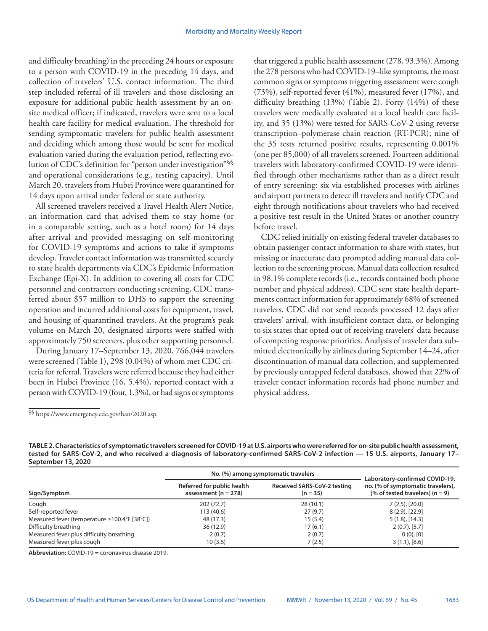and difficulty breathing) in the preceding 24 hours or exposure to a person with COVID-19 in the preceding 14 days, and collection of travelers' U.S. contact information. The third step included referral of ill travelers and those disclosing an exposure for additional public health assessment by an onsite medical officer; if indicated, travelers were sent to a local health care facility for medical evaluation. The threshold for sending symptomatic travelers for public health assessment and deciding which among those would be sent for medical evaluation varied during the evaluation period, reflecting evolution of CDC's definition for "person under investigation"§§ and operational considerations (e.g., testing capacity). Until March 20, travelers from Hubei Province were quarantined for 14 days upon arrival under federal or state authority.

All screened travelers received a Travel Health Alert Notice, an information card that advised them to stay home (or in a comparable setting, such as a hotel room) for 14 days after arrival and provided messaging on self-monitoring for COVID-19 symptoms and actions to take if symptoms develop. Traveler contact information was transmitted securely to state health departments via CDC's Epidemic Information Exchange (Epi-X). In addition to covering all costs for CDC personnel and contractors conducting screening, CDC transferred about \$57 million to DHS to support the screening operation and incurred additional costs for equipment, travel, and housing of quarantined travelers. At the program's peak volume on March 20, designated airports were staffed with approximately 750 screeners, plus other supporting personnel.

During January 17–September 13, 2020, 766,044 travelers were screened (Table 1), 298 (0.04%) of whom met CDC criteria for referral. Travelers were referred because they had either been in Hubei Province (16, 5.4%), reported contact with a person with COVID-19 (four, 1.3%), or had signs or symptoms that triggered a public health assessment (278, 93.3%). Among the 278 persons who had COVID-19–like symptoms, the most common signs or symptoms triggering assessment were cough (73%), self-reported fever (41%), measured fever (17%), and difficulty breathing (13%) (Table 2). Forty (14%) of these travelers were medically evaluated at a local health care facility, and 35 (13%) were tested for SARS-CoV-2 using reverse transcription–polymerase chain reaction (RT-PCR); nine of the 35 tests returned positive results, representing 0.001% (one per 85,000) of all travelers screened. Fourteen additional travelers with laboratory-confirmed COVID-19 were identified through other mechanisms rather than as a direct result of entry screening: six via established processes with airlines and airport partners to detect ill travelers and notify CDC and eight through notifications about travelers who had received a positive test result in the United States or another country before travel.

CDC relied initially on existing federal traveler databases to obtain passenger contact information to share with states, but missing or inaccurate data prompted adding manual data collection to the screening process. Manual data collection resulted in 98.1% complete records (i.e., records contained both phone number and physical address). CDC sent state health departments contact information for approximately 68% of screened travelers. CDC did not send records processed 12 days after travelers' arrival, with insufficient contact data, or belonging to six states that opted out of receiving travelers' data because of competing response priorities. Analysis of traveler data submitted electronically by airlines during September 14–24, after discontinuation of manual data collection, and supplemented by previously untapped federal databases, showed that 22% of traveler contact information records had phone number and physical address.

**TABLE 2. Characteristics of symptomatic travelers screened for COVID-19 at U.S. airports who were referred for on-site public health assessment, tested for SARS-CoV-2, and who received a diagnosis of laboratory-confirmed SARS-CoV-2 infection — 15 U.S. airports, January 17– September 13, 2020**

|                                                     |                                                        | No. (%) among symptomatic travelers              |                                                                                                          |  |
|-----------------------------------------------------|--------------------------------------------------------|--------------------------------------------------|----------------------------------------------------------------------------------------------------------|--|
| Sign/Symptom                                        | Referred for public health<br>assessment ( $n = 278$ ) | <b>Received SARS-CoV-2 testing</b><br>$(n = 35)$ | Laboratory-confirmed COVID-19,<br>no. (% of symptomatic travelers),<br>[% of tested travelers] $(n = 9)$ |  |
| Cough                                               | 202(72.7)                                              | 28(10.1)                                         | 7(2.5), [20.0]                                                                                           |  |
| Self-reported fever                                 | 113 (40.6)                                             | 27(9.7)                                          | $8(2.9)$ , [22.9]                                                                                        |  |
| Measured fever (temperature $\geq 100.4$ °F [38°C]) | 48 (17.3)                                              | 15(5.4)                                          | 5(1.8), [14.3]                                                                                           |  |
| Difficulty breathing                                | 36(12.9)                                               | 17 (6.1)                                         | 2(0.7), [5.7]                                                                                            |  |
| Measured fever plus difficulty breathing            | 2(0.7)                                                 | 2(0.7)                                           | 0(0), [0]                                                                                                |  |
| Measured fever plus cough                           | 10(3.6)                                                | 7(2.5)                                           | 3(1.1), [8.6]                                                                                            |  |

**Abbreviation:** COVID-19 = coronavirus disease 2019.

<sup>§§</sup> <https://www.emergency.cdc.gov/han/2020.asp>.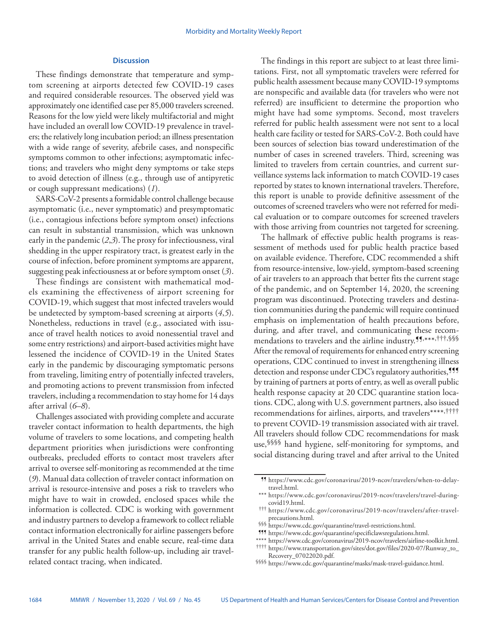## **Discussion**

These findings demonstrate that temperature and symptom screening at airports detected few COVID-19 cases and required considerable resources. The observed yield was approximately one identified case per 85,000 travelers screened. Reasons for the low yield were likely multifactorial and might have included an overall low COVID-19 prevalence in travelers; the relatively long incubation period; an illness presentation with a wide range of severity, afebrile cases, and nonspecific symptoms common to other infections; asymptomatic infections; and travelers who might deny symptoms or take steps to avoid detection of illness (e.g., through use of antipyretic or cough suppressant medications) (*1*).

SARS-CoV-2 presents a formidable control challenge because asymptomatic (i.e., never symptomatic) and presymptomatic (i.e., contagious infections before symptom onset) infections can result in substantial transmission, which was unknown early in the pandemic (*2*,*3*). The proxy for infectiousness, viral shedding in the upper respiratory tract, is greatest early in the course of infection, before prominent symptoms are apparent, suggesting peak infectiousness at or before symptom onset (*3*).

These findings are consistent with mathematical models examining the effectiveness of airport screening for COVID-19, which suggest that most infected travelers would be undetected by symptom-based screening at airports (*4*,*5*). Nonetheless, reductions in travel (e.g., associated with issuance of travel health notices to avoid nonessential travel and some entry restrictions) and airport-based activities might have lessened the incidence of COVID-19 in the United States early in the pandemic by discouraging symptomatic persons from traveling, limiting entry of potentially infected travelers, and promoting actions to prevent transmission from infected travelers, including a recommendation to stay home for 14 days after arrival (*6*–*8*).

Challenges associated with providing complete and accurate traveler contact information to health departments, the high volume of travelers to some locations, and competing health department priorities when jurisdictions were confronting outbreaks, precluded efforts to contact most travelers after arrival to oversee self-monitoring as recommended at the time (*9*). Manual data collection of traveler contact information on arrival is resource-intensive and poses a risk to travelers who might have to wait in crowded, enclosed spaces while the information is collected. CDC is working with government and industry partners to develop a framework to collect reliable contact information electronically for airline passengers before arrival in the United States and enable secure, real-time data transfer for any public health follow-up, including air travelrelated contact tracing, when indicated.

The findings in this report are subject to at least three limitations. First, not all symptomatic travelers were referred for public health assessment because many COVID-19 symptoms are nonspecific and available data (for travelers who were not referred) are insufficient to determine the proportion who might have had some symptoms. Second, most travelers referred for public health assessment were not sent to a local health care facility or tested for SARS-CoV-2. Both could have been sources of selection bias toward underestimation of the number of cases in screened travelers. Third, screening was limited to travelers from certain countries, and current surveillance systems lack information to match COVID-19 cases reported by states to known international travelers. Therefore, this report is unable to provide definitive assessment of the outcomes of screened travelers who were not referred for medical evaluation or to compare outcomes for screened travelers with those arriving from countries not targeted for screening.

The hallmark of effective public health programs is reassessment of methods used for public health practice based on available evidence. Therefore, CDC recommended a shift from resource-intensive, low-yield, symptom-based screening of air travelers to an approach that better fits the current stage of the pandemic, and on September 14, 2020, the screening program was discontinued. Protecting travelers and destination communities during the pandemic will require continued emphasis on implementation of health precautions before, during, and after travel, and communicating these recommendations to travelers and the airline industry.<sup>11,\*\*\*,†††,§§§</sup> After the removal of requirements for enhanced entry screening operations, CDC continued to invest in strengthening illness detection and response under CDC's regulatory authorities,<sup>555</sup> by training of partners at ports of entry, as well as overall public health response capacity at 20 CDC quarantine station locations. CDC, along with U.S. government partners, also issued recommendations for airlines, airports, and travelers\*\*\*\*,†††† to prevent COVID-19 transmission associated with air travel. All travelers should follow CDC recommendations for mask use,§§§§ hand hygiene, self-monitoring for symptoms, and social distancing during travel and after arrival to the United

§§§ [https://www.cdc.gov/quarantine/travel-restrictions.html.](https://www.cdc.gov/quarantine/travel-restrictions.html)<br>¶¶¶ [https://www.cdc.gov/quarantine/specificlawsregulations.html.](https://www.cdc.gov/quarantine/specificlawsregulations.html)<br>\*\*\*\* https://www.cdc.gov/coronavirus/2019-ncov/travelers/airline-toolkit.html.

<sup>¶¶</sup> [https://www.cdc.gov/coronavirus/2019-ncov/travelers/when-to-delay](https://www.cdc.gov/coronavirus/2019-ncov/travelers/when-to-delay-travel.html)[travel.html.](https://www.cdc.gov/coronavirus/2019-ncov/travelers/when-to-delay-travel.html)

<sup>\*\*\*</sup> https://www.cdc.gov/coronavirus/2019-ncov/travelers/travel-during-<br>covid19.html.

<sup>†††</sup> https://www.cdc.gov/coronavirus/2019-ncov/travelers/after-travel-<br>precautions.html.

<sup>\*\*\*\*</sup> [https://www.transportation.gov/sites/dot.gov/files/2020-07/Runway\\_to\\_](https://www.transportation.gov/sites/dot.gov/files/2020-07/Runway_to_Recovery_07022020.pdf)Recovery\_07022020.pdf.

<sup>§§§§</sup> <https://www.cdc.gov/quarantine/masks/mask-travel-guidance.html>.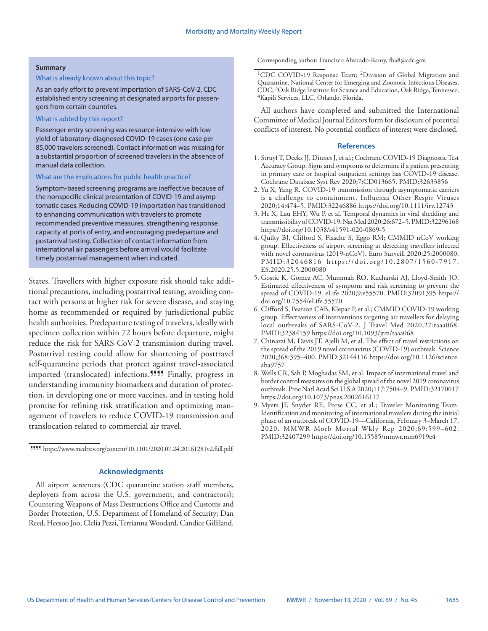#### **Summary**

### What is already known about this topic?

As an early effort to prevent importation of SARS-CoV-2, CDC established entry screening at designated airports for passengers from certain countries.

#### What is added by this report?

Passenger entry screening was resource-intensive with low yield of laboratory-diagnosed COVID-19 cases (one case per 85,000 travelers screened). Contact information was missing for a substantial proportion of screened travelers in the absence of manual data collection.

## What are the implications for public health practice?

Symptom-based screening programs are ineffective because of the nonspecific clinical presentation of COVID-19 and asymptomatic cases. Reducing COVID-19 importation has transitioned to enhancing communication with travelers to promote recommended preventive measures, strengthening response capacity at ports of entry, and encouraging predeparture and postarrival testing. Collection of contact information from international air passengers before arrival would facilitate timely postarrival management when indicated.

States. Travellers with higher exposure risk should take additional precautions, including postarrival testing, avoiding contact with persons at higher risk for severe disease, and staying home as recommended or required by jurisdictional public health authorities. Predeparture testing of travelers, ideally with specimen collection within 72 hours before departure, might reduce the risk for SARS-CoV-2 transmission during travel. Postarrival testing could allow for shortening of posttravel self-quarantine periods that protect against travel-associated imported (translocated) infections.<sup>1111</sup> Finally, progress in understanding immunity biomarkers and duration of protection, in developing one or more vaccines, and in testing hold promise for refining risk stratification and optimizing management of travelers to reduce COVID-19 transmission and translocation related to commercial air travel.

¶¶¶¶ <https://www.medrxiv.org/content/10.1101/2020.07.24.20161281v2.full.pdf>.

## **Acknowledgments**

All airport screeners (CDC quarantine station staff members, deployers from across the U.S. government, and contractors); Countering Weapons of Mass Destructions Office and Customs and Border Protection, U.S. Department of Homeland of Security; Dan Reed, Heesoo Joo, Clelia Pezzi, Terrianna Woodard, Candice Gilliland. Corresponding author: Francisco Alvarado-Ramy, [fba8@cdc.gov](mailto:fba8@cdc.gov).

<sup>1</sup>CDC COVID-19 Response Team; <sup>2</sup>Division of Global Migration and Quarantine, National Center for Emerging and Zoonotic Infectious Diseases, CDC; 3Oak Ridge Institute for Science and Education, Oak Ridge, Tennessee; 4Kapili Services, LLC, Orlando, Florida.

All authors have completed and submitted the International Committee of Medical Journal Editors form for disclosure of potential conflicts of interest. No potential conflicts of interest were disclosed.

#### **References**

- 1. Struyf T, Deeks JJ, Dinnes J, et al.; Cochrane COVID-19 Diagnostic Test Accuracy Group. Signs and symptoms to determine if a patient presenting in primary care or hospital outpatient settings has COVID-19 disease. Cochrane Database Syst Rev 2020;7:CD013665. [PMID:32633856](https://www.ncbi.nlm.nih.gov/entrez/query.fcgi?cmd=Retrieve&db=PubMed&list_uids=32633856&dopt=Abstract)
- 2. Yu X, Yang R. COVID-19 transmission through asymptomatic carriers is a challenge to containment. Influenza Other Respir Viruses 2020;14:474–5. [PMID:32246886](https://www.ncbi.nlm.nih.gov/entrez/query.fcgi?cmd=Retrieve&db=PubMed&list_uids=32246886&dopt=Abstract) <https://doi.org/10.1111/irv.12743>
- 3. He X, Lau EHY, Wu P, et al. Temporal dynamics in viral shedding and transmissibility of COVID-19. Nat Med 2020;26:672–5[. PMID:32296168](https://www.ncbi.nlm.nih.gov/entrez/query.fcgi?cmd=Retrieve&db=PubMed&list_uids=32296168&dopt=Abstract) <https://doi.org/10.1038/s41591-020-0869-5>
- 4. Quilty BJ, Clifford S, Flasche S, Eggo RM; CMMID nCoV working group. Effectiveness of airport screening at detecting travellers infected with novel coronavirus (2019-nCoV). Euro Surveill 2020;25:2000080. [PMID:32046816](https://www.ncbi.nlm.nih.gov/entrez/query.fcgi?cmd=Retrieve&db=PubMed&list_uids=32046816&dopt=Abstract) [https://doi.org/10.2807/1560-7917.](https://doi.org/10.2807/1560-7917.ES.2020.25.5.2000080) [ES.2020.25.5.2000080](https://doi.org/10.2807/1560-7917.ES.2020.25.5.2000080)
- 5. Gostic K, Gomez AC, Mummah RO, Kucharski AJ, Lloyd-Smith JO. Estimated effectiveness of symptom and risk screening to prevent the spread of COVID-19. eLife 2020;9:e55570[. PMID:32091395](https://www.ncbi.nlm.nih.gov/entrez/query.fcgi?cmd=Retrieve&db=PubMed&list_uids=32091395&dopt=Abstract) [https://](https://doi.org/10.7554/eLife.55570) [doi.org/10.7554/eLife.55570](https://doi.org/10.7554/eLife.55570)
- 6. Clifford S, Pearson CAB, Klepac P, et al.; CMMID COVID-19 working group. Effectiveness of interventions targeting air travellers for delaying local outbreaks of SARS-CoV-2. J Travel Med 2020;27:taaa068. [PMID:32384159](https://www.ncbi.nlm.nih.gov/entrez/query.fcgi?cmd=Retrieve&db=PubMed&list_uids=32384159&dopt=Abstract) <https://doi.org/10.1093/jtm/taaa068>
- 7. Chinazzi M, Davis JT, Ajelli M, et al. The effect of travel restrictions on the spread of the 2019 novel coronavirus (COVID-19) outbreak. Science 2020;368:395–400[. PMID:32144116](https://www.ncbi.nlm.nih.gov/entrez/query.fcgi?cmd=Retrieve&db=PubMed&list_uids=32144116&dopt=Abstract) [https://doi.org/10.1126/science.](https://doi.org/10.1126/science.aba9757) [aba9757](https://doi.org/10.1126/science.aba9757)
- 8. Wells CR, Sah P, Moghadas SM, et al. Impact of international travel and border control measures on the global spread of the novel 2019 coronavirus outbreak. Proc Natl Acad Sci U S A 2020;117:7504–9[. PMID:32170017](https://www.ncbi.nlm.nih.gov/entrez/query.fcgi?cmd=Retrieve&db=PubMed&list_uids=32170017&dopt=Abstract) <https://doi.org/10.1073/pnas.2002616117>
- 9. Myers JF, Snyder RE, Porse CC, et al.; Traveler Monitoring Team. Identification and monitoring of international travelers during the initial phase of an outbreak of COVID-19—California, February 3–March 17, 2020. MMWR Morb Mortal Wkly Rep 2020;69:599–602. [PMID:32407299](https://www.ncbi.nlm.nih.gov/entrez/query.fcgi?cmd=Retrieve&db=PubMed&list_uids=32407299&dopt=Abstract) <https://doi.org/10.15585/mmwr.mm6919e4>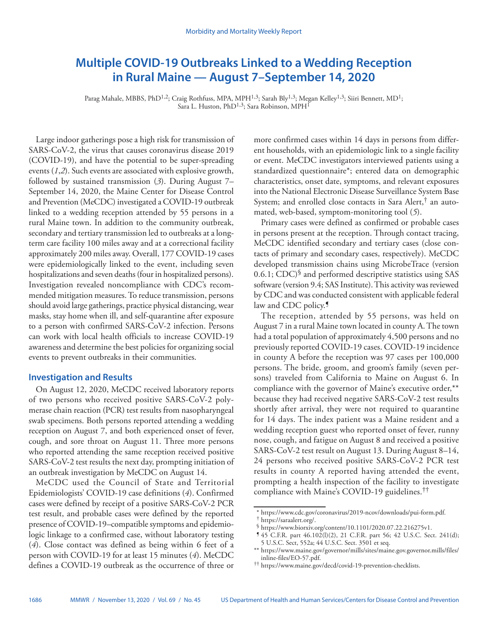# <span id="page-21-0"></span>**Multiple COVID-19 Outbreaks Linked to a Wedding Reception in Rural Maine — August 7–September 14, 2020**

Parag Mahale, MBBS, PhD<sup>1,2</sup>; Craig Rothfuss, MPA, MPH<sup>1,3</sup>; Sarah Bly<sup>1,3</sup>; Megan Kelley<sup>1,3</sup>; Siiri Bennett, MD<sup>1</sup>; Sara L. Huston, PhD<sup>1,3</sup>; Sara Robinson, MPH<sup>1</sup>

Large indoor gatherings pose a high risk for transmission of SARS-CoV-2, the virus that causes coronavirus disease 2019 (COVID-19), and have the potential to be super-spreading events (*1*,*2*). Such events are associated with explosive growth, followed by sustained transmission (*3*). During August 7– September 14, 2020, the Maine Center for Disease Control and Prevention (MeCDC) investigated a COVID-19 outbreak linked to a wedding reception attended by 55 persons in a rural Maine town. In addition to the community outbreak, secondary and tertiary transmission led to outbreaks at a longterm care facility 100 miles away and at a correctional facility approximately 200 miles away. Overall, 177 COVID-19 cases were epidemiologically linked to the event, including seven hospitalizations and seven deaths (four in hospitalized persons). Investigation revealed noncompliance with CDC's recommended mitigation measures. To reduce transmission, persons should avoid large gatherings, practice physical distancing, wear masks, stay home when ill, and self-quarantine after exposure to a person with confirmed SARS-CoV-2 infection. Persons can work with local health officials to increase COVID-19 awareness and determine the best policies for organizing social events to prevent outbreaks in their communities.

## **Investigation and Results**

On August 12, 2020, MeCDC received laboratory reports of two persons who received positive SARS-CoV-2 polymerase chain reaction (PCR) test results from nasopharyngeal swab specimens. Both persons reported attending a wedding reception on August 7, and both experienced onset of fever, cough, and sore throat on August 11. Three more persons who reported attending the same reception received positive SARS-CoV-2 test results the next day, prompting initiation of an outbreak investigation by MeCDC on August 14.

MeCDC used the Council of State and Territorial Epidemiologists' COVID-19 case definitions (*4*). Confirmed cases were defined by receipt of a positive SARS-CoV-2 PCR test result, and probable cases were defined by the reported presence of COVID-19–compatible symptoms and epidemiologic linkage to a confirmed case, without laboratory testing (*4*). Close contact was defined as being within 6 feet of a person with COVID-19 for at least 15 minutes (*4*). MeCDC defines a COVID-19 outbreak as the occurrence of three or

more confirmed cases within 14 days in persons from different households, with an epidemiologic link to a single facility or event. MeCDC investigators interviewed patients using a standardized questionnaire\*; entered data on demographic characteristics, onset date, symptoms, and relevant exposures into the National Electronic Disease Surveillance System Base System; and enrolled close contacts in Sara Alert,† an automated, web-based, symptom-monitoring tool (*5*).

Primary cases were defined as confirmed or probable cases in persons present at the reception. Through contact tracing, MeCDC identified secondary and tertiary cases (close contacts of primary and secondary cases, respectively). MeCDC developed transmission chains using MicrobeTrace (version 0.6.1; CDC)§ and performed descriptive statistics using SAS software (version 9.4; SAS Institute). This activity was reviewed by CDC and was conducted consistent with applicable federal law and CDC policy.

The reception, attended by 55 persons, was held on August 7 in a rural Maine town located in county A. The town had a total population of approximately 4,500 persons and no previously reported COVID-19 cases. COVID-19 incidence in county A before the reception was 97 cases per 100,000 persons. The bride, groom, and groom's family (seven persons) traveled from California to Maine on August 6. In compliance with the governor of Maine's executive order,\*\* because they had received negative SARS-CoV-2 test results shortly after arrival, they were not required to quarantine for 14 days. The index patient was a Maine resident and a wedding reception guest who reported onset of fever, runny nose, cough, and fatigue on August 8 and received a positive SARS-CoV-2 test result on August 13. During August 8–14, 24 persons who received positive SARS-CoV-2 PCR test results in county A reported having attended the event, prompting a health inspection of the facility to investigate compliance with Maine's COVID-19 guidelines.††

<sup>\*</sup> <https://www.cdc.gov/coronavirus/2019-ncov/downloads/pui-form.pdf>.<br>
<sup>†</sup> <https://saraalert.org/>.<br>
§ <https://www.biorxiv.org/content/10.1101/2020.07.22.216275v1>.<br>
§ 45 C.F.R. part 46.102(l)(2), 21 C.F.R. part 56; 42 U.S.C.

<sup>5</sup> U.S.C. Sect, 552a; 44 U.S.C. Sect. 3501 et seq.

<sup>\*\*</sup> [https://www.maine.gov/governor/mills/sites/maine.gov.governor.mills/files/](https://www.maine.gov/governor/mills/sites/maine.gov.governor.mills/files/inline-files/EO-57.pdf)

<sup>&</sup>lt;sup>††</sup> <https://www.maine.gov/decd/covid-19-prevention-checklists>.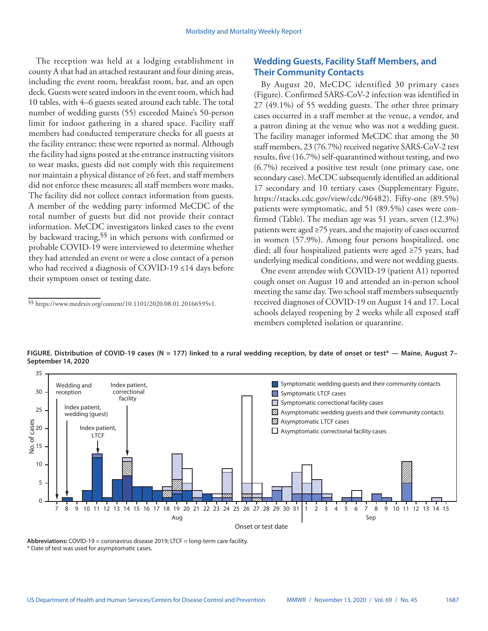The reception was held at a lodging establishment in county A that had an attached restaurant and four dining areas, including the event room, breakfast room, bar, and an open deck. Guests were seated indoors in the event room, which had 10 tables, with 4–6 guests seated around each table. The total number of wedding guests (55) exceeded Maine's 50-person limit for indoor gathering in a shared space. Facility staff members had conducted temperature checks for all guests at the facility entrance; these were reported as normal. Although the facility had signs posted at the entrance instructing visitors to wear masks, guests did not comply with this requirement nor maintain a physical distance of ≥6 feet, and staff members did not enforce these measures; all staff members wore masks. The facility did not collect contact information from guests. A member of the wedding party informed MeCDC of the total number of guests but did not provide their contact information. MeCDC investigators linked cases to the event by backward tracing,§§ in which persons with confirmed or probable COVID-19 were interviewed to determine whether they had attended an event or were a close contact of a person who had received a diagnosis of COVID-19 ≤14 days before their symptom onset or testing date.

## **Wedding Guests, Facility Staff Members, and Their Community Contacts**

By August 20, MeCDC identified 30 primary cases (Figure). Confirmed SARS-CoV-2 infection was identified in 27 (49.1%) of 55 wedding guests. The other three primary cases occurred in a staff member at the venue, a vendor, and a patron dining at the venue who was not a wedding guest. The facility manager informed MeCDC that among the 30 staff members, 23 (76.7%) received negative SARS-CoV-2 test results, five (16.7%) self-quarantined without testing, and two (6.7%) received a positive test result (one primary case, one secondary case). MeCDC subsequently identified an additional 17 secondary and 10 tertiary cases (Supplementary Figure, <https://stacks.cdc.gov/view/cdc/96482>). Fifty-one (89.5%) patients were symptomatic, and 51 (89.5%) cases were confirmed (Table). The median age was 51 years, seven (12.3%) patients were aged ≥75 years, and the majority of cases occurred in women (57.9%). Among four persons hospitalized, one died; all four hospitalized patients were aged ≥75 years, had underlying medical conditions, and were not wedding guests.

One event attendee with COVID-19 (patient A1) reported cough onset on August 10 and attended an in-person school meeting the same day. Two school staff members subsequently received diagnoses of COVID-19 on August 14 and 17. Local schools delayed reopening by 2 weeks while all exposed staff members completed isolation or quarantine.



**FIGURE. Distribution of COVID-19 cases (N = 177) linked to a rural wedding reception, by date of onset or test\* — Maine, August 7– September 14, 2020**

**Abbreviations:** COVID-19 = coronavirus disease 2019; LTCF = long-term care facility. \* Date of test was used for asymptomatic cases.

<sup>§§</sup> <https://www.medrxiv.org/content/10.1101/2020.08.01.20166595v1>.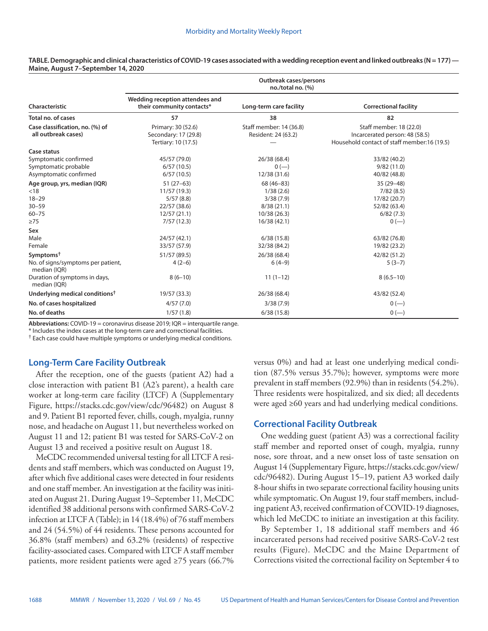|                                                                                          | Outbreak cases/persons<br>$no./total no.$ (%)                                        |                                                                                   |                                                                                                          |  |  |  |
|------------------------------------------------------------------------------------------|--------------------------------------------------------------------------------------|-----------------------------------------------------------------------------------|----------------------------------------------------------------------------------------------------------|--|--|--|
| Characteristic                                                                           | Wedding reception attendees and<br>their community contacts*                         | Long-term care facility                                                           | <b>Correctional facility</b>                                                                             |  |  |  |
| <b>Total no. of cases</b>                                                                | 57                                                                                   | 38                                                                                | 82                                                                                                       |  |  |  |
| Case classification, no. (%) of<br>all outbreak cases)                                   | Primary: 30 (52.6)<br>Secondary: 17 (29.8)<br>Tertiary: 10 (17.5)                    | Staff member: 14 (36.8)<br>Resident: 24 (63.2)                                    | Staff member: 18 (22.0)<br>Incarcerated person: 48 (58.5)<br>Household contact of staff member:16 (19.5) |  |  |  |
| Case status                                                                              |                                                                                      |                                                                                   |                                                                                                          |  |  |  |
| Symptomatic confirmed<br>Symptomatic probable<br>Asymptomatic confirmed                  | 45/57 (79.0)<br>6/57(10.5)<br>6/57(10.5)                                             | 26/38 (68.4)<br>$0 (-)$<br>12/38 (31.6)                                           | 33/82 (40.2)<br>9/82(11.0)<br>40/82 (48.8)                                                               |  |  |  |
| Age group, yrs, median (IQR)<br>< 18<br>$18 - 29$<br>$30 - 59$<br>$60 - 75$<br>$\geq 75$ | $51(27-63)$<br>11/57(19.3)<br>5/57(8.8)<br>22/57 (38.6)<br>12/57(21.1)<br>7/57(12.3) | 68 (46-83)<br>1/38(2.6)<br>3/38(7.9)<br>8/38(21.1)<br>10/38 (26.3)<br>16/38(42.1) | 35 (29-48)<br>7/82(8.5)<br>17/82 (20.7)<br>52/82 (63.4)<br>6/82(7.3)<br>$0 (-)$                          |  |  |  |
| Sex<br>Male                                                                              | 24/57 (42.1)                                                                         | 6/38(15.8)                                                                        | 63/82 (76.8)                                                                                             |  |  |  |
| Female                                                                                   | 33/57 (57.9)                                                                         | 32/38 (84.2)                                                                      | 19/82 (23.2)                                                                                             |  |  |  |
| Symptoms <sup>†</sup><br>No. of signs/symptoms per patient,<br>median (IQR)              | 51/57 (89.5)<br>$4(2-6)$                                                             | 26/38 (68.4)<br>$6(4-9)$                                                          | 42/82 (51.2)<br>$5(3-7)$                                                                                 |  |  |  |
| Duration of symptoms in days,<br>median (IQR)                                            | $8(6-10)$                                                                            | $11(1-12)$                                                                        | $8(6.5-10)$                                                                                              |  |  |  |
| Underlying medical conditions <sup>†</sup>                                               | 19/57 (33.3)                                                                         | 26/38 (68.4)                                                                      | 43/82 (52.4)                                                                                             |  |  |  |
| No. of cases hospitalized                                                                | 4/57(7.0)                                                                            | 3/38(7.9)                                                                         | $0 (-)$                                                                                                  |  |  |  |
| No. of deaths                                                                            | 1/57(1.8)                                                                            | 6/38(15.8)                                                                        | $0 (-)$                                                                                                  |  |  |  |

**TABLE. Demographic and clinical characteristics of COVID-19 cases associated with a wedding reception event and linked outbreaks (N = 177) — Maine, August 7–September 14, 2020**

**Abbreviations:** COVID-19 = coronavirus disease 2019; IQR = interquartile range.

\* Includes the index cases at the long-term care and correctional facilities.

† Each case could have multiple symptoms or underlying medical conditions.

## **Long-Term Care Facility Outbreak**

After the reception, one of the guests (patient A2) had a close interaction with patient B1 (A2's parent), a health care worker at long-term care facility (LTCF) A (Supplementary Figure, <https://stacks.cdc.gov/view/cdc/96482>) on August 8 and 9. Patient B1 reported fever, chills, cough, myalgia, runny nose, and headache on August 11, but nevertheless worked on August 11 and 12; patient B1 was tested for SARS-CoV-2 on August 13 and received a positive result on August 18.

MeCDC recommended universal testing for all LTCF A residents and staff members, which was conducted on August 19, after which five additional cases were detected in four residents and one staff member. An investigation at the facility was initiated on August 21. During August 19–September 11, MeCDC identified 38 additional persons with confirmed SARS-CoV-2 infection at LTCF A (Table); in 14 (18.4%) of 76 staff members and 24 (54.5%) of 44 residents. These persons accounted for 36.8% (staff members) and 63.2% (residents) of respective facility-associated cases. Compared with LTCF A staff member patients, more resident patients were aged ≥75 years (66.7% versus 0%) and had at least one underlying medical condition (87.5% versus 35.7%); however, symptoms were more prevalent in staff members (92.9%) than in residents (54.2%). Three residents were hospitalized, and six died; all decedents were aged ≥60 years and had underlying medical conditions.

## **Correctional Facility Outbreak**

One wedding guest (patient A3) was a correctional facility staff member and reported onset of cough, myalgia, runny nose, sore throat, and a new onset loss of taste sensation on August 14 (Supplementary Figure, [https://stacks.cdc.gov/view/](https://stacks.cdc.gov/view/cdc/96482) [cdc/96482](https://stacks.cdc.gov/view/cdc/96482)). During August 15–19, patient A3 worked daily 8-hour shifts in two separate correctional facility housing units while symptomatic. On August 19, four staff members, including patient A3, received confirmation of COVID-19 diagnoses, which led MeCDC to initiate an investigation at this facility.

By September 1, 18 additional staff members and 46 incarcerated persons had received positive SARS-CoV-2 test results (Figure). MeCDC and the Maine Department of Corrections visited the correctional facility on September 4 to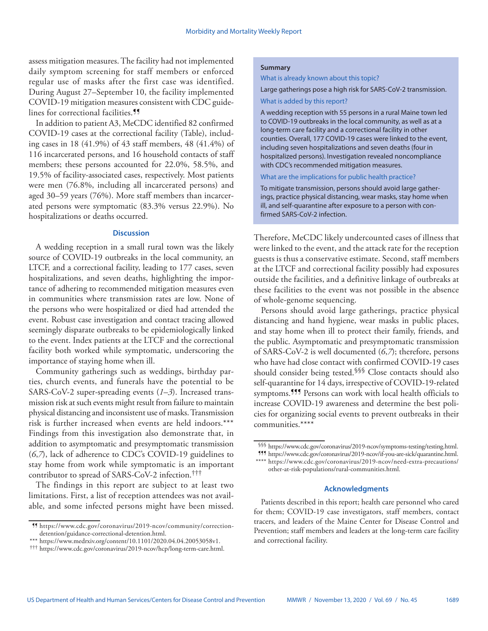assess mitigation measures. The facility had not implemented daily symptom screening for staff members or enforced regular use of masks after the first case was identified. During August 27–September 10, the facility implemented COVID-19 mitigation measures consistent with CDC guidelines for correctional facilities.<sup>99</sup>

In addition to patient A3, MeCDC identified 82 confirmed COVID-19 cases at the correctional facility (Table), including cases in 18 (41.9%) of 43 staff members, 48 (41.4%) of 116 incarcerated persons, and 16 household contacts of staff members; these persons accounted for 22.0%, 58.5%, and 19.5% of facility-associated cases, respectively. Most patients were men (76.8%, including all incarcerated persons) and aged 30–59 years (76%). More staff members than incarcerated persons were symptomatic (83.3% versus 22.9%). No hospitalizations or deaths occurred.

#### **Discussion**

A wedding reception in a small rural town was the likely source of COVID-19 outbreaks in the local community, an LTCF, and a correctional facility, leading to 177 cases, seven hospitalizations, and seven deaths, highlighting the importance of adhering to recommended mitigation measures even in communities where transmission rates are low. None of the persons who were hospitalized or died had attended the event. Robust case investigation and contact tracing allowed seemingly disparate outbreaks to be epidemiologically linked to the event. Index patients at the LTCF and the correctional facility both worked while symptomatic, underscoring the importance of staying home when ill.

Community gatherings such as weddings, birthday parties, church events, and funerals have the potential to be SARS-CoV-2 super-spreading events (*1*–*3*). Increased transmission risk at such events might result from failure to maintain physical distancing and inconsistent use of masks. Transmission risk is further increased when events are held indoors.\*\*\* Findings from this investigation also demonstrate that, in addition to asymptomatic and presymptomatic transmission (*6*,*7*), lack of adherence to CDC's COVID-19 guidelines to stay home from work while symptomatic is an important contributor to spread of SARS-CoV-2 infection.†††

The findings in this report are subject to at least two limitations. First, a list of reception attendees was not available, and some infected persons might have been missed.

#### **Summary**

What is already known about this topic?

Large gatherings pose a high risk for SARS-CoV-2 transmission.

#### What is added by this report?

A wedding reception with 55 persons in a rural Maine town led to COVID-19 outbreaks in the local community, as well as at a long-term care facility and a correctional facility in other counties. Overall, 177 COVID-19 cases were linked to the event, including seven hospitalizations and seven deaths (four in hospitalized persons). Investigation revealed noncompliance with CDC's recommended mitigation measures.

### What are the implications for public health practice?

To mitigate transmission, persons should avoid large gatherings, practice physical distancing, wear masks, stay home when ill, and self-quarantine after exposure to a person with confirmed SARS-CoV-2 infection.

Therefore, MeCDC likely undercounted cases of illness that were linked to the event, and the attack rate for the reception guests is thus a conservative estimate. Second, staff members at the LTCF and correctional facility possibly had exposures outside the facilities, and a definitive linkage of outbreaks at these facilities to the event was not possible in the absence of whole-genome sequencing.

Persons should avoid large gatherings, practice physical distancing and hand hygiene, wear masks in public places, and stay home when ill to protect their family, friends, and the public. Asymptomatic and presymptomatic transmission of SARS-CoV-2 is well documented (*6*,*7*); therefore, persons who have had close contact with confirmed COVID-19 cases should consider being tested.<sup>§§§</sup> Close contacts should also self-quarantine for 14 days, irrespective of COVID-19-related symptoms.<sup>999</sup> Persons can work with local health officials to increase COVID-19 awareness and determine the best policies for organizing social events to prevent outbreaks in their communities.\*\*\*\*

## **Acknowledgments**

Patients described in this report; health care personnel who cared for them; COVID-19 case investigators, staff members, contact tracers, and leaders of the Maine Center for Disease Control and Prevention; staff members and leaders at the long-term care facility and correctional facility.

<sup>¶¶</sup> [https://www.cdc.gov/coronavirus/2019-ncov/community/correction](https://www.cdc.gov/coronavirus/2019-ncov/community/correction-detention/guidance-correctional-detention.html)[detention/guidance-correctional-detention.html.](https://www.cdc.gov/coronavirus/2019-ncov/community/correction-detention/guidance-correctional-detention.html)

<sup>\*\*\*</sup> <https://www.medrxiv.org/content/10.1101/2020.04.04.20053058v1>. ††† [https://www.cdc.gov/coronavirus/2019-ncov/hcp/long-term-care.html.](https://www.cdc.gov/coronavirus/2019-ncov/hcp/long-term-care.html)

<sup>§§§</sup> <https://www.cdc.gov/coronavirus/2019-ncov/symptoms-testing/testing.html>. ¶¶¶ <https://www.cdc.gov/coronavirus/2019-ncov/if-you-are-sick/quarantine.html>.

<sup>\*\*\*\*</sup> [https://www.cdc.gov/coronavirus/2019-ncov/need-extra-precautions/](https://www.cdc.gov/coronavirus/2019-ncov/need-extra-precautions/other-at-risk-populations/rural-communities.html) [other-at-risk-populations/rural-communities.html.](https://www.cdc.gov/coronavirus/2019-ncov/need-extra-precautions/other-at-risk-populations/rural-communities.html)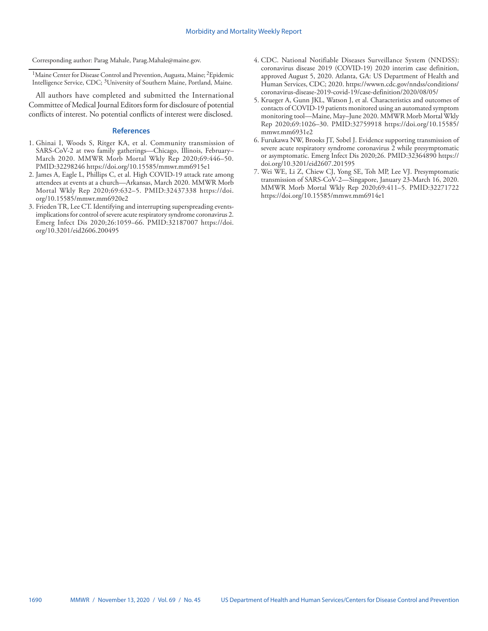Corresponding author: Parag Mahale, [Parag.Mahale@maine.gov](mailto:Parag.Mahale@maine.gov).

<sup>1</sup>Maine Center for Disease Control and Prevention, Augusta, Maine; <sup>2</sup>Epidemic Intelligence Service, CDC; 3University of Southern Maine, Portland, Maine.

All authors have completed and submitted the International Committee of Medical Journal Editors form for disclosure of potential conflicts of interest. No potential conflicts of interest were disclosed.

## **References**

- 1. Ghinai I, Woods S, Ritger KA, et al. Community transmission of SARS-CoV-2 at two family gatherings—Chicago, Illinois, February– March 2020. MMWR Morb Mortal Wkly Rep 2020;69:446–50. [PMID:32298246](https://www.ncbi.nlm.nih.gov/entrez/query.fcgi?cmd=Retrieve&db=PubMed&list_uids=32298246&dopt=Abstract) <https://doi.org/10.15585/mmwr.mm6915e1>
- 2. James A, Eagle L, Phillips C, et al. High COVID-19 attack rate among attendees at events at a church—Arkansas, March 2020. MMWR Morb Mortal Wkly Rep 2020;69:632–5. [PMID:32437338](https://www.ncbi.nlm.nih.gov/entrez/query.fcgi?cmd=Retrieve&db=PubMed&list_uids=32437338&dopt=Abstract) [https://doi.](https://doi.org/10.15585/mmwr.mm6920e2) [org/10.15585/mmwr.mm6920e2](https://doi.org/10.15585/mmwr.mm6920e2)
- 3. Frieden TR, Lee CT. Identifying and interrupting superspreading eventsimplications for control of severe acute respiratory syndrome coronavirus 2. Emerg Infect Dis 2020;26:1059–66[. PMID:32187007](https://www.ncbi.nlm.nih.gov/entrez/query.fcgi?cmd=Retrieve&db=PubMed&list_uids=32187007&dopt=Abstract) [https://doi.](https://doi.org/10.3201/eid2606.200495) [org/10.3201/eid2606.200495](https://doi.org/10.3201/eid2606.200495)
- 4. CDC. National Notifiable Diseases Surveillance System (NNDSS): coronavirus disease 2019 (COVID-19) 2020 interim case definition, approved August 5, 2020. Atlanta, GA: US Department of Health and Human Services, CDC; 2020. [https://wwwn.cdc.gov/nndss/conditions/](https://wwwn.cdc.gov/nndss/conditions/coronavirus-disease-2019-covid-19/case-definition/2020/08/05/) [coronavirus-disease-2019-covid-19/case-definition/2020/08/05/](https://wwwn.cdc.gov/nndss/conditions/coronavirus-disease-2019-covid-19/case-definition/2020/08/05/)
- 5. Krueger A, Gunn JKL, Watson J, et al. Characteristics and outcomes of contacts of COVID-19 patients monitored using an automated symptom monitoring tool—Maine, May–June 2020. MMWR Morb Mortal Wkly Rep 2020;69:1026–30. [PMID:32759918](https://www.ncbi.nlm.nih.gov/entrez/query.fcgi?cmd=Retrieve&db=PubMed&list_uids=32759918&dopt=Abstract) [https://doi.org/10.15585/](https://doi.org/10.15585/mmwr.mm6931e2) [mmwr.mm6931e2](https://doi.org/10.15585/mmwr.mm6931e2)
- 6. Furukawa NW, Brooks JT, Sobel J. Evidence supporting transmission of severe acute respiratory syndrome coronavirus 2 while presymptomatic or asymptomatic. Emerg Infect Dis 2020;26[. PMID:32364890](https://www.ncbi.nlm.nih.gov/entrez/query.fcgi?cmd=Retrieve&db=PubMed&list_uids=32364890&dopt=Abstract) [https://](https://doi.org/10.3201/eid2607.201595) [doi.org/10.3201/eid2607.201595](https://doi.org/10.3201/eid2607.201595)
- 7. Wei WE, Li Z, Chiew CJ, Yong SE, Toh MP, Lee VJ. Presymptomatic transmission of SARS-CoV-2—Singapore, January 23-March 16, 2020. MMWR Morb Mortal Wkly Rep 2020;69:411–5[. PMID:32271722](https://www.ncbi.nlm.nih.gov/entrez/query.fcgi?cmd=Retrieve&db=PubMed&list_uids=32271722&dopt=Abstract) <https://doi.org/10.15585/mmwr.mm6914e1>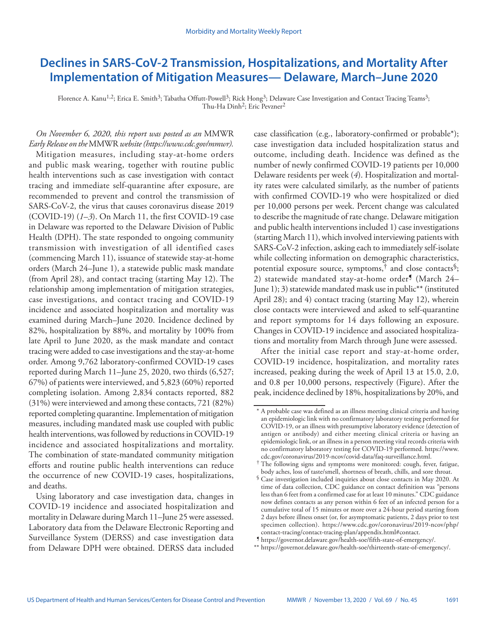# <span id="page-26-0"></span>**Declines in SARS-CoV-2 Transmission, Hospitalizations, and Mortality After Implementation of Mitigation Measures— Delaware, March–June 2020**

Florence A. Kanu<sup>1,2</sup>; Erica E. Smith<sup>3</sup>; Tabatha Offutt-Powell<sup>3</sup>; Rick Hong<sup>3</sup>; Delaware Case Investigation and Contact Tracing Teams<sup>3</sup>; Thu-Ha Dinh<sup>2</sup>; Eric Pevzner<sup>2</sup>

*On November 6, 2020, this report was posted as an* MMWR *Early Release on the* MMWR *website (<https://www.cdc.gov/mmwr>).*  Mitigation measures, including stay-at-home orders and public mask wearing, together with routine public health interventions such as case investigation with contact tracing and immediate self-quarantine after exposure, are recommended to prevent and control the transmission of SARS-CoV-2, the virus that causes coronavirus disease 2019 (COVID-19) (*1*–*3*). On March 11, the first COVID-19 case in Delaware was reported to the Delaware Division of Public Health (DPH). The state responded to ongoing community transmission with investigation of all identified cases (commencing March 11), issuance of statewide stay-at-home orders (March 24–June 1), a statewide public mask mandate (from April 28), and contact tracing (starting May 12). The relationship among implementation of mitigation strategies, case investigations, and contact tracing and COVID-19 incidence and associated hospitalization and mortality was examined during March–June 2020. Incidence declined by 82%, hospitalization by 88%, and mortality by 100% from late April to June 2020, as the mask mandate and contact tracing were added to case investigations and the stay-at-home order. Among 9,762 laboratory-confirmed COVID-19 cases reported during March 11–June 25, 2020, two thirds (6,527; 67%) of patients were interviewed, and 5,823 (60%) reported completing isolation. Among 2,834 contacts reported, 882 (31%) were interviewed and among these contacts, 721 (82%) reported completing quarantine. Implementation of mitigation measures, including mandated mask use coupled with public health interventions, was followed by reductions in COVID-19 incidence and associated hospitalizations and mortality. The combination of state-mandated community mitigation efforts and routine public health interventions can reduce the occurrence of new COVID-19 cases, hospitalizations, and deaths.

Using laboratory and case investigation data, changes in COVID-19 incidence and associated hospitalization and mortality in Delaware during March 11–June 25 were assessed. Laboratory data from the Delaware Electronic Reporting and Surveillance System (DERSS) and case investigation data from Delaware DPH were obtained. DERSS data included case classification (e.g., laboratory-confirmed or probable\*); case investigation data included hospitalization status and outcome, including death. Incidence was defined as the number of newly confirmed COVID-19 patients per 10,000 Delaware residents per week (*4*). Hospitalization and mortality rates were calculated similarly, as the number of patients with confirmed COVID-19 who were hospitalized or died per 10,000 persons per week. Percent change was calculated to describe the magnitude of rate change. Delaware mitigation and public health interventions included 1) case investigations (starting March 11), which involved interviewing patients with SARS-CoV-2 infection, asking each to immediately self-isolate while collecting information on demographic characteristics, potential exposure source, symptoms,<sup>†</sup> and close contacts<sup>§</sup>; 2) statewide mandated stay-at-home order<sup>9</sup> (March 24– June 1); 3) statewide mandated mask use in public\*\* (instituted April 28); and 4) contact tracing (starting May 12), wherein close contacts were interviewed and asked to self-quarantine and report symptoms for 14 days following an exposure. Changes in COVID-19 incidence and associated hospitalizations and mortality from March through June were assessed.

After the initial case report and stay-at-home order, COVID-19 incidence, hospitalization, and mortality rates increased, peaking during the week of April 13 at 15.0, 2.0, and 0.8 per 10,000 persons, respectively (Figure). After the peak, incidence declined by 18%, hospitalizations by 20%, and

<sup>\*</sup> A probable case was defined as an illness meeting clinical criteria and having an epidemiologic link with no confirmatory laboratory testing performed for COVID-19, or an illness with presumptive laboratory evidence (detection of antigen or antibody) and either meeting clinical criteria or having an epidemiologic link, or an illness in a person meeting vital records criteria with no confirmatory laboratory testing for COVID-19 performed. [https://www.](https://www.cdc.gov/coronavirus/2019-ncov/covid-data/faq-surveillance.html)<br>cdc.gov/coronavirus/2019-ncov/covid-data/faq-surveillance.html.

<sup>&</sup>lt;sup>†</sup> The following signs and symptoms were monitored: cough, fever, fatigue, body aches, loss of taste/smell, shortness of breath, chills, and sore throat.

<sup>§</sup> Case investigation included inquiries about close contacts in May 2020. At time of data collection, CDC guidance on contact definition was "persons less than 6 feet from a confirmed case for at least 10 minutes." CDC guidance now defines contacts as any person within 6 feet of an infected person for a cumulative total of 15 minutes or more over a 24-hour period starting from 2 days before illness onset (or, for asymptomatic patients, 2 days prior to test specimen collection). [https://www.cdc.gov/coronavirus/2019-ncov/php/](https://www.cdc.gov/coronavirus/2019-ncov/php/contact-tracing/contact-tracing-plan/appendix.html#con)<br>contact-tracing/contact-tracing-plan/appendix.html#contact.

 $9$  [https://governor.delaware.gov/health-soe/fifth-state-of-emergency/.](https://governor.delaware.gov/health-soe/fifth-state-of-emergency/)

<sup>\*\*</sup> <https://governor.delaware.gov/health-soe/thirteenth-state-of-emergency/>.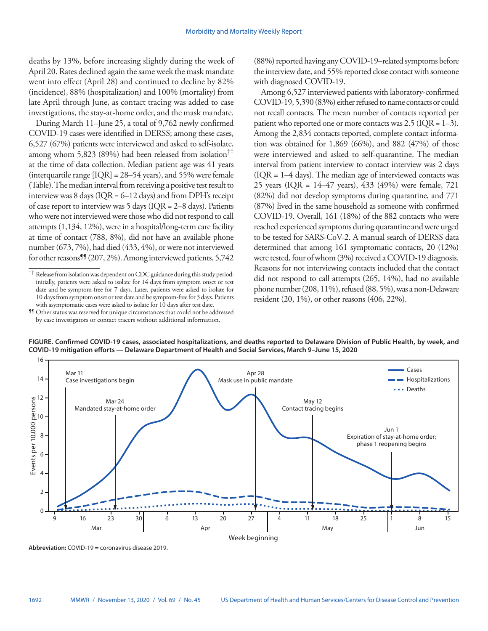deaths by 13%, before increasing slightly during the week of April 20. Rates declined again the same week the mask mandate went into effect (April 28) and continued to decline by 82% (incidence), 88% (hospitalization) and 100% (mortality) from late April through June, as contact tracing was added to case investigations, the stay-at-home order, and the mask mandate.

During March 11–June 25, a total of 9,762 newly confirmed COVID-19 cases were identified in DERSS; among these cases, 6,527 (67%) patients were interviewed and asked to self-isolate, among whom 5,823 (89%) had been released from isolation†† at the time of data collection. Median patient age was 41 years (interquartile range [IQR] = 28–54 years), and 55% were female (Table). The median interval from receiving a positive test result to interview was 8 days ( $IQR = 6-12$  days) and from DPH's receipt of case report to interview was 5 days (IQR = 2–8 days). Patients who were not interviewed were those who did not respond to call attempts (1,134, 12%), were in a hospital/long-term care facility at time of contact (788, 8%), did not have an available phone number (673, 7%), had died (433, 4%), or were not interviewed for other reasons<sup>99</sup> (207, 2%). Among interviewed patients, 5,742 (88%) reported having any COVID-19–related symptoms before the interview date, and 55% reported close contact with someone with diagnosed COVID-19.

Among 6,527 interviewed patients with laboratory-confirmed COVID-19, 5,390 (83%) either refused to name contacts or could not recall contacts. The mean number of contacts reported per patient who reported one or more contacts was  $2.5$  (IQR = 1–3). Among the 2,834 contacts reported, complete contact information was obtained for 1,869 (66%), and 882 (47%) of those were interviewed and asked to self-quarantine. The median interval from patient interview to contact interview was 2 days  $( IQR = 1-4 \text{ days}).$  The median age of interviewed contacts was 25 years (IQR = 14–47 years), 433 (49%) were female, 721 (82%) did not develop symptoms during quarantine, and 771 (87%) lived in the same household as someone with confirmed COVID-19. Overall, 161 (18%) of the 882 contacts who were reached experienced symptoms during quarantine and were urged to be tested for SARS-CoV-2. A manual search of DERSS data determined that among 161 symptomatic contacts, 20 (12%) were tested, four of whom (3%) received a COVID-19 diagnosis. Reasons for not interviewing contacts included that the contact did not respond to call attempts (265, 14%), had no available phone number (208, 11%), refused (88, 5%), was a non-Delaware resident (20, 1%), or other reasons (406, 22%).



**FIGURE. Confirmed COVID-19 cases, associated hospitalizations, and deaths reported to Delaware Division of Public Health, by week, and** 

<sup>††</sup> Release from isolation was dependent on CDC guidance during this study period: initially, patients were asked to isolate for 14 days from symptom onset or test date and be symptom-free for 7 days. Later, patients were asked to isolate for 10 days from symptom onset or test date and be symptom-free for 3 days. Patients with asymptomatic cases were asked to isolate for 10 days after test date.

<sup>¶¶</sup> Other status was reserved for unique circumstances that could not be addressed by case investigators or contact tracers without additional information.

**Abbreviation:** COVID-19 = coronavirus disease 2019.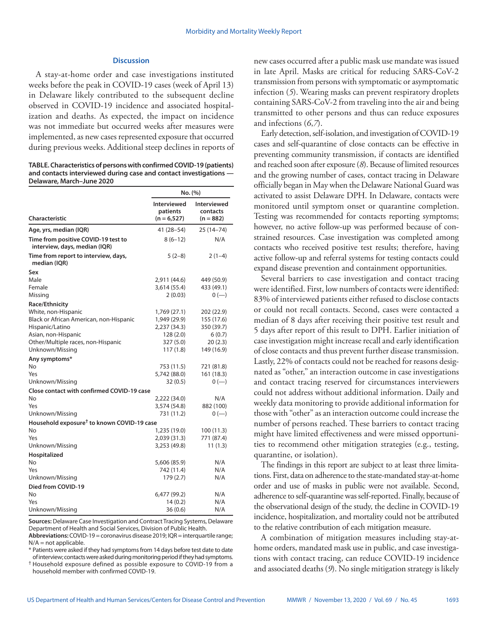## **Discussion**

A stay-at-home order and case investigations instituted weeks before the peak in COVID-19 cases (week of April 13) in Delaware likely contributed to the subsequent decline observed in COVID-19 incidence and associated hospitalization and deaths. As expected, the impact on incidence was not immediate but occurred weeks after measures were implemented, as new cases represented exposure that occurred during previous weeks. Additional steep declines in reports of

**TABLE. Characteristics of persons with confirmed COVID-19 (patients) and contacts interviewed during case and contact investigations — Delaware, March–June 2020**

|                                                                                                                                                                                                | No. (%)                                                                           |                                                                                      |  |
|------------------------------------------------------------------------------------------------------------------------------------------------------------------------------------------------|-----------------------------------------------------------------------------------|--------------------------------------------------------------------------------------|--|
| <b>Characteristic</b>                                                                                                                                                                          | Interviewed<br>patients<br>$(n = 6, 527)$                                         | Interviewed<br>contacts<br>$(n = 882)$                                               |  |
| Age, yrs, median (IQR)                                                                                                                                                                         | 41 (28–54)                                                                        | 25 (14–74)                                                                           |  |
| Time from positive COVID-19 test to<br>interview, days, median (IQR)                                                                                                                           | $8(6-12)$                                                                         | N/A                                                                                  |  |
| Time from report to interview, days,<br>median (IOR)                                                                                                                                           | $5(2-8)$                                                                          | $2(1-4)$                                                                             |  |
| Sex<br>Male<br>Female                                                                                                                                                                          | 2,911 (44.6)<br>3,614 (55.4)<br>2(0.03)                                           | 449 (50.9)<br>433 (49.1)                                                             |  |
| Missing<br>Race/Ethnicity<br>White, non-Hispanic<br>Black or African American, non-Hispanic<br>Hispanic/Latino<br>Asian, non-Hispanic<br>Other/Multiple races, non-Hispanic<br>Unknown/Missing | 1,769 (27.1)<br>1,949 (29.9)<br>2,237 (34.3)<br>128(2.0)<br>327 (5.0)<br>117(1.8) | $0 (-)$<br>202 (22.9)<br>155 (17.6)<br>350 (39.7)<br>6(0.7)<br>20(2.3)<br>149 (16.9) |  |
| Any symptoms*<br>No<br>Yes<br>Unknown/Missing                                                                                                                                                  | 753 (11.5)<br>5,742 (88.0)<br>32(0.5)                                             | 721 (81.8)<br>161 (18.3)<br>$0 (-)$                                                  |  |
| Close contact with confirmed COVID-19 case<br>No<br>Yes<br>Unknown/Missing                                                                                                                     | 2,222 (34.0)<br>3,574 (54.8)<br>731 (11.2)                                        | N/A<br>882 (100)<br>$0 (-)$                                                          |  |
| Household exposure <sup>†</sup> to known COVID-19 case<br><b>No</b><br>Yes<br>Unknown/Missing                                                                                                  | 1,235 (19.0)<br>2,039 (31.3)<br>3,253 (49.8)                                      | 100 (11.3)<br>771 (87.4)<br>11(1.3)                                                  |  |
| Hospitalized<br>No<br>Yes<br>Unknown/Missing                                                                                                                                                   | 5,606 (85.9)<br>742 (11.4)<br>179 (2.7)                                           | N/A<br>N/A<br>N/A                                                                    |  |
| Died from COVID-19<br>No<br>Yes<br>Unknown/Missing                                                                                                                                             | 6,477 (99.2)<br>14(0.2)<br>36 (0.6)                                               | N/A<br>N/A<br>N/A                                                                    |  |

**Sources:** Delaware Case Investigation and Contract Tracing Systems, Delaware Department of Health and Social Services, Division of Public Health.

**Abbreviations:** COVID-19 = coronavirus disease 2019; IQR = interquartile range; N/A = not applicable.

\* Patients were asked if they had symptoms from 14 days before test date to date of interview; contacts were asked during monitoring period if they had symptoms.

† Household exposure defined as possible exposure to COVID-19 from a household member with confirmed COVID-19.

new cases occurred after a public mask use mandate was issued in late April. Masks are critical for reducing SARS-CoV-2 transmission from persons with symptomatic or asymptomatic infection (*5*). Wearing masks can prevent respiratory droplets containing SARS-CoV-2 from traveling into the air and being transmitted to other persons and thus can reduce exposures and infections (*6*,*7*).

Early detection, self-isolation, and investigation of COVID-19 cases and self-quarantine of close contacts can be effective in preventing community transmission, if contacts are identified and reached soon after exposure (*8*). Because of limited resources and the growing number of cases, contact tracing in Delaware officially began in May when the Delaware National Guard was activated to assist Delaware DPH. In Delaware, contacts were monitored until symptom onset or quarantine completion. Testing was recommended for contacts reporting symptoms; however, no active follow-up was performed because of constrained resources. Case investigation was completed among contacts who received positive test results; therefore, having active follow-up and referral systems for testing contacts could expand disease prevention and containment opportunities.

Several barriers to case investigation and contact tracing were identified. First, low numbers of contacts were identified: 83% of interviewed patients either refused to disclose contacts or could not recall contacts. Second, cases were contacted a median of 8 days after receiving their positive test result and 5 days after report of this result to DPH. Earlier initiation of case investigation might increase recall and early identification of close contacts and thus prevent further disease transmission. Lastly, 22% of contacts could not be reached for reasons designated as "other," an interaction outcome in case investigations and contact tracing reserved for circumstances interviewers could not address without additional information. Daily and weekly data monitoring to provide additional information for those with "other" as an interaction outcome could increase the number of persons reached. These barriers to contact tracing might have limited effectiveness and were missed opportunities to recommend other mitigation strategies (e.g., testing, quarantine, or isolation).

The findings in this report are subject to at least three limitations. First, data on adherence to the state-mandated stay-at-home order and use of masks in public were not available. Second, adherence to self-quarantine was self-reported. Finally, because of the observational design of the study, the decline in COVID-19 incidence, hospitalization, and mortality could not be attributed to the relative contribution of each mitigation measure.

A combination of mitigation measures including stay-athome orders, mandated mask use in public, and case investigations with contact tracing, can reduce COVID-19 incidence and associated deaths (*9*). No single mitigation strategy is likely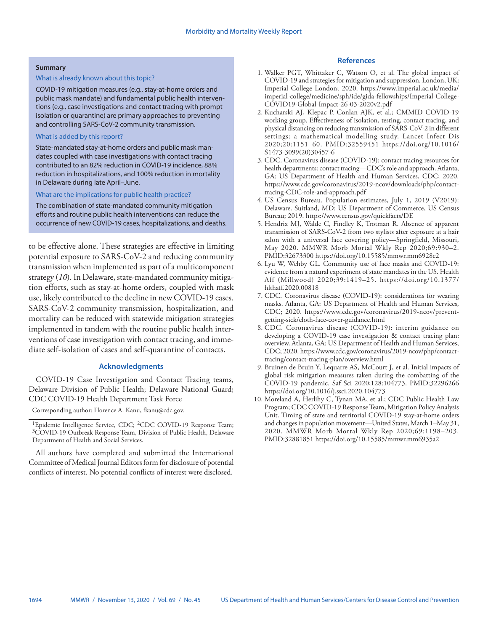#### **Summary**

### What is already known about this topic?

COVID-19 mitigation measures (e.g., stay-at-home orders and public mask mandate) and fundamental public health interventions (e.g., case investigations and contact tracing with prompt isolation or quarantine) are primary approaches to preventing and controlling SARS-CoV-2 community transmission.

## What is added by this report?

State-mandated stay-at-home orders and public mask mandates coupled with case investigations with contact tracing contributed to an 82% reduction in COVID-19 incidence, 88% reduction in hospitalizations, and 100% reduction in mortality in Delaware during late April–June.

#### What are the implications for public health practice?

The combination of state-mandated community mitigation efforts and routine public health interventions can reduce the occurrence of new COVID-19 cases, hospitalizations, and deaths.

to be effective alone. These strategies are effective in limiting potential exposure to SARS-CoV-2 and reducing community transmission when implemented as part of a multicomponent strategy (*10*). In Delaware, state-mandated community mitigation efforts, such as stay-at-home orders, coupled with mask use, likely contributed to the decline in new COVID-19 cases. SARS-CoV-2 community transmission, hospitalization, and mortality can be reduced with statewide mitigation strategies implemented in tandem with the routine public health interventions of case investigation with contact tracing, and immediate self-isolation of cases and self-quarantine of contacts.

## **Acknowledgments**

COVID-19 Case Investigation and Contact Tracing teams, Delaware Division of Public Health; Delaware National Guard; CDC COVID-19 Health Department Task Force

Corresponding author: Florence A. Kanu, [fkanu@cdc.gov](mailto:fkanu@cdc.gov).

All authors have completed and submitted the International Committee of Medical Journal Editors form for disclosure of potential conflicts of interest. No potential conflicts of interest were disclosed.

## **References**

- 1. Walker PGT, Whittaker C, Watson O, et al. The global impact of COVID-19 and strategies for mitigation and suppression. London, UK: Imperial College London; 2020. [https://www.imperial.ac.uk/media/](https://www.imperial.ac.uk/media/imperial-college/medicine/sph/ide/gida-fellowships/Imperial-College-COVID19-Global-Impact-26-03-2020v2.pdf) [imperial-college/medicine/sph/ide/gida-fellowships/Imperial-College-](https://www.imperial.ac.uk/media/imperial-college/medicine/sph/ide/gida-fellowships/Imperial-College-COVID19-Global-Impact-26-03-2020v2.pdf)[COVID19-Global-Impact-26-03-2020v2.pdf](https://www.imperial.ac.uk/media/imperial-college/medicine/sph/ide/gida-fellowships/Imperial-College-COVID19-Global-Impact-26-03-2020v2.pdf)
- 2. Kucharski AJ, Klepac P, Conlan AJK, et al.; CMMID COVID-19 working group. Effectiveness of isolation, testing, contact tracing, and physical distancing on reducing transmission of SARS-CoV-2 in different settings: a mathematical modelling study. Lancet Infect Dis 2020;20:1151–60. PMID:32559451 [https://doi.org/10.1016/](https://doi.org/10.1016/S1473-3099(20)30457-6) [S1473-3099\(20\)30457-6](https://doi.org/10.1016/S1473-3099(20)30457-6)
- 3. CDC. Coronavirus disease (COVID-19): contact tracing resources for health departments: contact tracing—CDC's role and approach. Atlanta, GA: US Department of Health and Human Services, CDC; 2020. [https://www.cdc.gov/coronavirus/2019-ncov/downloads/php/contact](https://www.cdc.gov/coronavirus/2019-ncov/downloads/php/contact-tracing-CDC-role-and-approach.pdf)[tracing-CDC-role-and-approach.pdf](https://www.cdc.gov/coronavirus/2019-ncov/downloads/php/contact-tracing-CDC-role-and-approach.pdf)
- 4. US Census Bureau. Population estimates, July 1, 2019 (V2019): Delaware. Suitland, MD: US Department of Commerce, US Census Bureau; 2019. <https://www.census.gov/quickfacts/DE>
- 5. Hendrix MJ, Walde C, Findley K, Trotman R. Absence of apparent transmission of SARS-CoV-2 from two stylists after exposure at a hair salon with a universal face covering policy—Springfield, Missouri, May 2020. MMWR Morb Mortal Wkly Rep 2020;69:930–2. PMID:32673300 <https://doi.org/10.15585/mmwr.mm6928e2>
- 6. Lyu W, Wehby GL. Community use of face masks and COVID-19: evidence from a natural experiment of state mandates in the US. Health Aff (Millwood) 2020;39:1419–25. [https://doi.org/10.1377/](https://doi.org/10.1377/hlthaff.2020.00818) [hlthaff.2020.00818](https://doi.org/10.1377/hlthaff.2020.00818)
- 7. CDC. Coronavirus disease (COVID-19): considerations for wearing masks. Atlanta, GA: US Department of Health and Human Services, CDC; 2020. [https://www.cdc.gov/coronavirus/2019-ncov/prevent](https://www.cdc.gov/coronavirus/2019-ncov/prevent-getting-sick/cloth-face-cover-guidance.html)[getting-sick/cloth-face-cover-guidance.html](https://www.cdc.gov/coronavirus/2019-ncov/prevent-getting-sick/cloth-face-cover-guidance.html)
- 8. CDC. Coronavirus disease (COVID-19): interim guidance on developing a COVID-19 case investigation & contact tracing plan: overview. Atlanta, GA: US Department of Health and Human Services, CDC; 2020. [https://www.cdc.gov/coronavirus/2019-ncov/php/contact](https://www.cdc.gov/coronavirus/2019-ncov/php/contact-tracing/contact-tracing-plan/overview.html)[tracing/contact-tracing-plan/overview.html](https://www.cdc.gov/coronavirus/2019-ncov/php/contact-tracing/contact-tracing-plan/overview.html)
- 9. Bruinen de Bruin Y, Lequarre AS, McCourt J, et al. Initial impacts of global risk mitigation measures taken during the combatting of the COVID-19 pandemic. Saf Sci 2020;128:104773. PMID:32296266 <https://doi.org/10.1016/j.ssci.2020.104773>
- 10. Moreland A, Herlihy C, Tynan MA, et al.; CDC Public Health Law Program; CDC COVID-19 Response Team, Mitigation Policy Analysis Unit. Timing of state and territorial COVID-19 stay-at-home orders and changes in population movement—United States, March 1–May 31, 2020. MMWR Morb Mortal Wkly Rep 2020;69:1198–203. PMID:32881851 <https://doi.org/10.15585/mmwr.mm6935a2>

<sup>&</sup>lt;sup>1</sup>Epidemic Intelligence Service, CDC; <sup>2</sup>CDC COVID-19 Response Team; 3COVID-19 Outbreak Response Team, Division of Public Health, Delaware Department of Health and Social Services.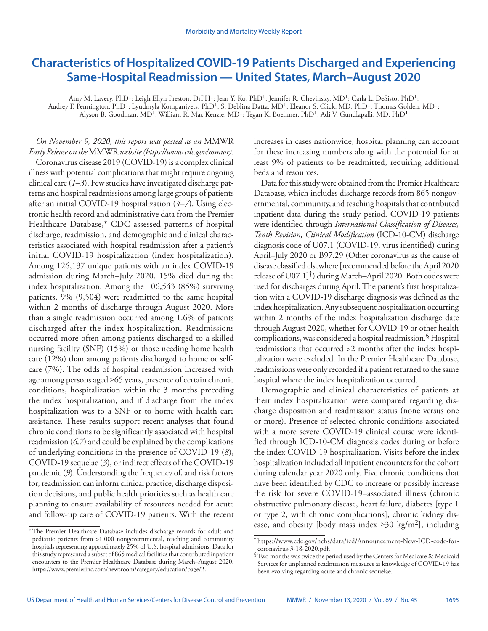# <span id="page-30-0"></span>**Characteristics of Hospitalized COVID-19 Patients Discharged and Experiencing Same-Hospital Readmission — United States, March–August 2020**

Amy M. Lavery, PhD<sup>1</sup>; Leigh Ellyn Preston, DrPH<sup>1</sup>; Jean Y. Ko, PhD<sup>1</sup>; Jennifer R. Chevinsky, MD<sup>1</sup>; Carla L. DeSisto, PhD<sup>1</sup>; Audrey F. Pennington, PhD<sup>1</sup>; Lyudmyla Kompaniyets, PhD<sup>1</sup>; S. Deblina Datta, MD<sup>1</sup>; Eleanor S. Click, MD, PhD<sup>1</sup>; Thomas Golden, MD<sup>1</sup>; Alyson B. Goodman, MD<sup>1</sup>; William R. Mac Kenzie, MD<sup>1</sup>; Tegan K. Boehmer, PhD<sup>1</sup>; Adi V. Gundlapalli, MD, PhD<sup>1</sup>

## *On November 9, 2020, this report was posted as an* MMWR *Early Release on the* MMWR *website (<https://www.cdc.gov/mmwr>).*

Coronavirus disease 2019 (COVID-19) is a complex clinical illness with potential complications that might require ongoing clinical care (*1*–*3*). Few studies have investigated discharge patterns and hospital readmissions among large groups of patients after an initial COVID-19 hospitalization (*4*–*7*). Using electronic health record and administrative data from the Premier Healthcare Database,\* CDC assessed patterns of hospital discharge, readmission, and demographic and clinical characteristics associated with hospital readmission after a patient's initial COVID-19 hospitalization (index hospitalization). Among 126,137 unique patients with an index COVID-19 admission during March–July 2020, 15% died during the index hospitalization. Among the 106,543 (85%) surviving patients, 9% (9,504) were readmitted to the same hospital within 2 months of discharge through August 2020. More than a single readmission occurred among 1.6% of patients discharged after the index hospitalization. Readmissions occurred more often among patients discharged to a skilled nursing facility (SNF) (15%) or those needing home health care (12%) than among patients discharged to home or selfcare (7%). The odds of hospital readmission increased with age among persons aged ≥65 years, presence of certain chronic conditions, hospitalization within the 3 months preceding the index hospitalization, and if discharge from the index hospitalization was to a SNF or to home with health care assistance. These results support recent analyses that found chronic conditions to be significantly associated with hospital readmission (*6,7*) and could be explained by the complications of underlying conditions in the presence of COVID-19 (*8*), COVID-19 sequelae (*3*), or indirect effects of the COVID-19 pandemic (*9*). Understanding the frequency of, and risk factors for, readmission can inform clinical practice, discharge disposition decisions, and public health priorities such as health care planning to ensure availability of resources needed for acute and follow-up care of COVID-19 patients. With the recent increases in cases nationwide, hospital planning can account for these increasing numbers along with the potential for at least 9% of patients to be readmitted, requiring additional beds and resources.

Data for this study were obtained from the Premier Healthcare Database, which includes discharge records from 865 nongovernmental, community, and teaching hospitals that contributed inpatient data during the study period. COVID-19 patients were identified through *International Classification of Diseases, Tenth Revision, Clinical Modification* (ICD-10-CM) discharge diagnosis code of U07.1 (COVID-19, virus identified) during April–July 2020 or B97.29 (Other coronavirus as the cause of disease classified elsewhere [recommended before the April 2020 release of U07.1]†) during March–April 2020. Both codes were used for discharges during April. The patient's first hospitalization with a COVID-19 discharge diagnosis was defined as the index hospitalization. Any subsequent hospitalization occurring within 2 months of the index hospitalization discharge date through August 2020, whether for COVID-19 or other health complications, was considered a hospital readmission.§ Hospital readmissions that occurred >2 months after the index hospitalization were excluded. In the Premier Healthcare Database, readmissions were only recorded if a patient returned to the same hospital where the index hospitalization occurred.

Demographic and clinical characteristics of patients at their index hospitalization were compared regarding discharge disposition and readmission status (none versus one or more). Presence of selected chronic conditions associated with a more severe COVID-19 clinical course were identified through ICD-10-CM diagnosis codes during or before the index COVID-19 hospitalization. Visits before the index hospitalization included all inpatient encounters for the cohort during calendar year 2020 only. Five chronic conditions that have been identified by CDC to increase or possibly increase the risk for severe COVID-19–associated illness (chronic obstructive pulmonary disease, heart failure, diabetes [type 1 or type 2, with chronic complications], chronic kidney disease, and obesity [body mass index  $\geq 30 \text{ kg/m}^2$ ], including

<sup>\*</sup>The Premier Healthcare Database includes discharge records for adult and pediatric patients from >1,000 nongovernmental, teaching and community hospitals representing approximately 25% of U.S. hospital admissions. Data for this study represented a subset of 865 medical facilities that contributed inpatient encounters to the Premier Healthcare Database during March–August 2020. [https://www.premierinc.com/newsroom/category/education/page/2.](https://www.premierinc.com/newsroom/category/education/page/2)

<sup>†</sup> [https://www.cdc.gov/nchs/data/icd/Announcement-New-ICD-code-for-](https://www.cdc.gov/nchs/data/icd/Announcement-New-ICD-code-for-coronavirus-3-18-2020.pdf)

 $^\circ$  Two months was twice the period used by the Centers for Medicare & Medicaid Services for unplanned readmission measures as knowledge of COVID-19 has been evolving regarding acute and chronic sequelae.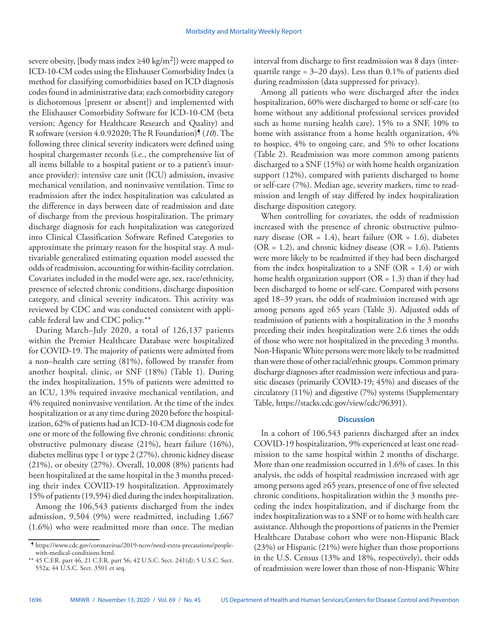severe obesity, [body mass index  $\geq 40 \text{ kg/m}^2$ ]) were mapped to ICD-10-CM codes using the Elixhauser Comorbidity Index (a method for classifying comorbidities based on ICD diagnosis codes found in administrative data; each comorbidity category is dichotomous [present or absent]) and implemented with the Elixhauser Comorbidity Software for ICD-10-CM (beta version; Agency for Healthcare Research and Quality) and R software (version 4.0.92020; The R Foundation)¶ (*10*). The following three clinical severity indicators were defined using hospital chargemaster records (i.e., the comprehensive list of all items billable to a hospital patient or to a patient's insurance provider): intensive care unit (ICU) admission, invasive mechanical ventilation, and noninvasive ventilation. Time to readmission after the index hospitalization was calculated as the difference in days between date of readmission and date of discharge from the previous hospitalization. The primary discharge diagnosis for each hospitalization was categorized into Clinical Classification Software Refined Categories to approximate the primary reason for the hospital stay. A multivariable generalized estimating equation model assessed the odds of readmission, accounting for within-facility correlation. Covariates included in the model were age, sex, race/ethnicity, presence of selected chronic conditions, discharge disposition category, and clinical severity indicators. This activity was reviewed by CDC and was conducted consistent with applicable federal law and CDC policy.\*\*

During March–July 2020, a total of 126,137 patients within the Premier Healthcare Database were hospitalized for COVID-19. The majority of patients were admitted from a non–health care setting (81%), followed by transfer from another hospital, clinic, or SNF (18%) (Table 1). During the index hospitalization, 15% of patients were admitted to an ICU, 13% required invasive mechanical ventilation, and 4% required noninvasive ventilation. At the time of the index hospitalization or at any time during 2020 before the hospitalization, 62% of patients had an ICD-10-CM diagnosis code for one or more of the following five chronic conditions: chronic obstructive pulmonary disease (21%), heart failure (16%), diabetes mellitus type 1 or type 2 (27%), chronic kidney disease (21%), or obesity (27%). Overall, 10,008 (8%) patients had been hospitalized at the same hospital in the 3 months preceding their index COVID-19 hospitalization. Approximately 15% of patients (19,594) died during the index hospitalization.

Among the 106,543 patients discharged from the index admission, 9,504 (9%) were readmitted, including 1,667 (1.6%) who were readmitted more than once. The median interval from discharge to first readmission was 8 days (interquartile range = 3–20 days). Less than 0.1% of patients died during readmission (data suppressed for privacy).

Among all patients who were discharged after the index hospitalization, 60% were discharged to home or self-care (to home without any additional professional services provided such as home nursing health care), 15% to a SNF, 10% to home with assistance from a home health organization, 4% to hospice, 4% to ongoing care, and 5% to other locations (Table 2). Readmission was more common among patients discharged to a SNF (15%) or with home health organization support (12%), compared with patients discharged to home or self-care (7%). Median age, severity markers, time to readmission and length of stay differed by index hospitalization discharge disposition category.

When controlling for covariates, the odds of readmission increased with the presence of chronic obstructive pulmonary disease (OR = 1.4), heart failure (OR = 1.6), diabetes  $(OR = 1.2)$ , and chronic kidney disease  $(OR = 1.6)$ . Patients were more likely to be readmitted if they had been discharged from the index hospitalization to a SNF (OR =  $1.4$ ) or with home health organization support ( $OR = 1.3$ ) than if they had been discharged to home or self-care. Compared with persons aged 18–39 years, the odds of readmission increased with age among persons aged ≥65 years (Table 3). Adjusted odds of readmission of patients with a hospitalization in the 3 months preceding their index hospitalization were 2.6 times the odds of those who were not hospitalized in the preceding 3 months. Non-Hispanic White persons were more likely to be readmitted than were those of other racial/ethnic groups. Common primary discharge diagnoses after readmission were infectious and parasitic diseases (primarily COVID-19; 45%) and diseases of the circulatory (11%) and digestive (7%) systems (Supplementary Table,<https://stacks.cdc.gov/view/cdc/96391>).

## **Discussion**

In a cohort of 106,543 patients discharged after an index COVID-19 hospitalization, 9% experienced at least one readmission to the same hospital within 2 months of discharge. More than one readmission occurred in 1.6% of cases. In this analysis, the odds of hospital readmission increased with age among persons aged ≥65 years, presence of one of five selected chronic conditions, hospitalization within the 3 months preceding the index hospitalization, and if discharge from the index hospitalization was to a SNF or to home with health care assistance. Although the proportions of patients in the Premier Healthcare Database cohort who were non-Hispanic Black (23%) or Hispanic (21%) were higher than those proportions in the U.S. Census (13% and 18%, respectively), their odds of readmission were lower than those of non-Hispanic White

<sup>¶</sup> [https://www.cdc.gov/coronavirus/2019-ncov/need-extra-precautions/people](https://www.cdc.gov/coronavirus/2019-ncov/need-extra-precautions/people-with-medical-conditions.html)[with-medical-conditions.html.](https://www.cdc.gov/coronavirus/2019-ncov/need-extra-precautions/people-with-medical-conditions.html)

<sup>\*\*</sup> 45 C.F.R. part 46, 21 C.F.R. part 56; 42 U.S.C. Sect. 241(d); 5 U.S.C. Sect. 552a; 44 U.S.C. Sect. 3501 et seq.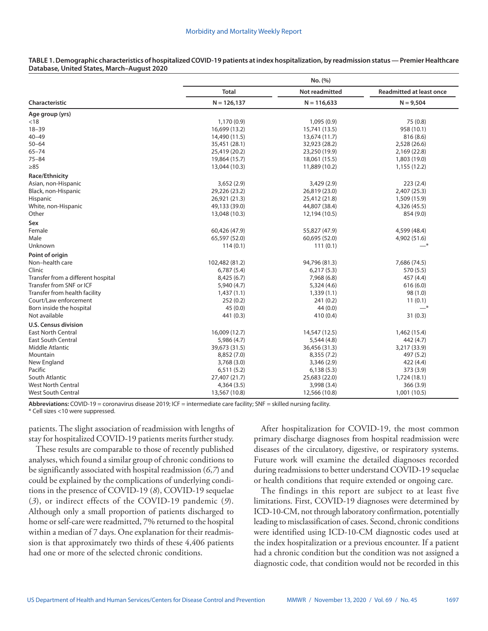|                                    |                | No. (%)        |                                 |
|------------------------------------|----------------|----------------|---------------------------------|
|                                    | <b>Total</b>   | Not readmitted | <b>Readmitted at least once</b> |
| <b>Characteristic</b>              | $N = 126, 137$ | $N = 116,633$  | $N = 9,504$                     |
| Age group (yrs)                    |                |                |                                 |
| $<$ 18                             | 1,170(0.9)     | 1,095(0.9)     | 75 (0.8)                        |
| $18 - 39$                          | 16,699 (13.2)  | 15,741 (13.5)  | 958 (10.1)                      |
| $40 - 49$                          | 14,490 (11.5)  | 13,674 (11.7)  | 816 (8.6)                       |
| $50 - 64$                          | 35,451 (28.1)  | 32,923 (28.2)  | 2,528 (26.6)                    |
| $65 - 74$                          | 25,419 (20.2)  | 23,250 (19.9)  | 2,169 (22.8)                    |
| $75 - 84$                          | 19,864 (15.7)  | 18,061 (15.5)  | 1,803 (19.0)                    |
| $\geq 85$                          | 13,044 (10.3)  | 11,889 (10.2)  | 1,155 (12.2)                    |
| Race/Ethnicity                     |                |                |                                 |
| Asian, non-Hispanic                | 3,652(2.9)     | 3,429 (2.9)    | 223(2.4)                        |
| Black, non-Hispanic                | 29,226 (23.2)  | 26,819 (23.0)  | 2,407 (25.3)                    |
| <b>Hispanic</b>                    | 26,921 (21.3)  | 25,412 (21.8)  | 1,509 (15.9)                    |
| White, non-Hispanic                | 49,133 (39.0)  | 44,807 (38.4)  | 4,326 (45.5)                    |
| Other                              | 13,048 (10.3)  | 12,194 (10.5)  | 854 (9.0)                       |
| Sex                                |                |                |                                 |
| Female                             | 60,426 (47.9)  | 55,827 (47.9)  | 4,599 (48.4)                    |
| Male                               | 65,597 (52.0)  | 60,695 (52.0)  | 4,902 (51.6)                    |
| Unknown                            | 114(0.1)       | 111(0.1)       | $-*$                            |
| Point of origin                    |                |                |                                 |
| Non-health care                    | 102,482 (81.2) | 94,796 (81.3)  | 7,686 (74.5)                    |
| Clinic                             | 6,787(5.4)     | 6,217(5.3)     | 570 (5.5)                       |
| Transfer from a different hospital | 8,425(6.7)     | 7,968 (6.8)    | 457 (4.4)                       |
| Transfer from SNF or ICF           | 5,940 (4.7)    | 5,324(4.6)     | 616(6.0)                        |
| Transfer from health facility      | 1,437(1.1)     | 1,339(1.1)     | 98(1.0)                         |
| Court/Law enforcement              | 252(0.2)       | 241(0.2)       | 11(0.1)                         |
| Born inside the hospital           | 45(0.0)        | 44(0.0)        | $-$ *                           |
| Not available                      | 441 (0.3)      | 410 (0.4)      | 31(0.3)                         |
| <b>U.S. Census division</b>        |                |                |                                 |
| <b>East North Central</b>          | 16,009 (12.7)  | 14,547 (12.5)  | 1,462 (15.4)                    |
| <b>East South Central</b>          | 5,986 (4.7)    | 5,544(4.8)     | 442 (4.7)                       |
| Middle Atlantic                    | 39,673 (31.5)  | 36,456 (31.3)  | 3,217 (33.9)                    |
| Mountain                           | 8,852 (7.0)    | 8,355 (7.2)    | 497 (5.2)                       |
| New England                        | 3,768 (3.0)    | 3,346(2.9)     | 422 (4.4)                       |
| Pacific                            | 6,511(5.2)     | 6,138(5.3)     | 373 (3.9)                       |
| South Atlantic                     | 27,407 (21.7)  | 25,683 (22.0)  | 1,724 (18.1)                    |
| <b>West North Central</b>          | 4,364(3.5)     | 3,998 (3.4)    | 366(3.9)                        |
| <b>West South Central</b>          | 13,567 (10.8)  | 12,566 (10.8)  | 1,001 (10.5)                    |
|                                    |                |                |                                 |

### **TABLE 1. Demographic characteristics of hospitalized COVID-19 patients at index hospitalization, by readmission status — Premier Healthcare Database, United States, March–August 2020**

**Abbreviations:** COVID-19 = coronavirus disease 2019; ICF = intermediate care facility; SNF = skilled nursing facility.

\* Cell sizes <10 were suppressed.

patients. The slight association of readmission with lengths of stay for hospitalized COVID-19 patients merits further study.

These results are comparable to those of recently published analyses, which found a similar group of chronic conditions to be significantly associated with hospital readmission (*6*,*7*) and could be explained by the complications of underlying conditions in the presence of COVID-19 (*8*), COVID-19 sequelae (*3*), or indirect effects of the COVID-19 pandemic (*9*). Although only a small proportion of patients discharged to home or self-care were readmitted, 7% returned to the hospital within a median of 7 days. One explanation for their readmission is that approximately two thirds of these 4,406 patients had one or more of the selected chronic conditions.

After hospitalization for COVID-19, the most common primary discharge diagnoses from hospital readmission were diseases of the circulatory, digestive, or respiratory systems. Future work will examine the detailed diagnoses recorded during readmissions to better understand COVID-19 sequelae or health conditions that require extended or ongoing care.

The findings in this report are subject to at least five limitations. First, COVID-19 diagnoses were determined by ICD-10-CM, not through laboratory confirmation, potentially leading to misclassification of cases. Second, chronic conditions were identified using ICD-10-CM diagnostic codes used at the index hospitalization or a previous encounter. If a patient had a chronic condition but the condition was not assigned a diagnostic code, that condition would not be recorded in this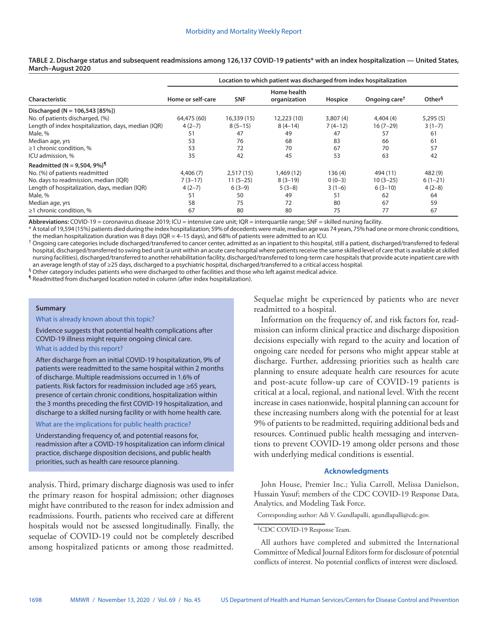|                                                     | Location to which patient was discharged from index hospitalization |             |                             |           |                           |                    |
|-----------------------------------------------------|---------------------------------------------------------------------|-------------|-----------------------------|-----------|---------------------------|--------------------|
| Characteristic                                      | Home or self-care                                                   | <b>SNF</b>  | Home health<br>organization | Hospice   | Ongoing care <sup>†</sup> | Other <sup>§</sup> |
| Discharged ( $N = 106,543$ [85%])                   |                                                                     |             |                             |           |                           |                    |
| No. of patients discharged, (%)                     | 64,475 (60)                                                         | 16,339 (15) | 12,223 (10)                 | 3,807(4)  | 4,404(4)                  | 5,295(5)           |
| Length of index hospitalization, days, median (IQR) | $4(2-7)$                                                            | $8(5-15)$   | $8(4-14)$                   | $7(4-12)$ | $16(7-29)$                | $3(1-7)$           |
| Male, %                                             | 51                                                                  | 47          | 49                          | 47        | 57                        | 61                 |
| Median age, yrs                                     | 53                                                                  | 76          | 68                          | 83        | 66                        | 61                 |
| $\geq$ 1 chronic condition, %                       | 53                                                                  | 72          | 70                          | 67        | 70                        | 57                 |
| ICU admission, %                                    | 35                                                                  | 42          | 45                          | 53        | 63                        | 42                 |
| Readmitted (N = 9,504, 9%) <sup>1</sup>             |                                                                     |             |                             |           |                           |                    |
| No. (%) of patients readmitted                      | 4,406(7)                                                            | 2,517(15)   | 1,469 (12)                  | 136(4)    | 494 (11)                  | 482 (9)            |
| No. days to readmission, median (IQR)               | $7(3-17)$                                                           | $11(5-25)$  | $8(3-19)$                   | $0(0-3)$  | $10(3-25)$                | $6(1-21)$          |
| Length of hospitalization, days, median (IQR)       | $4(2-7)$                                                            | $6(3-9)$    | $5(3-8)$                    | $3(1-6)$  | $6(3-10)$                 | $4(2-8)$           |
| Male, %                                             | 51                                                                  | 50          | 49                          | 51        | 62                        | 64                 |
| Median age, yrs                                     | 58                                                                  | 75          | 72                          | 80        | 67                        | 59                 |
| $\geq$ 1 chronic condition, %                       | 67                                                                  | 80          | 80                          | 75        | 77                        | 67                 |

**TABLE 2. Discharge status and subsequent readmissions among 126,137 COVID-19 patients\* with an index hospitalization — United States, March–August 2020**

Abbreviations: COVID-19 = coronavirus disease 2019; ICU = intensive care unit; IQR = interquartile range; SNF = skilled nursing facility.

\* A total of 19,594 (15%) patients died during the index hospitalization; 59% of decedents were male, median age was 74 years, 75% had one or more chronic conditions, the median hospitalization duration was 8 days (IQR = 4–15 days), and 68% of patients were admitted to an ICU.

 $^\dagger$  Ongoing care categories include discharged/transferred to cancer center, admitted as an inpatient to this hospital, still a patient, discharged/transferred to federal hospital, discharged/transferred to swing bed unit (a unit within an acute care hospital where patients receive the same skilled level of care that is available at skilled nursing facilities), discharged/transferred to another rehabilitation facility, discharged/transferred to long-term care hospitals that provide acute inpatient care with an average length of stay of ≥25 days, discharged to a psychiatric hospital, discharged/transferred to a critical access hospital.

§ Other category includes patients who were discharged to other facilities and those who left against medical advice.

¶ Readmitted from discharged location noted in column (after index hospitalization).

#### **Summary**

What is already known about this topic?

Evidence suggests that potential health complications after COVID-19 illness might require ongoing clinical care. What is added by this report?

After discharge from an initial COVID-19 hospitalization, 9% of patients were readmitted to the same hospital within 2 months of discharge. Multiple readmissions occurred in 1.6% of patients. Risk factors for readmission included age ≥65 years, presence of certain chronic conditions, hospitalization within the 3 months preceding the first COVID-19 hospitalization, and discharge to a skilled nursing facility or with home health care.

### What are the implications for public health practice?

Understanding frequency of, and potential reasons for, readmission after a COVID-19 hospitalization can inform clinical practice, discharge disposition decisions, and public health priorities, such as health care resource planning.

analysis. Third, primary discharge diagnosis was used to infer the primary reason for hospital admission; other diagnoses might have contributed to the reason for index admission and readmissions. Fourth, patients who received care at different hospitals would not be assessed longitudinally. Finally, the sequelae of COVID-19 could not be completely described among hospitalized patients or among those readmitted. Sequelae might be experienced by patients who are never readmitted to a hospital.

Information on the frequency of, and risk factors for, readmission can inform clinical practice and discharge disposition decisions especially with regard to the acuity and location of ongoing care needed for persons who might appear stable at discharge. Further, addressing priorities such as health care planning to ensure adequate health care resources for acute and post-acute follow-up care of COVID-19 patients is critical at a local, regional, and national level. With the recent increase in cases nationwide, hospital planning can account for these increasing numbers along with the potential for at least 9% of patients to be readmitted, requiring additional beds and resources. Continued public health messaging and interventions to prevent COVID-19 among older persons and those with underlying medical conditions is essential.

## **Acknowledgments**

John House, Premier Inc.; Yulia Carroll, Melissa Danielson, Hussain Yusuf; members of the CDC COVID-19 Response Data, Analytics, and Modeling Task Force.

Corresponding author: Adi V. Gundlapalli, [agundlapalli@cdc.gov](mailto:agundlapalli@cdc.gov).

All authors have completed and submitted the International Committee of Medical Journal Editors form for disclosure of potential conflicts of interest. No potential conflicts of interest were disclosed.

<sup>&</sup>lt;sup>1</sup>CDC COVID-19 Response Team.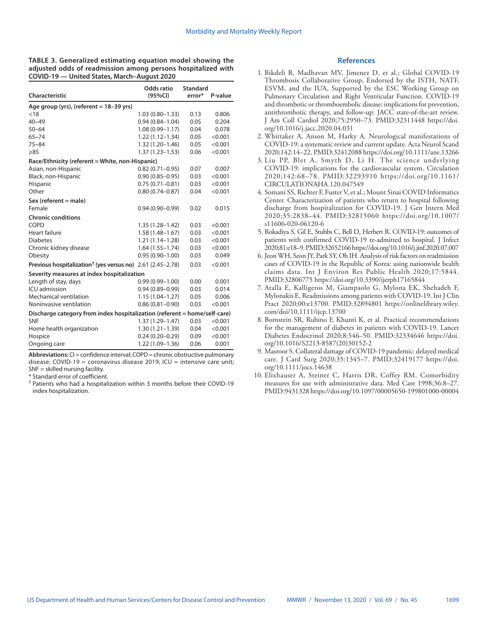**TABLE 3. Generalized estimating equation model showing the adjusted odds of readmission among persons hospitalized with COVID-19 — United States, March–August 2020**

| Characteristic                                                            | Odds ratio<br>(95%CI) | <b>Standard</b><br>error* | P-value |
|---------------------------------------------------------------------------|-----------------------|---------------------------|---------|
| Age group (yrs), (referent $= 18 - 39$ yrs)                               |                       |                           |         |
| < 18                                                                      | $1.03(0.80 - 1.33)$   | 0.13                      | 0.806   |
| $40 - 49$                                                                 | $0.94(0.84 - 1.04)$   | 0.05                      | 0.204   |
| $50 - 64$                                                                 | $1.08(0.99 - 1.17)$   | 0.04                      | 0.078   |
| $65 - 74$                                                                 | $1.22(1.12 - 1.34)$   | 0.05                      | < 0.001 |
| $75 - 84$                                                                 | $1.32(1.20 - 1.46)$   | 0.05                      | < 0.001 |
| $\geq 85$                                                                 | $1.37(1.23 - 1.53)$   | 0.06                      | < 0.001 |
| Race/Ethnicity (referent = White, non-Hispanic)                           |                       |                           |         |
| Asian, non-Hispanic                                                       | $0.82(0.71 - 0.95)$   | 0.07                      | 0.007   |
| Black, non-Hispanic                                                       | $0.90(0.85 - 0.95)$   | 0.03                      | < 0.001 |
| Hispanic                                                                  | $0.75(0.71 - 0.81)$   | 0.03                      | < 0.001 |
| Other                                                                     | $0.80(0.74 - 0.87)$   | 0.04                      | < 0.001 |
| $Sex$ (referent = male)                                                   |                       |                           |         |
| Female                                                                    | $0.94(0.90 - 0.99)$   | 0.02                      | 0.015   |
| <b>Chronic conditions</b>                                                 |                       |                           |         |
| COPD                                                                      | $1.35(1.28 - 1.42)$   | 0.03                      | < 0.001 |
| Heart failure                                                             | $1.58(1.48 - 1.67)$   | 0.03                      | < 0.001 |
| <b>Diabetes</b>                                                           | $1.21(1.14-1.28)$     | 0.03                      | < 0.001 |
| Chronic kidney disease                                                    | $1.64(1.55 - 1.74)$   | 0.03                      | < 0.001 |
| Obesity                                                                   | $0.95(0.90 - 1.00)$   | 0.03                      | 0.049   |
| Previous hospitalization <sup>†</sup> (yes versus no) 2.61 (2.45–2.78)    |                       | 0.03                      | < 0.001 |
| Severity measures at index hospitalization                                |                       |                           |         |
| Length of stay, days                                                      | $0.99(0.99 - 1.00)$   | 0.00                      | 0.001   |
| ICU admission                                                             | $0.94(0.89 - 0.99)$   | 0.03                      | 0.014   |
| Mechanical ventilation                                                    | $1.15(1.04 - 1.27)$   | 0.05                      | 0.006   |
| Noninvasive ventilation                                                   | $0.86(0.81 - 0.90)$   | 0.03                      | < 0.001 |
| Discharge category from index hospitalization (referent = home/self-care) |                       |                           |         |
| <b>SNF</b>                                                                | $1.37(1.29 - 1.47)$   | 0.03                      | < 0.001 |
| Home health organization                                                  | $1.30(1.21 - 1.39)$   | 0.04                      | < 0.001 |
| Hospice                                                                   | $0.24(0.20 - 0.29)$   | 0.09                      | < 0.001 |
| Ongoing care                                                              | 1.22 (1.09-1.36)      | 0.06                      | 0.001   |

**Abbreviations:** CI = confidence interval; COPD = chronic obstructive pulmonary disease; COVID-19 = coronavirus disease 2019; ICU = intensive care unit;  $SNF =$  skilled nursing facility.

\* Standard error of coefficient.

† Patients who had a hospitalization within 3 months before their COVID-19 index hospitalization.

#### **References**

- 1. Bikdeli B, Madhavan MV, Jimenez D, et al.; Global COVID-19 Thrombosis Collaborative Group, Endorsed by the ISTH, NATF, ESVM, and the IUA, Supported by the ESC Working Group on Pulmonary Circulation and Right Ventricular Function. COVID-19 and thrombotic or thromboembolic disease: implications for prevention, antithrombotic therapy, and follow-up: JACC state-of-the-art review. J Am Coll Cardiol 2020;75:2950–73. PMID:32311448 [https://doi.](https://doi.org/10.1016/j.jacc.2020.04.031) [org/10.1016/j.jacc.2020.04.031](https://doi.org/10.1016/j.jacc.2020.04.031)
- 2. Whittaker A, Anson M, Harky A. Neurological manifestations of COVID-19: a systematic review and current update. Acta Neurol Scand 2020;142:14–22. PMID:32412088<https://doi.org/10.1111/ane.13266>
- 3. Liu PP, Blet A, Smyth D, Li H. The science underlying COVID-19: implications for the cardiovascular system. Circulation 2020;142:68–78. PMID:32293910 [https://doi.org/10.1161/](https://doi.org/10.1161/CIRCULATIONAHA.120.047549) [CIRCULATIONAHA.120.047549](https://doi.org/10.1161/CIRCULATIONAHA.120.047549)
- 4. Somani SS, Richter F, Fuster V, et al.; Mount Sinai COVID Informatics Center. Characterization of patients who return to hospital following discharge from hospitalization for COVID-19. J Gen Intern Med 2020;35:2838–44. PMID:32815060 [https://doi.org/10.1007/](https://doi.org/10.1007/s11606-020-06120-6) [s11606-020-06120-6](https://doi.org/10.1007/s11606-020-06120-6)
- 5. Rokadiya S, Gil E, Stubbs C, Bell D, Herbert R. COVID-19: outcomes of patients with confirmed COVID-19 re-admitted to hospital. J Infect 2020;81:e18–9. PMID:32652166<https://doi.org/10.1016/j.jinf.2020.07.007>
- 6. Jeon WH, Seon JY, Park SY, Oh IH. Analysis of risk factors on readmission cases of COVID-19 in the Republic of Korea: using nationwide health claims data. Int J Environ Res Public Health 2020;17:5844. PMID:32806775 <https://doi.org/10.3390/ijerph17165844>
- 7. Atalla E, Kalligeros M, Giampaolo G, Mylona EK, Shehadeh F, Mylonakis E. Readmissions among patients with COVID-19. Int J Clin Pract 2020;00:e13700. PMID:32894801 [https://onlinelibrary.wiley.](https://onlinelibrary.wiley.com/doi/10.1111/ijcp.13700) [com/doi/10.1111/ijcp.13700](https://onlinelibrary.wiley.com/doi/10.1111/ijcp.13700)
- 8. Bornstein SR, Rubino F, Khunti K, et al. Practical recommendations for the management of diabetes in patients with COVID-19. Lancet Diabetes Endocrinol 2020;8:546–50. PMID:32334646 [https://doi.](https://doi.org/10.1016/S2213-8587(20)30152-2) [org/10.1016/S2213-8587\(20\)30152-2](https://doi.org/10.1016/S2213-8587(20)30152-2)
- 9. Masroor S. Collateral damage of COVID-19 pandemic: delayed medical care. J Card Surg 2020;35:1345–7. PMID:32419177 [https://doi.](https://doi.org/10.1111/jocs.14638) [org/10.1111/jocs.14638](https://doi.org/10.1111/jocs.14638)
- 10. Elixhauser A, Steiner C, Harris DR, Coffey RM. Comorbidity measures for use with administrative data. Med Care 1998;36:8–27. PMID:9431328<https://doi.org/10.1097/00005650-199801000-00004>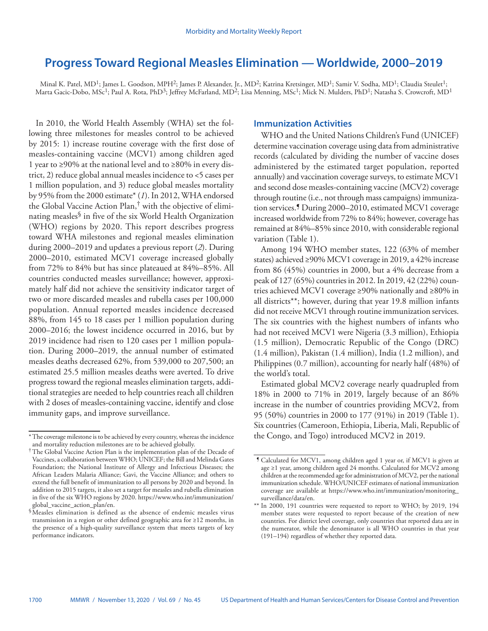# <span id="page-35-0"></span>**Progress Toward Regional Measles Elimination — Worldwide, 2000–2019**

Minal K. Patel, MD<sup>1</sup>; James L. Goodson, MPH<sup>2</sup>; James P. Alexander, Jr., MD<sup>2</sup>; Katrina Kretsinger, MD<sup>1</sup>; Samir V. Sodha, MD<sup>1</sup>; Claudia Steulet<sup>1</sup>; Marta Gacic-Dobo, MSc<sup>1</sup>; Paul A. Rota, PhD<sup>3</sup>; Jeffrey McFarland, MD<sup>2</sup>; Lisa Menning, MSc<sup>1</sup>; Mick N. Mulders, PhD<sup>1</sup>; Natasha S. Crowcroft, MD<sup>1</sup>

In 2010, the World Health Assembly (WHA) set the following three milestones for measles control to be achieved by 2015: 1) increase routine coverage with the first dose of measles-containing vaccine (MCV1) among children aged 1 year to ≥90% at the national level and to ≥80% in every district, 2) reduce global annual measles incidence to <5 cases per 1 million population, and 3) reduce global measles mortality by 95% from the 2000 estimate\* (*1*). In 2012, WHA endorsed the Global Vaccine Action Plan,† with the objective of eliminating measles§ in five of the six World Health Organization (WHO) regions by 2020. This report describes progress toward WHA milestones and regional measles elimination during 2000–2019 and updates a previous report (*2*). During 2000–2010, estimated MCV1 coverage increased globally from 72% to 84% but has since plateaued at 84%–85%. All countries conducted measles surveillance; however, approximately half did not achieve the sensitivity indicator target of two or more discarded measles and rubella cases per 100,000 population. Annual reported measles incidence decreased 88%, from 145 to 18 cases per 1 million population during 2000–2016; the lowest incidence occurred in 2016, but by 2019 incidence had risen to 120 cases per 1 million population. During 2000–2019, the annual number of estimated measles deaths decreased 62%, from 539,000 to 207,500; an estimated 25.5 million measles deaths were averted. To drive progress toward the regional measles elimination targets, additional strategies are needed to help countries reach all children with 2 doses of measles-containing vaccine, identify and close immunity gaps, and improve surveillance.

## **Immunization Activities**

WHO and the United Nations Children's Fund (UNICEF) determine vaccination coverage using data from administrative records (calculated by dividing the number of vaccine doses administered by the estimated target population, reported annually) and vaccination coverage surveys, to estimate MCV1 and second dose measles-containing vaccine (MCV2) coverage through routine (i.e., not through mass campaigns) immunization services.¶ During 2000–2010, estimated MCV1 coverage increased worldwide from 72% to 84%; however, coverage has remained at 84%–85% since 2010, with considerable regional variation (Table 1).

Among 194 WHO member states, 122 (63% of member states) achieved ≥90% MCV1 coverage in 2019, a 42% increase from 86 (45%) countries in 2000, but a 4% decrease from a peak of 127 (65%) countries in 2012. In 2019, 42 (22%) countries achieved MCV1 coverage ≥90% nationally and ≥80% in all districts\*\*; however, during that year 19.8 million infants did not receive MCV1 through routine immunization services. The six countries with the highest numbers of infants who had not received MCV1 were Nigeria (3.3 million), Ethiopia (1.5 million), Democratic Republic of the Congo (DRC) (1.4 million), Pakistan (1.4 million), India (1.2 million), and Philippines (0.7 million), accounting for nearly half (48%) of the world's total.

Estimated global MCV2 coverage nearly quadrupled from 18% in 2000 to 71% in 2019, largely because of an 86% increase in the number of countries providing MCV2, from 95 (50%) countries in 2000 to 177 (91%) in 2019 (Table 1). Six countries (Cameroon, Ethiopia, Liberia, Mali, Republic of the Congo, and Togo) introduced MCV2 in 2019.

<sup>\*</sup>The coverage milestone is to be achieved by every country, whereas the incidence and mortality reduction milestones are to be achieved globally.

<sup>†</sup>The Global Vaccine Action Plan is the implementation plan of the Decade of Vaccines, a collaboration between WHO; UNICEF; the Bill and Melinda Gates Foundation; the National Institute of Allergy and Infectious Diseases; the African Leaders Malaria Alliance; Gavi, the Vaccine Alliance; and others to extend the full benefit of immunization to all persons by 2020 and beyond. In addition to 2015 targets, it also set a target for measles and rubella elimination in five of the six WHO regions by 2020. [https://www.who.int/immunization/](https://www.who.int/immunization/global_vaccine_action_plan/en)

 $\sqrt[6]{s}$  Measles elimination is defined as the absence of endemic measles virus transmission in a region or other defined geographic area for ≥12 months, in the presence of a high-quality surveillance system that meets targets of key performance indicators.

<sup>¶</sup> Calculated for MCV1, among children aged 1 year or, if MCV1 is given at age ≥1 year, among children aged 24 months. Calculated for MCV2 among children at the recommended age for administration of MCV2, per the national immunization schedule. WHO/UNICEF estimates of national immunization coverage are available at [https://www.who.int/immunization/monitoring\\_](https://www.who.int/immunization/monitoring_surveillance/data/en) [surveillance/data/en.](https://www.who.int/immunization/monitoring_surveillance/data/en)

<sup>\*\*</sup> In 2000, 191 countries were requested to report to WHO; by 2019, 194 member states were requested to report because of the creation of new countries. For district level coverage, only countries that reported data are in the numerator, while the denominator is all WHO countries in that year (191–194) regardless of whether they reported data.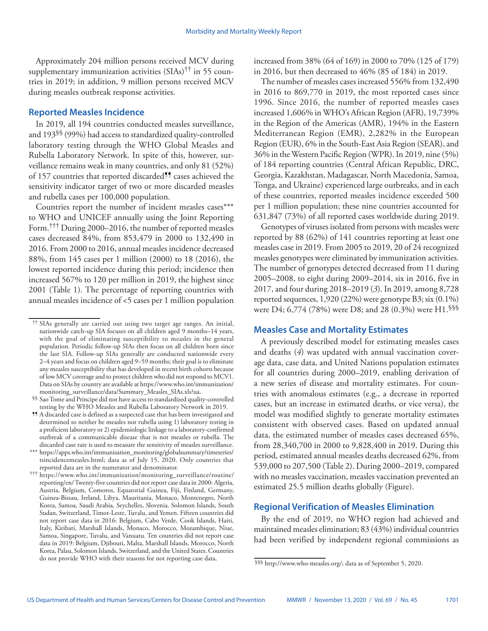Approximately 204 million persons received MCV during supplementary immunization activities  $(SIAs)^{\dagger\dagger}$  in 55 countries in 2019; in addition, 9 million persons received MCV during measles outbreak response activities.

## **Reported Measles Incidence**

In 2019, all 194 countries conducted measles surveillance, and 193§§ (99%) had access to standardized quality-controlled laboratory testing through the WHO Global Measles and Rubella Laboratory Network. In spite of this, however, surveillance remains weak in many countries, and only 81 (52%) of 157 countries that reported discarded<sup>11</sup> cases achieved the sensitivity indicator target of two or more discarded measles and rubella cases per 100,000 population.

Countries report the number of incident measles cases\*\*\* to WHO and UNICEF annually using the Joint Reporting Form.††† During 2000–2016, the number of reported measles cases decreased 84%, from 853,479 in 2000 to 132,490 in 2016. From 2000 to 2016, annual measles incidence decreased 88%, from 145 cases per 1 million (2000) to 18 (2016), the lowest reported incidence during this period; incidence then increased 567% to 120 per million in 2019, the highest since 2001 (Table 1). The percentage of reporting countries with annual measles incidence of <5 cases per 1 million population increased from 38% (64 of 169) in 2000 to 70% (125 of 179) in 2016, but then decreased to 46% (85 of 184) in 2019.

The number of measles cases increased 556% from 132,490 in 2016 to 869,770 in 2019, the most reported cases since 1996. Since 2016, the number of reported measles cases increased 1,606% in WHO's African Region (AFR), 19,739% in the Region of the Americas (AMR), 194% in the Eastern Mediterranean Region (EMR), 2,282% in the European Region (EUR), 6% in the South-East Asia Region (SEAR), and 36% in the Western Pacific Region (WPR). In 2019, nine (5%) of 184 reporting countries (Central African Republic, DRC, Georgia, Kazakhstan, Madagascar, North Macedonia, Samoa, Tonga, and Ukraine) experienced large outbreaks, and in each of these countries, reported measles incidence exceeded 500 per 1 million population; these nine countries accounted for 631,847 (73%) of all reported cases worldwide during 2019.

Genotypes of viruses isolated from persons with measles were reported by 88 (62%) of 141 countries reporting at least one measles case in 2019. From 2005 to 2019, 20 of 24 recognized measles genotypes were eliminated by immunization activities. The number of genotypes detected decreased from 11 during 2005–2008, to eight during 2009–2014, six in 2016, five in 2017, and four during 2018–2019 (*3*). In 2019, among 8,728 reported sequences, 1,920 (22%) were genotype B3; six (0.1%) were D4; 6,774 (78%) were D8; and 28 (0.3%) were H1.<sup>\\\\$\\$</sup>

## **Measles Case and Mortality Estimates**

A previously described model for estimating measles cases and deaths (*4*) was updated with annual vaccination coverage data, case data, and United Nations population estimates for all countries during 2000–2019, enabling derivation of a new series of disease and mortality estimates. For countries with anomalous estimates (e.g., a decrease in reported cases, but an increase in estimated deaths, or vice versa), the model was modified slightly to generate mortality estimates consistent with observed cases. Based on updated annual data, the estimated number of measles cases decreased 65%, from 28,340,700 in 2000 to 9,828,400 in 2019. During this period, estimated annual measles deaths decreased 62%, from 539,000 to 207,500 (Table 2). During 2000–2019, compared with no measles vaccination, measles vaccination prevented an estimated 25.5 million deaths globally (Figure).

## **Regional Verification of Measles Elimination**

By the end of 2019, no WHO region had achieved and maintained measles elimination; 83 (43%) individual countries had been verified by independent regional commissions as

<sup>††</sup> SIAs generally are carried out using two target age ranges. An initial, nationwide catch-up SIA focuses on all children aged 9 months–14 years, with the goal of eliminating susceptibility to measles in the general population. Periodic follow-up SIAs then focus on all children born since the last SIA. Follow-up SIAs generally are conducted nationwide every 2–4 years and focus on children aged 9–59 months; their goal is to eliminate any measles susceptibility that has developed in recent birth cohorts because of low MCV coverage and to protect children who did not respond to MCV1. Data on SIAs by country are available at [https://www.who.int/immunization/](https://www.who.int/immunization/monitoring_surveillance/data/Summary_Measles_SIAs.xls?ua)

<sup>§§</sup> Sao Tome and Principe did not have access to standardized quality-controlled testing by the WHO Measles and Rubella Laboratory Network in 2019.

<sup>¶¶</sup> A discarded case is defined as a suspected case that has been investigated and determined to neither be measles nor rubella using 1) laboratory testing in a proficient laboratory or 2) epidemiologic linkage to a laboratory-confirmed outbreak of a communicable disease that is not measles or rubella. The discarded case rate is used to measure the sensitivity of measles surveillance.

<sup>\*\*\*</sup> [https://apps.who.int/immunization\\_monitoring/globalsummary/timeseries/](https://apps.who.int/immunization_monitoring/globalsummary/timeseries/tsincidencemeasles.html) [tsincidencemeasles.html](https://apps.who.int/immunization_monitoring/globalsummary/timeseries/tsincidencemeasles.html); data as of July 15, 2020. Only countries that reported data are in the numerator and denominator.

<sup>†††</sup> [https://www.who.int/immunization/monitoring\\_surveillance/routine/](https://www.who.int/immunization/monitoring_surveillance/routine/reporting/en/) [reporting/en/](https://www.who.int/immunization/monitoring_surveillance/routine/reporting/en/) Twenty-five countries did not report case data in 2000: Algeria, Austria, Belgium, Comoros, Equatorial Guinea, Fiji, Finland, Germany, Guinea-Bissau, Ireland, Libya, Mauritania, Monaco, Montenegro, North Korea, Samoa, Saudi Arabia, Seychelles, Slovenia. Solomon Islands, South Sudan, Switzerland, Timor-Leste, Tuvalu, and Yemen. Fifteen countries did not report case data in 2016: Belgium, Cabo Verde, Cook Islands, Haiti, Italy, Kiribati, Marshall Islands, Monaco, Morocco, Mozambique, Niue, Samoa, Singapore, Tuvalu, and Vanuatu. Ten countries did not report case data in 2019: Belgium, Djibouti, Malta, Marshall Islands, Morocco, North Korea, Palau, Solomon Islands, Switzerland, and the United States. Countries do not provide WHO with their reasons for not reporting case data.

<sup>§§§</sup> <http://www.who-measles.org/>; data as of September 5, 2020.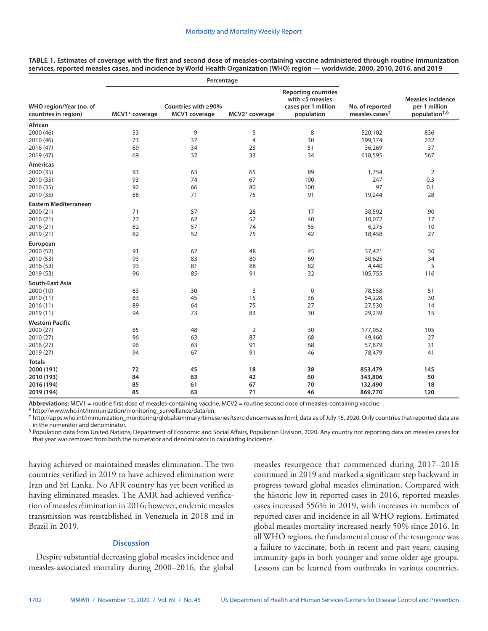| <b>Reporting countries</b><br>with <5 measles<br>WHO region/Year (no. of<br>Countries with ≥90%<br>cases per 1 million<br>No. of reported<br>measles cases <sup>†</sup><br>countries in region)<br>MCV1* coverage<br>MCV1 coverage<br>MCV2* coverage<br>population<br>African<br>53<br>9<br>5<br>2000 (46)<br>8<br>520,102 | <b>Measles incidence</b><br>per 1 million<br>population <sup>+,§</sup><br>836<br>232<br>37 |
|----------------------------------------------------------------------------------------------------------------------------------------------------------------------------------------------------------------------------------------------------------------------------------------------------------------------------|--------------------------------------------------------------------------------------------|
|                                                                                                                                                                                                                                                                                                                            |                                                                                            |
|                                                                                                                                                                                                                                                                                                                            |                                                                                            |
|                                                                                                                                                                                                                                                                                                                            |                                                                                            |
| 73<br>37<br>30<br>199,174<br>2010 (46)<br>4                                                                                                                                                                                                                                                                                |                                                                                            |
| 2016 (47)<br>69<br>51<br>36,269<br>34<br>23                                                                                                                                                                                                                                                                                |                                                                                            |
| 69<br>32<br>33<br>34<br>2019 (47)<br>618,595                                                                                                                                                                                                                                                                               | 567                                                                                        |
| <b>Americas</b>                                                                                                                                                                                                                                                                                                            |                                                                                            |
| 2000 (35)<br>93<br>63<br>65<br>89<br>1,754                                                                                                                                                                                                                                                                                 | $\overline{2}$                                                                             |
| 2010 (35)<br>93<br>74<br>67<br>100<br>247                                                                                                                                                                                                                                                                                  | 0.3                                                                                        |
| 2016 (35)<br>92<br>66<br>80<br>100<br>97                                                                                                                                                                                                                                                                                   | 0.1                                                                                        |
| 75<br>2019 (35)<br>88<br>71<br>91<br>19,244                                                                                                                                                                                                                                                                                | 28                                                                                         |
| Eastern Mediterranean                                                                                                                                                                                                                                                                                                      |                                                                                            |
| 2000 (21)<br>57<br>71<br>28<br>17<br>38,592                                                                                                                                                                                                                                                                                | 90                                                                                         |
| 77<br>52<br>2010 (21)<br>62<br>40<br>10,072                                                                                                                                                                                                                                                                                | 17                                                                                         |
| 82<br>57<br>74<br>55<br>6,275<br>2016 (21)                                                                                                                                                                                                                                                                                 | 10                                                                                         |
| 82<br>52<br>75<br>18,458<br>2019 (21)<br>42                                                                                                                                                                                                                                                                                | 27                                                                                         |
| European                                                                                                                                                                                                                                                                                                                   |                                                                                            |
| 2000 (52)<br>91<br>62<br>37,421<br>48<br>45                                                                                                                                                                                                                                                                                | 50                                                                                         |
| 93<br>83<br>2010 (53)<br>80<br>69<br>30,625                                                                                                                                                                                                                                                                                | 34                                                                                         |
| 93<br>81<br>88<br>82<br>4,440<br>2016 (53)                                                                                                                                                                                                                                                                                 | 5                                                                                          |
| 96<br>85<br>91<br>32<br>2019 (53)<br>105,755                                                                                                                                                                                                                                                                               | 116                                                                                        |
| South-East Asia                                                                                                                                                                                                                                                                                                            |                                                                                            |
| 2000 (10)<br>78,558<br>63<br>30<br>3<br>0                                                                                                                                                                                                                                                                                  | 51                                                                                         |
| 83<br>45<br>15<br>54,228<br>2010 (11)<br>36                                                                                                                                                                                                                                                                                | 30                                                                                         |
| 89<br>64<br>75<br>27<br>27,530<br>2016 (11)                                                                                                                                                                                                                                                                                | 14                                                                                         |
| 83<br>2019 (11)<br>94<br>73<br>30<br>29,239                                                                                                                                                                                                                                                                                | 15                                                                                         |
| <b>Western Pacific</b>                                                                                                                                                                                                                                                                                                     |                                                                                            |
| 2000 (27)<br>85<br>48<br>$\overline{2}$<br>177,052<br>30                                                                                                                                                                                                                                                                   | 105                                                                                        |
| 2010 (27)<br>96<br>63<br>87<br>68<br>49,460                                                                                                                                                                                                                                                                                | 27                                                                                         |
| 2016 (27)<br>96<br>63<br>91<br>68<br>57,879                                                                                                                                                                                                                                                                                | 31                                                                                         |
| 67<br>91<br>2019 (27)<br>94<br>46<br>78,479                                                                                                                                                                                                                                                                                | 41                                                                                         |
| <b>Totals</b>                                                                                                                                                                                                                                                                                                              |                                                                                            |
| 2000 (191)<br>72<br>45<br>18<br>38<br>853,479                                                                                                                                                                                                                                                                              | 145                                                                                        |
| 2010 (193)<br>84<br>63<br>42<br>60<br>343,806                                                                                                                                                                                                                                                                              | 50                                                                                         |
| 2016 (194)<br>85<br>67<br>70<br>61<br>132,490                                                                                                                                                                                                                                                                              | 18                                                                                         |
| 85<br>71<br>869,770<br>2019 (194)<br>63<br>46                                                                                                                                                                                                                                                                              | 120                                                                                        |

**TABLE 1. Estimates of coverage with the first and second dose of measles-containing vaccine administered through routine immunization services, reported measles cases, and incidence by World Health Organization (WHO) region — worldwide, 2000, 2010, 2016, and 2019**

**Abbreviations:** MCV1 = routine first dose of measles-containing vaccine; MCV2 = routine second dose of measles-containing vaccine.

\* [http://www.who.int/immunization/monitoring\\_surveillance/data/en](http://www.who.int/immunization/monitoring_surveillance/data/en).<br>† [http://apps.who.int/immunization\\_monitoring/globalsummary/timeseries/tsincidencemeasles.html](http://apps.who.int/immunization_monitoring/globalsummary/timeseries/tsincidencemeasles.html); data as of July 15, 2020. Only countries that reported data in the numerator and denominator.

§ Population data from United Nations, Department of Economic and Social Affairs, Population Division, 2020. Any country not reporting data on measles cases for that year was removed from both the numerator and denominator in calculating incidence.

having achieved or maintained measles elimination. The two countries verified in 2019 to have achieved elimination were Iran and Sri Lanka. No AFR country has yet been verified as having eliminated measles. The AMR had achieved verification of measles elimination in 2016; however, endemic measles transmission was reestablished in Venezuela in 2018 and in Brazil in 2019.

## **Discussion**

Despite substantial decreasing global measles incidence and measles-associated mortality during 2000–2016, the global measles resurgence that commenced during 2017–2018 continued in 2019 and marked a significant step backward in progress toward global measles elimination. Compared with the historic low in reported cases in 2016, reported measles cases increased 556% in 2019, with increases in numbers of reported cases and incidence in all WHO regions. Estimated global measles mortality increased nearly 50% since 2016. In all WHO regions, the fundamental cause of the resurgence was a failure to vaccinate, both in recent and past years, causing immunity gaps in both younger and some older age groups. Lessons can be learned from outbreaks in various countries,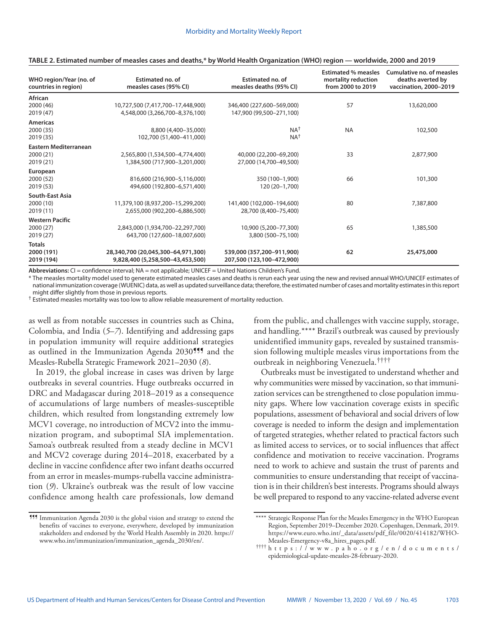| WHO region/Year (no. of<br>countries in region)        | <b>Estimated no. of</b><br>measles cases (95% CI)                      | Estimated no. of<br>measles deaths (95% CI)            | <b>Estimated % measles</b><br>mortality reduction<br>from 2000 to 2019 | Cumulative no. of measles<br>deaths averted by<br>vaccination, 2000-2019 |
|--------------------------------------------------------|------------------------------------------------------------------------|--------------------------------------------------------|------------------------------------------------------------------------|--------------------------------------------------------------------------|
| <b>African</b><br>2000 (46)<br>2019 (47)               | 10,727,500 (7,417,700-17,448,900)<br>4,548,000 (3,266,700-8,376,100)   | 346,400 (227,600-569,000)<br>147,900 (99,500-271,100)  | 57                                                                     | 13,620,000                                                               |
| <b>Americas</b><br>2000 (35)<br>2019 (35)              | 8,800 (4,400-35,000)<br>102,700 (51,400-411,000)                       | NA <sup>+</sup><br>NA <sup>+</sup>                     | <b>NA</b>                                                              | 102,500                                                                  |
| <b>Eastern Mediterranean</b><br>2000 (21)<br>2019 (21) | 2,565,800 (1,534,500-4,774,400)<br>1,384,500 (717,900-3,201,000)       | 40,000 (22,200-69,200)<br>27,000 (14,700-49,500)       | 33                                                                     | 2,877,900                                                                |
| European<br>2000 (52)<br>2019 (53)                     | 816,600 (216,900-5,116,000)<br>494,600 (192,800-6,571,400)             | 350 (100-1,900)<br>120 (20-1,700)                      | 66                                                                     | 101,300                                                                  |
| South-East Asia<br>2000(10)<br>2019(11)                | 11,379,100 (8,937,200-15,299,200)<br>2,655,000 (902,200-6,886,500)     | 141,400 (102,000-194,600)<br>28,700 (8,400-75,400)     | 80                                                                     | 7,387,800                                                                |
| <b>Western Pacific</b><br>2000 (27)<br>2019(27)        | 2,843,000 (1,934,700-22,297,700)<br>643,700 (127,600-18,007,600)       | 10,900 (5,200-77,300)<br>3,800 (500-75,100)            | 65                                                                     | 1,385,500                                                                |
| <b>Totals</b><br>2000 (191)<br>2019 (194)              | 28,340,700 (20,045,300-64,971,300)<br>9,828,400 (5,258,500-43,453,500) | 539,000 (357,200-911,900)<br>207,500 (123,100-472,900) | 62                                                                     | 25,475,000                                                               |

#### **TABLE 2. Estimated number of measles cases and deaths,\* by World Health Organization (WHO) region — worldwide, 2000 and 2019**

**Abbreviations:** CI = confidence interval; NA = not applicable; UNICEF = United Nations Children's Fund.

\* The measles mortality model used to generate estimated measles cases and deaths is rerun each year using the new and revised annual WHO/UNICEF estimates of national immunization coverage (WUENIC) data, as well as updated surveillance data; therefore, the estimated number of cases and mortality estimates in this report might differ slightly from those in previous reports.

† Estimated measles mortality was too low to allow reliable measurement of mortality reduction.

as well as from notable successes in countries such as China, Colombia, and India (*5*–*7*). Identifying and addressing gaps in population immunity will require additional strategies as outlined in the Immunization Agenda 2030<sup>555</sup> and the Measles-Rubella Strategic Framework 2021–2030 (*8*).

In 2019, the global increase in cases was driven by large outbreaks in several countries. Huge outbreaks occurred in DRC and Madagascar during 2018–2019 as a consequence of accumulations of large numbers of measles-susceptible children, which resulted from longstanding extremely low MCV1 coverage, no introduction of MCV2 into the immunization program, and suboptimal SIA implementation. Samoa's outbreak resulted from a steady decline in MCV1 and MCV2 coverage during 2014–2018, exacerbated by a decline in vaccine confidence after two infant deaths occurred from an error in measles-mumps-rubella vaccine administration (*9*). Ukraine's outbreak was the result of low vaccine confidence among health care professionals, low demand

¶¶¶ Immunization Agenda 2030 is the global vision and strategy to extend the benefits of vaccines to everyone, everywhere, developed by immunization stakeholders and endorsed by the World Health Assembly in 2020. [https://](https://www.who.int/immunization/immunization_agenda_2030/en/) [www.who.int/immunization/immunization\\_agenda\\_2030/en/.](https://www.who.int/immunization/immunization_agenda_2030/en/)

from the public, and challenges with vaccine supply, storage, and handling.\*\*\*\* Brazil's outbreak was caused by previously unidentified immunity gaps, revealed by sustained transmission following multiple measles virus importations from the outbreak in neighboring Venezuela.††††

Outbreaks must be investigated to understand whether and why communities were missed by vaccination, so that immunization services can be strengthened to close population immunity gaps. Where low vaccination coverage exists in specific populations, assessment of behavioral and social drivers of low coverage is needed to inform the design and implementation of targeted strategies, whether related to practical factors such as limited access to services, or to social influences that affect confidence and motivation to receive vaccination. Programs need to work to achieve and sustain the trust of parents and communities to ensure understanding that receipt of vaccination is in their children's best interests. Programs should always be well prepared to respond to any vaccine-related adverse event

<sup>\*\*\*\*</sup> Strategic Response Plan for the Measles Emergency in the WHO European Region, September 2019–December 2020. Copenhagen, Denmark, 2019. [https://www.euro.who.int/\\_data/assets/pdf\\_file/0020/414182/WHO-](https://www.euro.who.int/__data/assets/pdf_file/0020/414182/WHO-Measles-Emergency-v8a_hires_pages.pdf)

 $^{\dagger\dagger\dagger\dagger}$ [https://www.paho.org/en/documents/](https://www.paho.org/en/documents/epidemiological-update-measles-28-february-2020) [epidemiological-update-measles-28-february-2020.](https://www.paho.org/en/documents/epidemiological-update-measles-28-february-2020)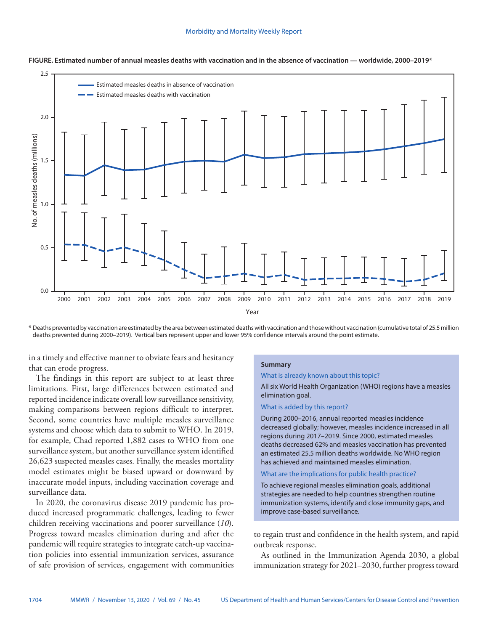

**FIGURE. Estimated number of annual measles deaths with vaccination and in the absence of vaccination — worldwide, 2000–2019\***

\* Deaths prevented by vaccination are estimated by the area between estimated deaths with vaccination and those without vaccination (cumulative total of 25.5 million deaths prevented during 2000–2019). Vertical bars represent upper and lower 95% confidence intervals around the point estimate.

in a timely and effective manner to obviate fears and hesitancy that can erode progress.

The findings in this report are subject to at least three limitations. First, large differences between estimated and reported incidence indicate overall low surveillance sensitivity, making comparisons between regions difficult to interpret. Second, some countries have multiple measles surveillance systems and choose which data to submit to WHO. In 2019, for example, Chad reported 1,882 cases to WHO from one surveillance system, but another surveillance system identified 26,623 suspected measles cases. Finally, the measles mortality model estimates might be biased upward or downward by inaccurate model inputs, including vaccination coverage and surveillance data.

In 2020, the coronavirus disease 2019 pandemic has produced increased programmatic challenges, leading to fewer children receiving vaccinations and poorer surveillance (*10*). Progress toward measles elimination during and after the pandemic will require strategies to integrate catch-up vaccination policies into essential immunization services, assurance of safe provision of services, engagement with communities

### **Summary**

#### What is already known about this topic?

All six World Health Organization (WHO) regions have a measles elimination goal.

#### What is added by this report?

During 2000–2016, annual reported measles incidence decreased globally; however, measles incidence increased in all regions during 2017–2019. Since 2000, estimated measles deaths decreased 62% and measles vaccination has prevented an estimated 25.5 million deaths worldwide. No WHO region has achieved and maintained measles elimination.

## What are the implications for public health practice?

To achieve regional measles elimination goals, additional strategies are needed to help countries strengthen routine immunization systems, identify and close immunity gaps, and improve case-based surveillance.

to regain trust and confidence in the health system, and rapid outbreak response.

As outlined in the Immunization Agenda 2030, a global immunization strategy for 2021–2030, further progress toward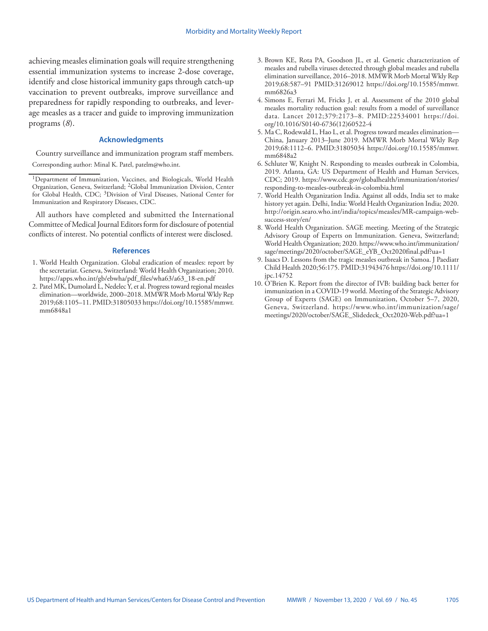achieving measles elimination goals will require strengthening essential immunization systems to increase 2-dose coverage, identify and close historical immunity gaps through catch-up vaccination to prevent outbreaks, improve surveillance and preparedness for rapidly responding to outbreaks, and leverage measles as a tracer and guide to improving immunization programs (*8*).

## **Acknowledgments**

Country surveillance and immunization program staff members. Corresponding author: Minal K. Patel, [patelm@who.int](mailto:patelm@who.int).

All authors have completed and submitted the International Committee of Medical Journal Editors form for disclosure of potential conflicts of interest. No potential conflicts of interest were disclosed.

#### **References**

- 1. World Health Organization. Global eradication of measles: report by the secretariat. Geneva, Switzerland: World Health Organization; 2010. [https://apps.who.int/gb/ebwha/pdf\\_files/wha63/a63\\_18-en.pdf](http://apps.who.int/gb/ebwha/pdf_files/wha63/a63_18-en.pdf)
- 2. Patel MK, Dumolard L, Nedelec Y, et al. Progress toward regional measles elimination—worldwide, 2000–2018. MMWR Morb Mortal Wkly Rep 2019;68:1105–11. [PMID:31805033](https://www.ncbi.nlm.nih.gov/entrez/query.fcgi?cmd=Retrieve&db=PubMed&list_uids=31805033&dopt=Abstract) [https://doi.org/10.15585/mmwr.](https://doi.org/10.15585/mmwr.mm6848a1) [mm6848a1](https://doi.org/10.15585/mmwr.mm6848a1)
- 3. Brown KE, Rota PA, Goodson JL, et al. Genetic characterization of measles and rubella viruses detected through global measles and rubella elimination surveillance, 2016–2018. MMWR Morb Mortal Wkly Rep 2019;68:587–91 [PMID:31269012](https://www.ncbi.nlm.nih.gov/entrez/query.fcgi?cmd=Retrieve&db=PubMed&list_uids=31269012&dopt=Abstract) [https://doi.org/10.15585/mmwr.](https://doi.org/10.15585/mmwr.mm6826a3) [mm6826a3](https://doi.org/10.15585/mmwr.mm6826a3)
- 4. Simons E, Ferrari M, Fricks J, et al. Assessment of the 2010 global measles mortality reduction goal: results from a model of surveillance data. Lancet 2012;379:2173–8. [PMID:22534001](https://www.ncbi.nlm.nih.gov/entrez/query.fcgi?cmd=Retrieve&db=PubMed&list_uids=22534001&dopt=Abstract) [https://doi.](https://doi.org/10.1016/S0140-6736(12)60522-4) [org/10.1016/S0140-6736\(12\)60522-4](https://doi.org/10.1016/S0140-6736(12)60522-4)
- 5. Ma C, Rodewald L, Hao L, et al. Progress toward measles elimination— China, January 2013–June 2019. MMWR Morb Mortal Wkly Rep 2019;68:1112–6. [PMID:31805034](https://pubmed.ncbi.nlm.nih.gov/31805034/) [https://doi.org/10.15585/mmwr.](https://doi.org/10.15585/mmwr.mm6848a2) [mm6848a2](https://doi.org/10.15585/mmwr.mm6848a2)
- 6. Schluter W, Knight N. Responding to measles outbreak in Colombia, 2019. Atlanta, GA: US Department of Health and Human Services, CDC; 2019. [https://www.cdc.gov/globalhealth/immunization/stories/](https://www.cdc.gov/globalhealth/immunization/stories/responding-to-measles-outbreak-in-colombia.html) [responding-to-measles-outbreak-in-colombia.html](https://www.cdc.gov/globalhealth/immunization/stories/responding-to-measles-outbreak-in-colombia.html)
- 7. World Health Organization India. Against all odds, India set to make history yet again. Delhi, India: World Health Organization India; 2020. [http://origin.searo.who.int/india/topics/measles/MR-campaign-web](http://origin.searo.who.int/india/topics/measles/MR-campaign-web-success-story/en/)[success-story/en/](http://origin.searo.who.int/india/topics/measles/MR-campaign-web-success-story/en/)
- 8. World Health Organization. SAGE meeting. Meeting of the Strategic Advisory Group of Experts on Immunization. Geneva, Switzerland; World Health Organization; 2020. [https://www.who.int/immunization/](https://www.who.int/immunization/sage/meetings/2020/october/SAGE_eYB_Oct2020final.pdf?ua=1) [sage/meetings/2020/october/SAGE\\_eYB\\_Oct2020final.pdf?ua=1](https://www.who.int/immunization/sage/meetings/2020/october/SAGE_eYB_Oct2020final.pdf?ua=1)
- 9. Isaacs D. Lessons from the tragic measles outbreak in Samoa. J Paediatr Child Health 2020;56:175[. PMID:31943476](https://www.ncbi.nlm.nih.gov/entrez/query.fcgi?cmd=Retrieve&db=PubMed&list_uids=31943476&dopt=Abstract) [https://doi.org/10.1111/](https://doi.org/10.1111/jpc.14752) [jpc.14752](https://doi.org/10.1111/jpc.14752)
- 10. O'Brien K. Report from the director of IVB: building back better for immunization in a COVID-19 world. Meeting of the Strategic Advisory Group of Experts (SAGE) on Immunization, October 5–7, 2020, Geneva, Switzerland. [https://www.who.int/immunization/sage/](https://www.who.int/immunization/sage/meetings/2020/october/SAGE_Slidedeck_Oct2020-Web.pdf?ua=1) [meetings/2020/october/SAGE\\_Slidedeck\\_Oct2020-Web.pdf?ua=1](https://www.who.int/immunization/sage/meetings/2020/october/SAGE_Slidedeck_Oct2020-Web.pdf?ua=1)

<sup>1</sup>Department of Immunization, Vaccines, and Biologicals, World Health Organization, Geneva, Switzerland; 2Global Immunization Division, Center for Global Health, CDC; <sup>3</sup>Division of Viral Diseases, National Center for Immunization and Respiratory Diseases, CDC.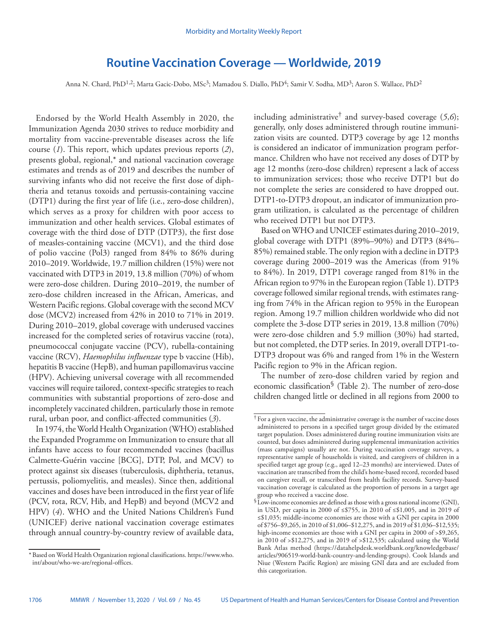# **Routine Vaccination Coverage — Worldwide, 2019**

<span id="page-41-0"></span>Anna N. Chard, PhD<sup>1,2</sup>; Marta Gacic-Dobo, MSc<sup>3</sup>; Mamadou S. Diallo, PhD<sup>4</sup>; Samir V. Sodha, MD<sup>3</sup>; Aaron S. Wallace, PhD<sup>2</sup>

Endorsed by the World Health Assembly in 2020, the Immunization Agenda 2030 strives to reduce morbidity and mortality from vaccine-preventable diseases across the life course (*1*). This report, which updates previous reports (*2*), presents global, regional,\* and national vaccination coverage estimates and trends as of 2019 and describes the number of surviving infants who did not receive the first dose of diphtheria and tetanus toxoids and pertussis-containing vaccine (DTP1) during the first year of life (i.e., zero-dose children), which serves as a proxy for children with poor access to immunization and other health services. Global estimates of coverage with the third dose of DTP (DTP3), the first dose of measles-containing vaccine (MCV1), and the third dose of polio vaccine (Pol3) ranged from 84% to 86% during 2010–2019. Worldwide, 19.7 million children (15%) were not vaccinated with DTP3 in 2019, 13.8 million (70%) of whom were zero-dose children. During 2010–2019, the number of zero-dose children increased in the African, Americas, and Western Pacific regions. Global coverage with the second MCV dose (MCV2) increased from 42% in 2010 to 71% in 2019. During 2010–2019, global coverage with underused vaccines increased for the completed series of rotavirus vaccine (rota), pneumococcal conjugate vaccine (PCV), rubella-containing vaccine (RCV), *Haemophilus influenzae* type b vaccine (Hib), hepatitis B vaccine (HepB), and human papillomavirus vaccine (HPV). Achieving universal coverage with all recommended vaccines will require tailored, context-specific strategies to reach communities with substantial proportions of zero-dose and incompletely vaccinated children, particularly those in remote rural, urban poor, and conflict-affected communities (*3*).

In 1974, the World Health Organization (WHO) established the Expanded Programme on Immunization to ensure that all infants have access to four recommended vaccines (bacillus Calmette-Guérin vaccine [BCG], DTP, Pol, and MCV) to protect against six diseases (tuberculosis, diphtheria, tetanus, pertussis, poliomyelitis, and measles). Since then, additional vaccines and doses have been introduced in the first year of life (PCV, rota, RCV, Hib, and HepB) and beyond (MCV2 and HPV) (*4*). WHO and the United Nations Children's Fund (UNICEF) derive national vaccination coverage estimates through annual country-by-country review of available data,

including administrative† and survey-based coverage (*5*,*6*); generally, only doses administered through routine immunization visits are counted. DTP3 coverage by age 12 months is considered an indicator of immunization program performance. Children who have not received any doses of DTP by age 12 months (zero-dose children) represent a lack of access to immunization services; those who receive DTP1 but do not complete the series are considered to have dropped out. DTP1-to-DTP3 dropout, an indicator of immunization program utilization, is calculated as the percentage of children who received DTP1 but not DTP3.

Based on WHO and UNICEF estimates during 2010–2019, global coverage with DTP1 (89%–90%) and DTP3 (84%– 85%) remained stable. The only region with a decline in DTP3 coverage during 2000–2019 was the Americas (from 91% to 84%). In 2019, DTP1 coverage ranged from 81% in the African region to 97% in the European region (Table 1). DTP3 coverage followed similar regional trends, with estimates ranging from 74% in the African region to 95% in the European region. Among 19.7 million children worldwide who did not complete the 3-dose DTP series in 2019, 13.8 million (70%) were zero-dose children and 5.9 million (30%) had started, but not completed, the DTP series. In 2019, overall DTP1-to-DTP3 dropout was 6% and ranged from 1% in the Western Pacific region to 9% in the African region.

The number of zero-dose children varied by region and economic classification§ (Table 2). The number of zero-dose children changed little or declined in all regions from 2000 to

<sup>\*</sup>Based on World Health Organization regional classifications. [https://www.who.](https://www.who.int/about/who-we-are/regional-offices) [int/about/who-we-are/regional-offices.](https://www.who.int/about/who-we-are/regional-offices)

<sup>†</sup> For a given vaccine, the administrative coverage is the number of vaccine doses administered to persons in a specified target group divided by the estimated target population. Doses administered during routine immunization visits are counted, but doses administered during supplemental immunization activities (mass campaigns) usually are not. During vaccination coverage surveys, a representative sample of households is visited, and caregivers of children in a specified target age group (e.g., aged 12–23 months) are interviewed. Dates of vaccination are transcribed from the child's home-based record, recorded based on caregiver recall, or transcribed from health facility records. Survey-based vaccination coverage is calculated as the proportion of persons in a target age group who received a vaccine dose.

<sup>§</sup>Low-income economies are defined as those with a gross national income (GNI), in USD, per capita in 2000 of ≤\$755, in 2010 of ≤\$1,005, and in 2019 of ≤\$1,035; middle-income economies are those with a GNI per capita in 2000 of \$756–\$9,265, in 2010 of \$1,006–\$12,275, and in 2019 of \$1,036–\$12,535; high-income economies are those with a GNI per capita in 2000 of > \$9,265, in 2010 of >\$12,275, and in 2019 of >\$12,535; calculated using the World Bank Atlas method ([https://datahelpdesk.worldbank.org/knowledgebase/](https://datahelpdesk.worldbank.org/knowledgebase/articles/906519-world-bank-country-and-lending-groups) [articles/906519-world-bank-country-and-lending-groups](https://datahelpdesk.worldbank.org/knowledgebase/articles/906519-world-bank-country-and-lending-groups)). Cook Islands and Niue (Western Pacific Region) are missing GNI data and are excluded from this categorization.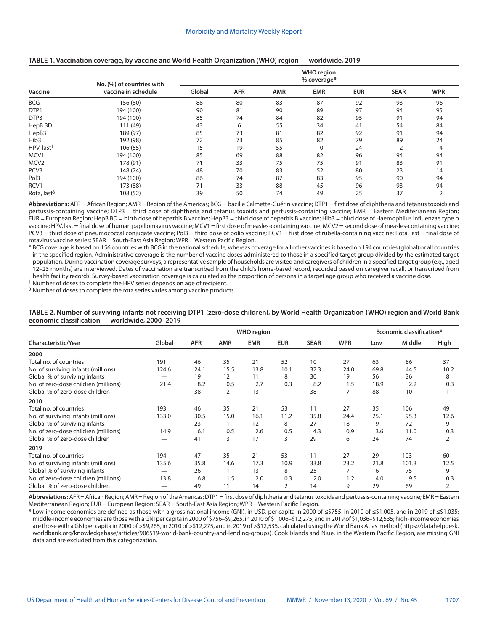|                         | - - -                     |                                  | $\tilde{\phantom{a}}$ | $\tilde{\phantom{a}}$ |            |            |             |            |  |  |
|-------------------------|---------------------------|----------------------------------|-----------------------|-----------------------|------------|------------|-------------|------------|--|--|
|                         | No. (%) of countries with | <b>WHO region</b><br>% coverage* |                       |                       |            |            |             |            |  |  |
| Vaccine                 | vaccine in schedule       | Global                           | <b>AFR</b>            | <b>AMR</b>            | <b>EMR</b> | <b>EUR</b> | <b>SEAR</b> | <b>WPR</b> |  |  |
| <b>BCG</b>              | 156 (80)                  | 88                               | 80                    | 83                    | 87         | 92         | 93          | 96         |  |  |
| DTP1                    | 194 (100)                 | 90                               | 81                    | 90                    | 89         | 97         | 94          | 95         |  |  |
| DTP3                    | 194 (100)                 | 85                               | 74                    | 84                    | 82         | 95         | 91          | 94         |  |  |
| HepB BD                 | 111 (49)                  | 43                               | 6                     | 55                    | 34         | 41         | 54          | 84         |  |  |
| HepB3                   | 189 (97)                  | 85                               | 73                    | 81                    | 82         | 92         | 91          | 94         |  |  |
| Hib3                    | 192 (98)                  | 72                               | 73                    | 85                    | 82         | 79         | 89          | 24         |  |  |
| HPV, last <sup>†</sup>  | 106 (55)                  | 15                               | 19                    | 55                    | $\Omega$   | 24         |             | 4          |  |  |
| MCV1                    | 194 (100)                 | 85                               | 69                    | 88                    | 82         | 96         | 94          | 94         |  |  |
| MCV <sub>2</sub>        | 178 (91)                  | 71                               | 33                    | 75                    | 75         | 91         | 83          | 91         |  |  |
| PCV3                    | 148 (74)                  | 48                               | 70                    | 83                    | 52         | 80         | 23          | 14         |  |  |
| Pol3                    | 194 (100)                 | 86                               | 74                    | 87                    | 83         | 95         | 90          | 94         |  |  |
| RCV1                    | 173 (88)                  | 71                               | 33                    | 88                    | 45         | 96         | 93          | 94         |  |  |
| Rota, last <sup>§</sup> | 108 (52)                  | 39                               | 50                    | 74                    | 49         | 25         | 37          | 2          |  |  |

#### **TABLE 1. Vaccination coverage, by vaccine and World Health Organization (WHO) region — worldwide, 2019**

**Abbreviations:** AFR = African Region; AMR = Region of the Americas; BCG = bacille Calmette-Guérin vaccine; DTP1 = first dose of diphtheria and tetanus toxoids and pertussis-containing vaccine; DTP3 = third dose of diphtheria and tetanus toxoids and pertussis-containing vaccine; EMR = Eastern Mediterranean Region; EUR = European Region; HepB BD = birth dose of hepatitis B vaccine; HepB3 = third dose of hepatitis B vaccine; Hib3 = third dose of Haemophilus influenzae type b vaccine; HPV, last = final dose of human papillomavirus vaccine; MCV1 = first dose of measles-containing vaccine; MCV2 = second dose of measles-containing vaccine; PCV3 = third dose of pneumococcal conjugate vaccine; Pol3 = third dose of polio vaccine; RCV1 = first dose of rubella-containing vaccine; Rota, last = final dose of rotavirus vaccine series; SEAR = South-East Asia Region; WPR = Western Pacific Region.

\* BCG coverage is based on 156 countries with BCG in the national schedule, whereas coverage for all other vaccines is based on 194 countries (global) or all countries in the specified region. Administrative coverage is the number of vaccine doses administered to those in a specified target group divided by the estimated target population. During vaccination coverage surveys, a representative sample of households are visited and caregivers of children in a specified target group (e.g., aged 12–23 months) are interviewed. Dates of vaccination are transcribed from the child's home-based record, recorded based on caregiver recall, or transcribed from health facility records. Survey-based vaccination coverage is calculated as the proportion of persons in a target age group who received a vaccine dose.

† Number of doses to complete the HPV series depends on age of recipient.  $\frac{6}{9}$  Number of doses to complete the rota series varies among vaccine products.

| TABLE 2. Number of surviving infants not receiving DTP1 (zero-dose children), by World Health Organization (WHO) region and World Bank |  |
|----------------------------------------------------------------------------------------------------------------------------------------|--|
| economic classification — worldwide, 2000-2019                                                                                         |  |

|                                      | <b>WHO</b> region |            |            |            |            |             |            | Economic classification* |        |      |
|--------------------------------------|-------------------|------------|------------|------------|------------|-------------|------------|--------------------------|--------|------|
| Characteristic/Year                  | Global            | <b>AFR</b> | <b>AMR</b> | <b>EMR</b> | <b>EUR</b> | <b>SEAR</b> | <b>WPR</b> | Low                      | Middle | High |
| 2000                                 |                   |            |            |            |            |             |            |                          |        |      |
| Total no. of countries               | 191               | 46         | 35         | 21         | 52         | 10          | 27         | 63                       | 86     | 37   |
| No. of surviving infants (millions)  | 124.6             | 24.1       | 15.5       | 13.8       | 10.1       | 37.3        | 24.0       | 69.8                     | 44.5   | 10.2 |
| Global % of surviving infants        | $\hspace{0.05cm}$ | 19         | 12         | 11         | 8          | 30          | 19         | 56                       | 36     | 8    |
| No. of zero-dose children (millions) | 21.4              | 8.2        | 0.5        | 2.7        | 0.3        | 8.2         | 1.5        | 18.9                     | 2.2    | 0.3  |
| Global % of zero-dose children       |                   | 38         | 2          | 13         |            | 38          | 7          | 88                       | 10     |      |
| 2010                                 |                   |            |            |            |            |             |            |                          |        |      |
| Total no. of countries               | 193               | 46         | 35         | 21         | 53         | 11          | 27         | 35                       | 106    | 49   |
| No. of surviving infants (millions)  | 133.0             | 30.5       | 15.0       | 16.1       | 11.2       | 35.8        | 24.4       | 25.1                     | 95.3   | 12.6 |
| Global % of surviving infants        |                   | 23         | 11         | 12         | 8          | 27          | 18         | 19                       | 72     | 9    |
| No. of zero-dose children (millions) | 14.9              | 6.1        | 0.5        | 2.6        | 0.5        | 4.3         | 0.9        | 3.6                      | 11.0   | 0.3  |
| Global % of zero-dose children       |                   | 41         | 3          | 17         | 3          | 29          | 6          | 24                       | 74     | 2    |
| 2019                                 |                   |            |            |            |            |             |            |                          |        |      |
| Total no. of countries               | 194               | 47         | 35         | 21         | 53         | 11          | 27         | 29                       | 103    | 60   |
| No. of surviving infants (millions)  | 135.6             | 35.8       | 14.6       | 17.3       | 10.9       | 33.8        | 23.2       | 21.8                     | 101.3  | 12.5 |
| Global % of surviving infants        |                   | 26         | 11         | 13         | 8          | 25          | 17         | 16                       | 75     | 9    |
| No. of zero-dose children (millions) | 13.8              | 6.8        | 1.5        | 2.0        | 0.3        | 2.0         | 1.2        | 4.0                      | 9.5    | 0.3  |
| Global % of zero-dose children       |                   | 49         | 11         | 14         | 2          | 14          | 9          | 29                       | 69     | 2    |

**Abbreviations:** AFR = African Region; AMR = Region of the Americas; DTP1 = first dose of diphtheria and tetanus toxoids and pertussis-containing vaccine; EMR = Eastern Mediterranean Region; EUR = European Region; SEAR = South-East Asia Region; WPR = Western Pacific Region.

\* Low-income economies are defined as those with a gross national income (GNI), in USD, per capita in 2000 of ≤\$755, in 2010 of ≤\$1,005, and in 2019 of ≤\$1,035; middle-income economies are those with a GNI per capita in 2000 of \$756–\$9,265, in 2010 of \$1,006–\$12,275, and in 2019 of \$1,036–\$12,535; high-income economies are those with a GNI per capita in 2000 of >\$9,265, in 2010 of >\$12,275, and in 2019 of >\$12,535, calculated using the World Bank Atlas method ([https://datahelpdesk.](https://datahelpdesk.worldbank.org/knowledgebase/articles/906519-world-bank-country-and-lending-groups) [worldbank.org/knowledgebase/articles/906519-world-bank-country-and-lending-groups](https://datahelpdesk.worldbank.org/knowledgebase/articles/906519-world-bank-country-and-lending-groups)). Cook Islands and Niue, in the Western Pacific Region, are missing GNI data and are excluded from this categorization.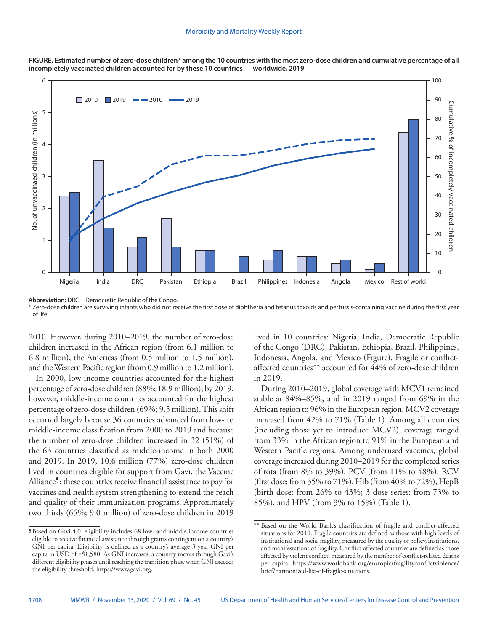

**FIGURE. Estimated number of zero-dose children\* among the 10 countries with the most zero-dose children and cumulative percentage of all incompletely vaccinated children accounted for by these 10 countries — worldwide, 2019**

**Abbreviation:** DRC = Democratic Republic of the Congo.

\* Zero-dose children are surviving infants who did not receive the first dose of diphtheria and tetanus toxoids and pertussis-containing vaccine during the first year of life.

2010. However, during 2010–2019, the number of zero-dose children increased in the African region (from 6.1 million to 6.8 million), the Americas (from 0.5 million to 1.5 million), and the Western Pacific region (from 0.9 million to 1.2 million).

In 2000, low-income countries accounted for the highest percentage of zero-dose children (88%; 18.9 million); by 2019, however, middle-income countries accounted for the highest percentage of zero-dose children (69%; 9.5 million). This shift occurred largely because 36 countries advanced from low- to middle-income classification from 2000 to 2019 and because the number of zero-dose children increased in 32 (51%) of the 63 countries classified as middle-income in both 2000 and 2019. In 2019, 10.6 million (77%) zero-dose children lived in countries eligible for support from Gavi, the Vaccine Alliance<sup>9</sup>; these countries receive financial assistance to pay for vaccines and health system strengthening to extend the reach and quality of their immunization programs. Approximately two thirds (65%; 9.0 million) of zero-dose children in 2019

lived in 10 countries: Nigeria, India, Democratic Republic of the Congo (DRC), Pakistan, Ethiopia, Brazil, Philippines, Indonesia, Angola, and Mexico (Figure). Fragile or conflictaffected countries\*\* accounted for 44% of zero-dose children in 2019.

During 2010–2019, global coverage with MCV1 remained stable at 84%–85%, and in 2019 ranged from 69% in the African region to 96% in the European region. MCV2 coverage increased from 42% to 71% (Table 1). Among all countries (including those yet to introduce MCV2), coverage ranged from 33% in the African region to 91% in the European and Western Pacific regions. Among underused vaccines, global coverage increased during 2010–2019 for the completed series of rota (from 8% to 39%), PCV (from 11% to 48%), RCV (first dose: from 35% to 71%), Hib (from 40% to 72%), HepB (birth dose: from 26% to 43%; 3-dose series: from 73% to 85%), and HPV (from 3% to 15%) (Table 1).

<sup>¶</sup>Based on Gavi 4.0, eligibility includes 68 low- and middle-income countries eligible to receive financial assistance through grants contingent on a country's GNI per capita. Eligibility is defined as a country's average 3-year GNI per capita in USD of ≤\$1,580. As GNI increases, a country moves through Gavi's different eligibility phases until reaching the transition phase when GNI exceeds the eligibility threshold. <https://www.gavi.org>.

<sup>\*\*</sup> Based on the World Bank's classification of fragile and conflict-affected situations for 2019. Fragile countries are defined as those with high levels of institutional and social fragility, measured by the quality of policy, institutions, and manifestations of fragility. Conflict-affected countries are defined as those affected by violent conflict, measured by the number of conflict-related deaths per capita. [https://www.worldbank.org/en/topic/fragilityconflictviolence/](https://www.worldbank.org/en/topic/fragilityconflictviolence/brief/harmonized-list-of-fragile-situations) [brief/harmonized-list-of-fragile-situations](https://www.worldbank.org/en/topic/fragilityconflictviolence/brief/harmonized-list-of-fragile-situations).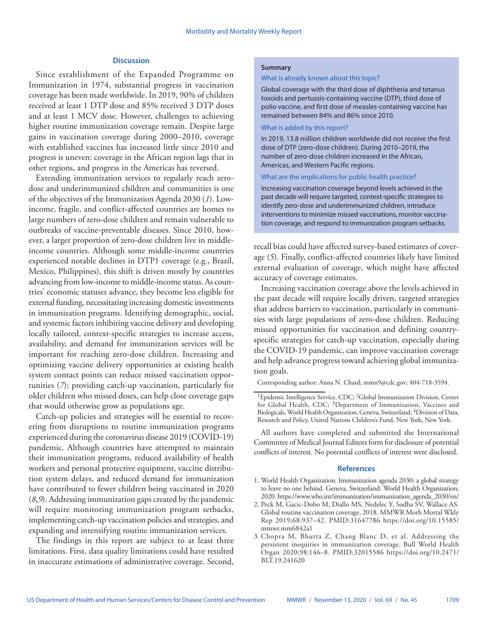## **Discussion**

Since establishment of the Expanded Programme on Immunization in 1974, substantial progress in vaccination coverage has been made worldwide. In 2019, 90% of children received at least 1 DTP dose and 85% received 3 DTP doses and at least 1 MCV dose. However, challenges to achieving higher routine immunization coverage remain. Despite large gains in vaccination coverage during 2000–2010, coverage with established vaccines has increased little since 2010 and progress is uneven: coverage in the African region lags that in other regions, and progress in the Americas has reversed.

Extending immunization services to regularly reach zerodose and underimmunized children and communities is one of the objectives of the Immunization Agenda 2030 (*1*). Lowincome, fragile, and conflict-affected countries are homes to large numbers of zero-dose children and remain vulnerable to outbreaks of vaccine-preventable diseases. Since 2010, however, a larger proportion of zero-dose children live in middleincome countries. Although some middle-income countries experienced notable declines in DTP1 coverage (e.g., Brazil, Mexico, Philippines), this shift is driven mostly by countries advancing from low-income to middle-income status. As countries' economic statuses advance, they become less eligible for external funding, necessitating increasing domestic investments in immunization programs. Identifying demographic, social, and systemic factors inhibiting vaccine delivery and developing locally tailored, context-specific strategies to increase access, availability, and demand for immunization services will be important for reaching zero-dose children. Increasing and optimizing vaccine delivery opportunities at existing health system contact points can reduce missed vaccination opportunities (*7*); providing catch-up vaccination, particularly for older children who missed doses, can help close coverage gaps that would otherwise grow as populations age.

Catch-up policies and strategies will be essential to recovering from disruptions to routine immunization programs experienced during the coronavirus disease 2019 (COVID-19) pandemic. Although countries have attempted to maintain their immunization programs, reduced availability of health workers and personal protective equipment, vaccine distribution system delays, and reduced demand for immunization have contributed to fewer children being vaccinated in 2020 (*8*,*9*). Addressing immunization gaps created by the pandemic will require monitoring immunization program setbacks, implementing catch-up vaccination policies and strategies, and expanding and intensifying routine immunization services.

The findings in this report are subject to at least three limitations. First, data quality limitations could have resulted in inaccurate estimations of administrative coverage. Second,

## **Summary**

#### What is already known about this topic?

Global coverage with the third dose of diphtheria and tetanus toxoids and pertussis-containing vaccine (DTP), third dose of polio vaccine, and first dose of measles-containing vaccine has remained between 84% and 86% since 2010.

## What is added by this report?

In 2019, 13.8 million children worldwide did not receive the first dose of DTP (zero-dose children). During 2010–2019, the number of zero-dose children increased in the African, Americas, and Western Pacific regions.

### What are the implications for public health practice?

Increasing vaccination coverage beyond levels achieved in the past decade will require targeted, context-specific strategies to identify zero-dose and underimmunized children, introduce interventions to minimize missed vaccinations, monitor vaccination coverage, and respond to immunization program setbacks.

recall bias could have affected survey-based estimates of coverage (*5*). Finally, conflict-affected countries likely have limited external evaluation of coverage, which might have affected accuracy of coverage estimates.

Increasing vaccination coverage above the levels achieved in the past decade will require locally driven, targeted strategies that address barriers to vaccination, particularly in communities with large populations of zero-dose children. Reducing missed opportunities for vaccination and defining countryspecific strategies for catch-up vaccination, especially during the COVID-19 pandemic, can improve vaccination coverage and help advance progress toward achieving global immunization goals.

Corresponding author: Anna N. Chard; [mmn9@cdc.gov;](mailto:mmn9@cdc.gov) 404-718-3594.

All authors have completed and submitted the International Committee of Medical Journal Editors form for disclosure of potential conflicts of interest. No potential conflicts of interest were disclosed.

#### **References**

- 1. World Health Organization. Immunization agenda 2030: a global strategy to leave no one behind. Geneva, Switzerland: World Health Organization; 2020. [https://www.who.int/immunization/immunization\\_agenda\\_2030/en/](https://www.who.int/immunization/immunization_agenda_2030/en/)
- 2. Peck M, Gacic-Dobo M, Diallo MS, Nedelec Y, Sodha SV, Wallace AS. Global routine vaccination coverage, 2018. MMWR Morb Mortal Wkly Rep 2019;68:937–42[. PMID:31647786](https://www.ncbi.nlm.nih.gov/entrez/query.fcgi?cmd=Retrieve&db=PubMed&list_uids=31647786&dopt=Abstract) [https://doi.org/10.15585/](https://doi.org/10.15585/mmwr.mm6842a1) [mmwr.mm6842a1](https://doi.org/10.15585/mmwr.mm6842a1)
- 3. Chopra M, Bhutta Z, Chang Blanc D, et al. Addressing the persistent inequities in immunization coverage. Bull World Health Organ 2020;98:146–8. [PMID:32015586](https://www.ncbi.nlm.nih.gov/entrez/query.fcgi?cmd=Retrieve&db=PubMed&list_uids=32015586&dopt=Abstract) [https://doi.org/10.2471/](https://doi.org/10.2471/BLT.19.241620) [BLT.19.241620](https://doi.org/10.2471/BLT.19.241620)

<sup>&</sup>lt;sup>1</sup>Epidemic Intelligence Service, CDC; <sup>2</sup>Global Immunization Division, Center for Global Health, CDC; <sup>3</sup>Department of Immunization, Vaccines and Biologicals, World Health Organization, Geneva, Switzerland; 4Division of Data, Research and Policy, United Nations Children's Fund, New York, New York.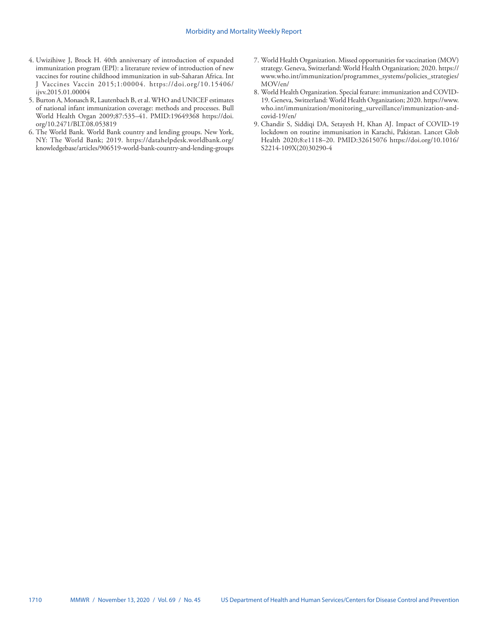- 4. Uwizihiwe J, Brock H. 40th anniversary of introduction of expanded immunization program (EPI): a literature review of introduction of new vaccines for routine childhood immunization in sub-Saharan Africa. Int J Vaccines Vaccin 2015;1:00004. [https://doi.org/10.15406/](https://doi.org/10.15406/ijvv.2015.01.00004) [ijvv.2015.01.00004](https://doi.org/10.15406/ijvv.2015.01.00004)
- 5. Burton A, Monasch R, Lautenbach B, et al. WHO and UNICEF estimates of national infant immunization coverage: methods and processes. Bull World Health Organ 2009;87:535–41[. PMID:19649368](https://www.ncbi.nlm.nih.gov/entrez/query.fcgi?cmd=Retrieve&db=PubMed&list_uids=19649368&dopt=Abstract) [https://doi.](https://doi.org/10.2471/BLT.08.053819) [org/10.2471/BLT.08.053819](https://doi.org/10.2471/BLT.08.053819)
- 6. The World Bank. World Bank country and lending groups. New York, NY: The World Bank; 2019. [https://datahelpdesk.worldbank.org/](https://datahelpdesk.worldbank.org/knowledgebase/articles/906519-world-bank-country-and-lending-groups) [knowledgebase/articles/906519-world-bank-country-and-lending-groups](https://datahelpdesk.worldbank.org/knowledgebase/articles/906519-world-bank-country-and-lending-groups)
- 7. World Health Organization. Missed opportunities for vaccination (MOV) strategy. Geneva, Switzerland: World Health Organization; 2020. [https://](https://www.who.int/immunization/programmes_systems/policies_strategies/MOV/en/) [www.who.int/immunization/programmes\\_systems/policies\\_strategies/](https://www.who.int/immunization/programmes_systems/policies_strategies/MOV/en/) [MOV/en/](https://www.who.int/immunization/programmes_systems/policies_strategies/MOV/en/)
- 8. World Health Organization. Special feature: immunization and COVID-19. Geneva, Switzerland: World Health Organization; 2020. [https://www.](https://www.who.int/immunization/monitoring_surveillance/immunization-and-covid-19/en/) [who.int/immunization/monitoring\\_surveillance/immunization-and](https://www.who.int/immunization/monitoring_surveillance/immunization-and-covid-19/en/)[covid-19/en/](https://www.who.int/immunization/monitoring_surveillance/immunization-and-covid-19/en/)
- 9. Chandir S, Siddiqi DA, Setayesh H, Khan AJ. Impact of COVID-19 lockdown on routine immunisation in Karachi, Pakistan. Lancet Glob Health 2020;8:e1118–20[. PMID:32615076](https://www.ncbi.nlm.nih.gov/entrez/query.fcgi?cmd=Retrieve&db=PubMed&list_uids=32615076&dopt=Abstract) [https://doi.org/10.1016/](https://doi.org/10.1016/S2214-109X(20)30290-4) [S2214-109X\(20\)30290-4](https://doi.org/10.1016/S2214-109X(20)30290-4)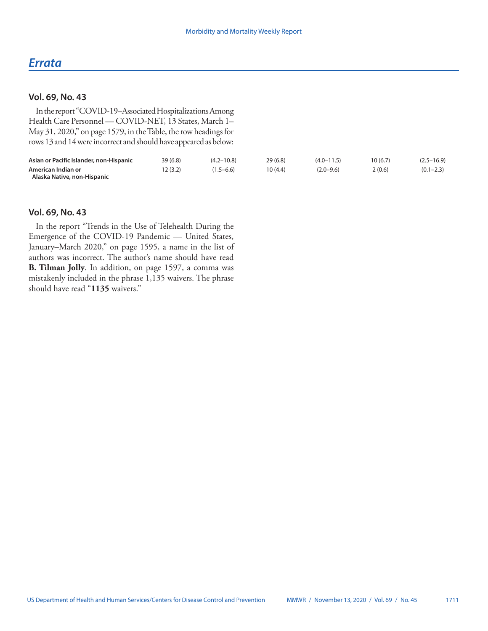# *Errata*

## **Vol. 69, No. 43**

In the report "COVID-19–Associated Hospitalizations Among Health Care Personnel — COVID-NET, 13 States, March 1– May 31, 2020," on page 1579, in the Table, the row headings for rows 13 and 14 were incorrect and should have appeared as below:

| Asian or Pacific Islander, non-Hispanic | 39(6.8)  | $(4.2 - 10.8)$ | 29(6.8) | $(4.0 - 11.5)$ | 10 (6.7) | $(2.5 - 16.9)$ |
|-----------------------------------------|----------|----------------|---------|----------------|----------|----------------|
| American Indian or                      | 12 (3.2) | $(1.5 - 6.6)$  | 10(4.4) | $(2.0 - 9.6)$  | 2(0.6)   | $(0.1 - 2.3)$  |
| Alaska Native, non-Hispanic             |          |                |         |                |          |                |

## **Vol. 69, No. 43**

In the report "Trends in the Use of Telehealth During the Emergence of the COVID-19 Pandemic — United States, January–March 2020," on page 1595, a name in the list of authors was incorrect. The author's name should have read **B. Tilman Jolly**. In addition, on page 1597, a comma was mistakenly included in the phrase 1,135 waivers. The phrase should have read "**1135** waivers."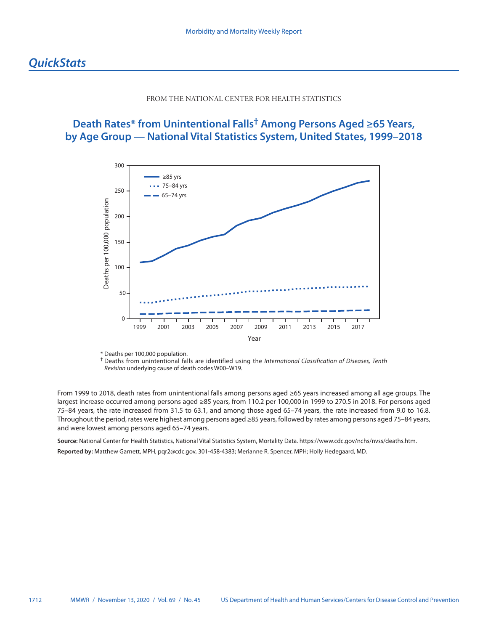## FROM THE NATIONAL CENTER FOR HEALTH STATISTICS

# <span id="page-47-0"></span>**Death Rates\* from Unintentional Falls† Among Persons Aged ≥65 Years, by Age Group — National Vital Statistics System, United States, 1999–2018**



\* Deaths per 100,000 population.

From 1999 to 2018, death rates from unintentional falls among persons aged ≥65 years increased among all age groups. The largest increase occurred among persons aged ≥85 years, from 110.2 per 100,000 in 1999 to 270.5 in 2018. For persons aged 75–84 years, the rate increased from 31.5 to 63.1, and among those aged 65–74 years, the rate increased from 9.0 to 16.8. Throughout the period, rates were highest among persons aged ≥85 years, followed by rates among persons aged 75–84 years, and were lowest among persons aged 65–74 years.

**Source:** National Center for Health Statistics, National Vital Statistics System, Mortality Data. [https://www.cdc.gov/nchs/nvss/deaths.htm.](https://www.cdc.gov/nchs/nvss/deaths.htm) **Reported by:** Matthew Garnett, MPH, [pqr2@cdc.gov](mailto:pqr2@cdc.gov), 301-458-4383; Merianne R. Spencer, MPH; Holly Hedegaard, MD.

<sup>†</sup> Deaths from unintentional falls are identified using the *International Classification of Diseases, Tenth Revision* underlying cause of death codes W00–W19.